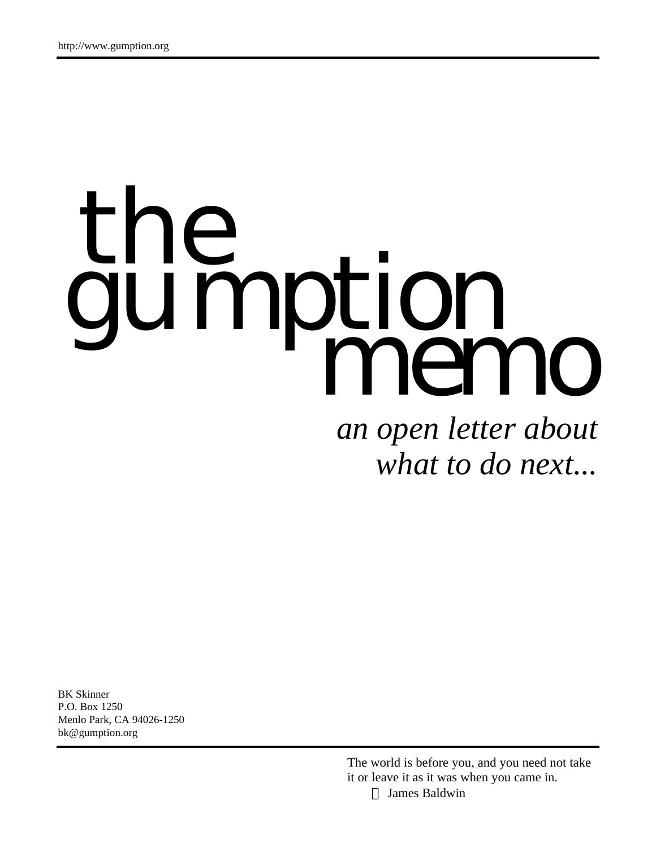# memo the<br>gumption

*an open letter about what to do next...*

BK Skinner P.O. Box 1250 Menlo Park, CA 94026-1250 bk@gumption.org

> The world is before you, and you need not take it or leave it as it was when you came in. James Baldwin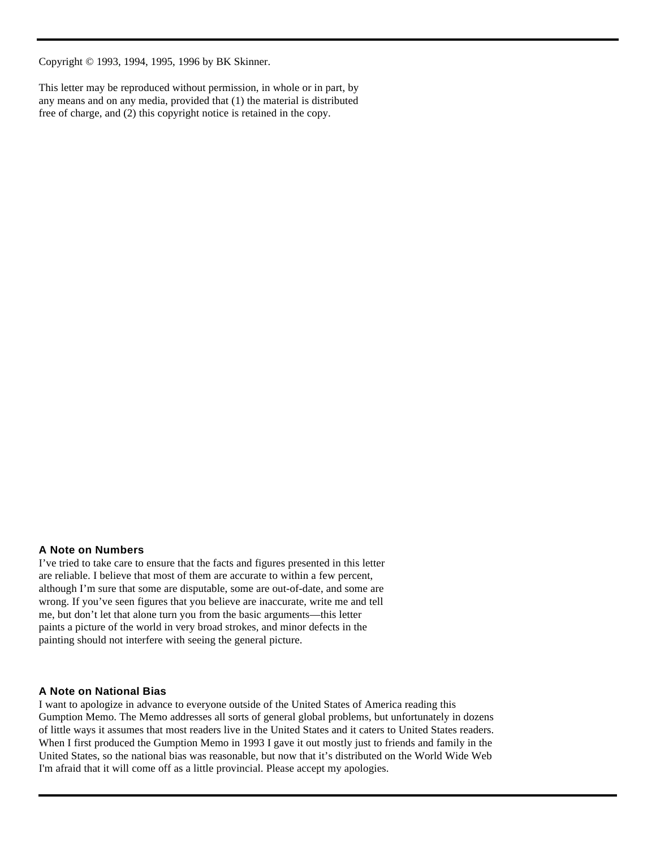Copyright © 1993, 1994, 1995, 1996 by BK Skinner.

This letter may be reproduced without permission, in whole or in part, by any means and on any media, provided that (1) the material is distributed free of charge, and (2) this copyright notice is retained in the copy.

#### **A Note on Numbers**

I've tried to take care to ensure that the facts and figures presented in this letter are reliable. I believe that most of them are accurate to within a few percent, although I'm sure that some are disputable, some are out-of-date, and some are wrong. If you've seen figures that you believe are inaccurate, write me and tell me, but don't let that alone turn you from the basic arguments—this letter paints a picture of the world in very broad strokes, and minor defects in the painting should not interfere with seeing the general picture.

#### **A Note on National Bias**

I want to apologize in advance to everyone outside of the United States of America reading this Gumption Memo. The Memo addresses all sorts of general global problems, but unfortunately in dozens of little ways it assumes that most readers live in the United States and it caters to United States readers. When I first produced the Gumption Memo in 1993 I gave it out mostly just to friends and family in the United States, so the national bias was reasonable, but now that it's distributed on the World Wide Web I'm afraid that it will come off as a little provincial. Please accept my apologies.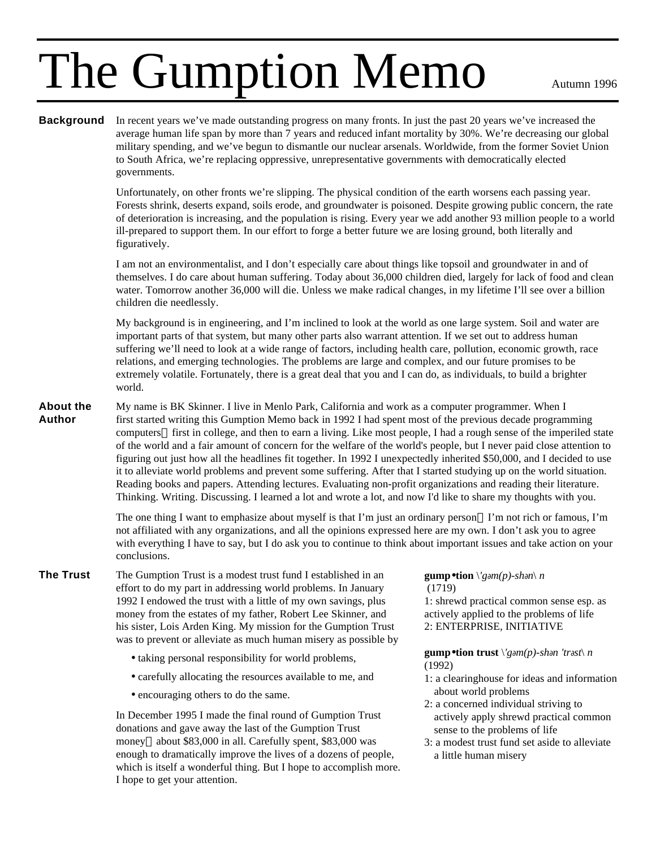## The Gumption Memo

**Background** In recent years we've made outstanding progress on many fronts. In just the past 20 years we've increased the average human life span by more than 7 years and reduced infant mortality by 30%. We're decreasing our global military spending, and we've begun to dismantle our nuclear arsenals. Worldwide, from the former Soviet Union to South Africa, we're replacing oppressive, unrepresentative governments with democratically elected governments.

> Unfortunately, on other fronts we're slipping. The physical condition of the earth worsens each passing year. Forests shrink, deserts expand, soils erode, and groundwater is poisoned. Despite growing public concern, the rate of deterioration is increasing, and the population is rising. Every year we add another 93 million people to a world ill-prepared to support them. In our effort to forge a better future we are losing ground, both literally and figuratively.

> I am not an environmentalist, and I don't especially care about things like topsoil and groundwater in and of themselves. I do care about human suffering. Today about 36,000 children died, largely for lack of food and clean water. Tomorrow another 36,000 will die. Unless we make radical changes, in my lifetime I'll see over a billion children die needlessly.

My background is in engineering, and I'm inclined to look at the world as one large system. Soil and water are important parts of that system, but many other parts also warrant attention. If we set out to address human suffering we'll need to look at a wide range of factors, including health care, pollution, economic growth, race relations, and emerging technologies. The problems are large and complex, and our future promises to be extremely volatile. Fortunately, there is a great deal that you and I can do, as individuals, to build a brighter world.

**About the** My name is BK Skinner. I live in Menlo Park, California and work as a computer programmer. When I **Author** first started writing this Gumption Memo back in 1992 I had spent most of the previous decade programming computers—first in college, and then to earn a living. Like most people, I had a rough sense of the imperiled state of the world and a fair amount of concern for the welfare of the world's people, but I never paid close attention to figuring out just how all the headlines fit together. In 1992 I unexpectedly inherited \$50,000, and I decided to use it to alleviate world problems and prevent some suffering. After that I started studying up on the world situation. Reading books and papers. Attending lectures. Evaluating non-profit organizations and reading their literature. Thinking. Writing. Discussing. I learned a lot and wrote a lot, and now I'd like to share my thoughts with you.

> The one thing I want to emphasize about myself is that I'm just an ordinary person—I'm not rich or famous, I'm not affiliated with any organizations, and all the opinions expressed here are my own. I don't ask you to agree with everything I have to say, but I do ask you to continue to think about important issues and take action on your conclusions.

**The Trust** The Gumption Trust is a modest trust fund I established in an effort to do my part in addressing world problems. In January 1992 I endowed the trust with a little of my own savings, plus money from the estates of my father, Robert Lee Skinner, and his sister, Lois Arden King. My mission for the Gumption Trust was to prevent or alleviate as much human misery as possible by

- taking personal responsibility for world problems,
- carefully allocating the resources available to me, and
- encouraging others to do the same.

In December 1995 I made the final round of Gumption Trust donations and gave away the last of the Gumption Trust money—about \$83,000 in all. Carefully spent, \$83,000 was enough to dramatically improve the lives of a dozens of people, which is itself a wonderful thing. But I hope to accomplish more. I hope to get your attention.

**gump•tion**  $\forall$ *g*∂*m*(*p*)-*sh*∂*n* $\land$  *n* (1719)

1: shrewd practical common sense esp. as actively applied to the problems of life 2: ENTERPRISE, INITIATIVE

**gump**•**tion trust** \*'g*∂*m(p)-sh*∂*n 'tr*∂*st*\ *n* (1992)

- 1: a clearinghouse for ideas and information about world problems
- 2: a concerned individual striving to actively apply shrewd practical common sense to the problems of life
- 3: a modest trust fund set aside to alleviate a little human misery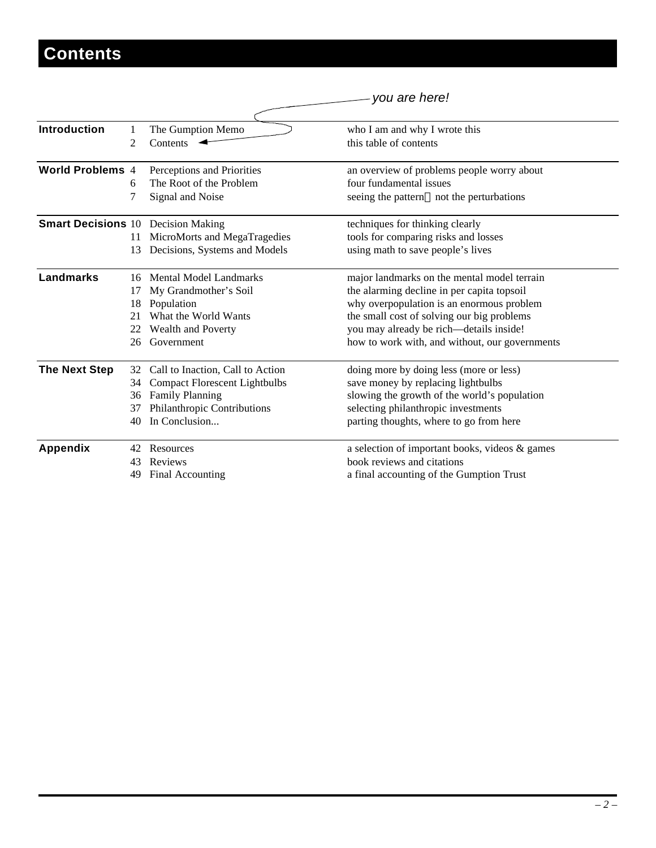## **Contents**

|                                           |    |                                      | you are here!                                  |
|-------------------------------------------|----|--------------------------------------|------------------------------------------------|
|                                           |    |                                      |                                                |
| Introduction                              | 1  | The Gumption Memo                    | who I am and why I wrote this                  |
|                                           | 2  | Contents                             | this table of contents                         |
| <b>World Problems 4</b>                   |    | Perceptions and Priorities           | an overview of problems people worry about     |
|                                           | 6  | The Root of the Problem              | four fundamental issues                        |
|                                           | 7  | Signal and Noise                     | seeing the pattern-not the perturbations       |
| <b>Smart Decisions</b> 10 Decision Making |    |                                      | techniques for thinking clearly                |
|                                           | 11 | MicroMorts and MegaTragedies         | tools for comparing risks and losses           |
|                                           | 13 | Decisions, Systems and Models        | using math to save people's lives              |
| <b>Landmarks</b>                          | 16 | Mental Model Landmarks               | major landmarks on the mental model terrain    |
|                                           | 17 | My Grandmother's Soil                | the alarming decline in per capita topsoil     |
|                                           | 18 | Population                           | why overpopulation is an enormous problem      |
|                                           | 21 | What the World Wants                 | the small cost of solving our big problems     |
|                                           |    | Wealth and Poverty                   | you may already be rich-details inside!        |
|                                           | 26 | Government                           | how to work with, and without, our governments |
| <b>The Next Step</b>                      | 32 | Call to Inaction, Call to Action     | doing more by doing less (more or less)        |
|                                           | 34 | <b>Compact Florescent Lightbulbs</b> | save money by replacing lightbulbs             |
|                                           | 36 | Family Planning                      | slowing the growth of the world's population   |
|                                           | 37 | Philanthropic Contributions          | selecting philanthropic investments            |
|                                           | 40 | In Conclusion                        | parting thoughts, where to go from here        |
| Appendix                                  | 42 | Resources                            | a selection of important books, videos & games |
|                                           | 43 | <b>Reviews</b>                       | book reviews and citations                     |
|                                           | 49 | Final Accounting                     | a final accounting of the Gumption Trust       |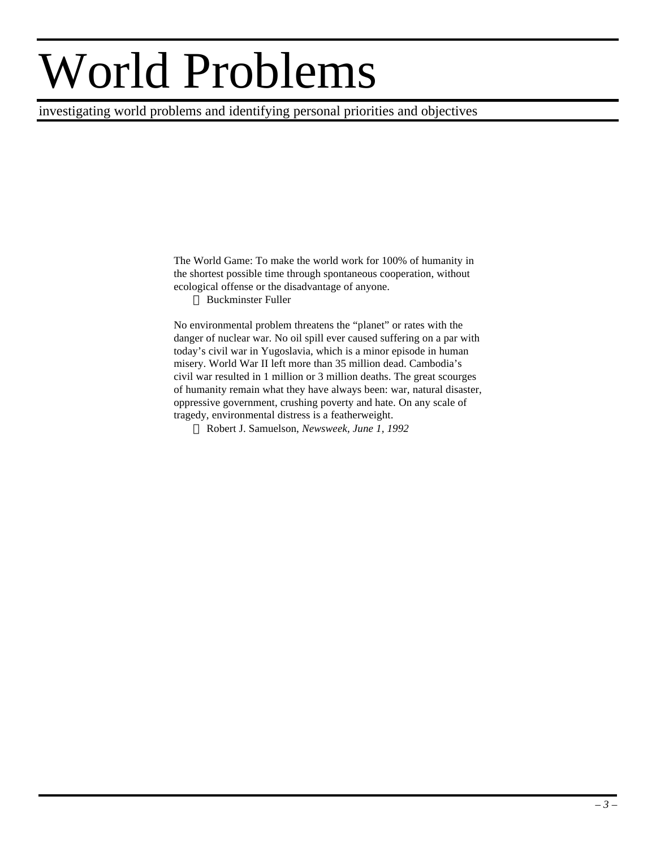## World Problems

investigating world problems and identifying personal priorities and objectives

The World Game: To make the world work for 100% of humanity in the shortest possible time through spontaneous cooperation, without ecological offense or the disadvantage of anyone.

-Buckminster Fuller

No environmental problem threatens the "planet" or rates with the danger of nuclear war. No oil spill ever caused suffering on a par with today's civil war in Yugoslavia, which is a minor episode in human misery. World War II left more than 35 million dead. Cambodia's civil war resulted in 1 million or 3 million deaths. The great scourges of humanity remain what they have always been: war, natural disaster, oppressive government, crushing poverty and hate. On any scale of tragedy, environmental distress is a featherweight.

Robert J. Samuelson, *Newsweek, June 1, 1992*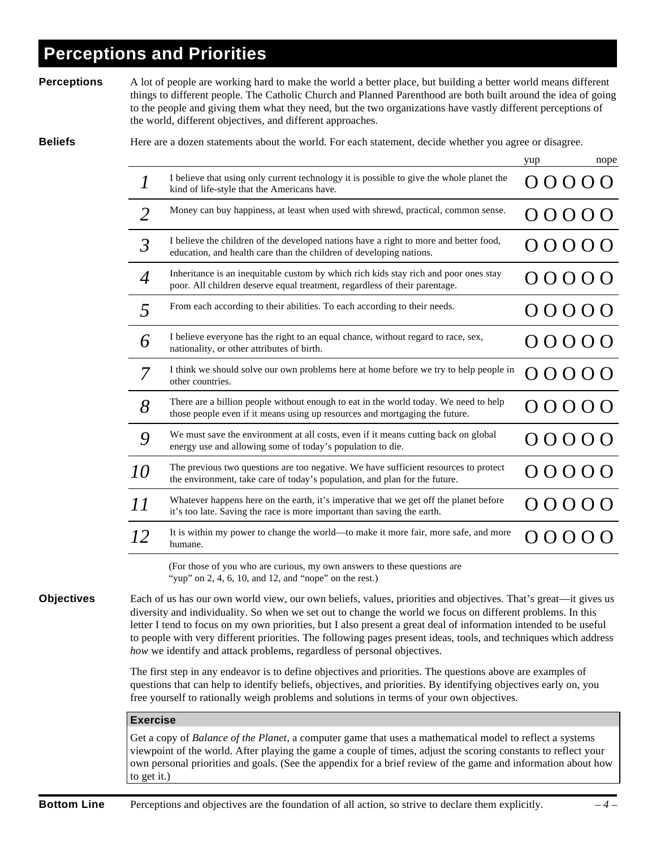#### **Perceptions and Priorities**

**Perceptions** A lot of people are working hard to make the world a better place, but building a better world means different things to different people. The Catholic Church and Planned Parenthood are both built around the idea of going to the people and giving them what they need, but the two organizations have vastly different perceptions of the world, different objectives, and different approaches.

#### **Beliefs** Here are a dozen statements about the world. For each statement, decide whether you agree or disagree.

|                |                                                                                                                                                                     | yup   | nope |
|----------------|---------------------------------------------------------------------------------------------------------------------------------------------------------------------|-------|------|
|                | I believe that using only current technology it is possible to give the whole planet the<br>kind of life-style that the Americans have.                             | 00000 |      |
| $\overline{2}$ | Money can buy happiness, at least when used with shrewd, practical, common sense.                                                                                   | 00000 |      |
| $\mathfrak{Z}$ | I believe the children of the developed nations have a right to more and better food,<br>education, and health care than the children of developing nations.        | 00000 |      |
| $\overline{4}$ | Inheritance is an inequitable custom by which rich kids stay rich and poor ones stay<br>poor. All children deserve equal treatment, regardless of their parentage.  | 00000 |      |
| 5              | From each according to their abilities. To each according to their needs.                                                                                           | 00000 |      |
| 6              | I believe everyone has the right to an equal chance, without regard to race, sex,<br>nationality, or other attributes of birth.                                     | 00000 |      |
| 7              | I think we should solve our own problems here at home before we try to help people in<br>other countries.                                                           | 00000 |      |
| 8              | There are a billion people without enough to eat in the world today. We need to help<br>those people even if it means using up resources and mortgaging the future. | 00000 |      |
| 9              | We must save the environment at all costs, even if it means cutting back on global<br>energy use and allowing some of today's population to die.                    | 00000 |      |
| 10             | The previous two questions are too negative. We have sufficient resources to protect<br>the environment, take care of today's population, and plan for the future.  | 0000  |      |
| 11             | Whatever happens here on the earth, it's imperative that we get off the planet before<br>it's too late. Saving the race is more important than saving the earth.    | 00000 |      |
| 12             | It is within my power to change the world—to make it more fair, more safe, and more<br>humane.                                                                      | 0000  |      |
|                | (For those of you who are curious, my own answers to these questions are                                                                                            |       |      |

"yup" on 2, 4, 6, 10, and 12, and "nope" on the rest.)

**Objectives** Each of us has our own world view, our own beliefs, values, priorities and objectives. That's great—it gives us diversity and individuality. So when we set out to change the world we focus on different problems. In this letter I tend to focus on my own priorities, but I also present a great deal of information intended to be useful to people with very different priorities. The following pages present ideas, tools, and techniques which address *how* we identify and attack problems, regardless of personal objectives.

> The first step in any endeavor is to define objectives and priorities. The questions above are examples of questions that can help to identify beliefs, objectives, and priorities. By identifying objectives early on, you free yourself to rationally weigh problems and solutions in terms of your own objectives.

#### **Exercise**

Get a copy of *Balance of the Planet*, a computer game that uses a mathematical model to reflect a systems viewpoint of the world. After playing the game a couple of times, adjust the scoring constants to reflect your own personal priorities and goals. (See the appendix for a brief review of the game and information about how to get it.)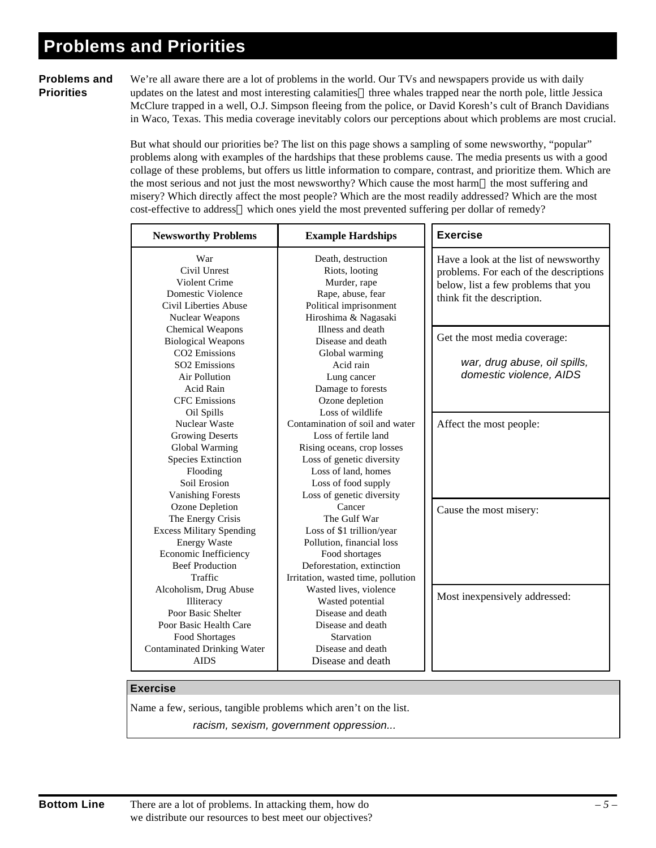#### **Problems and Priorities**

**Problems and** We're all aware there are a lot of problems in the world. Our TVs and newspapers provide us with daily **Priorities** updates on the latest and most interesting calamities—three whales trapped near the north pole, little Jessica McClure trapped in a well, O.J. Simpson fleeing from the police, or David Koresh's cult of Branch Davidians in Waco, Texas. This media coverage inevitably colors our perceptions about which problems are most crucial.

> But what should our priorities be? The list on this page shows a sampling of some newsworthy, "popular" problems along with examples of the hardships that these problems cause. The media presents us with a good collage of these problems, but offers us little information to compare, contrast, and prioritize them. Which are the most serious and not just the most newsworthy? Which cause the most harm—the most suffering and misery? Which directly affect the most people? Which are the most readily addressed? Which are the most cost-effective to address—which ones yield the most prevented suffering per dollar of remedy?

| <b>Newsworthy Problems</b>         | <b>Example Hardships</b>           | <b>Exercise</b>                        |
|------------------------------------|------------------------------------|----------------------------------------|
| War                                | Death, destruction                 | Have a look at the list of newsworthy  |
| Civil Unrest                       | Riots, looting                     | problems. For each of the descriptions |
| Violent Crime                      | Murder, rape                       | below, list a few problems that you    |
| Domestic Violence                  | Rape, abuse, fear                  | think fit the description.             |
| Civil Liberties Abuse              | Political imprisonment             |                                        |
| Nuclear Weapons                    | Hiroshima & Nagasaki               |                                        |
| Chemical Weapons                   | Illness and death                  |                                        |
| <b>Biological Weapons</b>          | Disease and death                  | Get the most media coverage:           |
| CO <sub>2</sub> Emissions          | Global warming                     |                                        |
| SO <sub>2</sub> Emissions          | Acid rain                          | war, drug abuse, oil spills,           |
| Air Pollution                      | Lung cancer                        | domestic violence, AIDS                |
| Acid Rain                          | Damage to forests                  |                                        |
| <b>CFC</b> Emissions               | Ozone depletion                    |                                        |
| Oil Spills                         | Loss of wildlife                   |                                        |
| Nuclear Waste                      | Contamination of soil and water    | Affect the most people:                |
| <b>Growing Deserts</b>             | Loss of fertile land               |                                        |
| Global Warming                     | Rising oceans, crop losses         |                                        |
| <b>Species Extinction</b>          | Loss of genetic diversity          |                                        |
| Flooding                           | Loss of land, homes                |                                        |
| Soil Erosion                       | Loss of food supply                |                                        |
| <b>Vanishing Forests</b>           | Loss of genetic diversity          |                                        |
| <b>Ozone Depletion</b>             | Cancer                             | Cause the most misery:                 |
| The Energy Crisis                  | The Gulf War                       |                                        |
| <b>Excess Military Spending</b>    | Loss of \$1 trillion/year          |                                        |
| <b>Energy Waste</b>                | Pollution, financial loss          |                                        |
| Economic Inefficiency              | Food shortages                     |                                        |
| <b>Beef Production</b>             | Deforestation, extinction          |                                        |
| Traffic                            | Irritation, wasted time, pollution |                                        |
| Alcoholism, Drug Abuse             | Wasted lives, violence             | Most inexpensively addressed:          |
| Illiteracy                         | Wasted potential                   |                                        |
| Poor Basic Shelter                 | Disease and death                  |                                        |
| Poor Basic Health Care             | Disease and death                  |                                        |
| Food Shortages                     | <b>Starvation</b>                  |                                        |
| <b>Contaminated Drinking Water</b> | Disease and death                  |                                        |
| <b>AIDS</b>                        | Disease and death                  |                                        |

#### **Exercise**

Name a few, serious, tangible problems which aren't on the list.

*racism, sexism, government oppression...*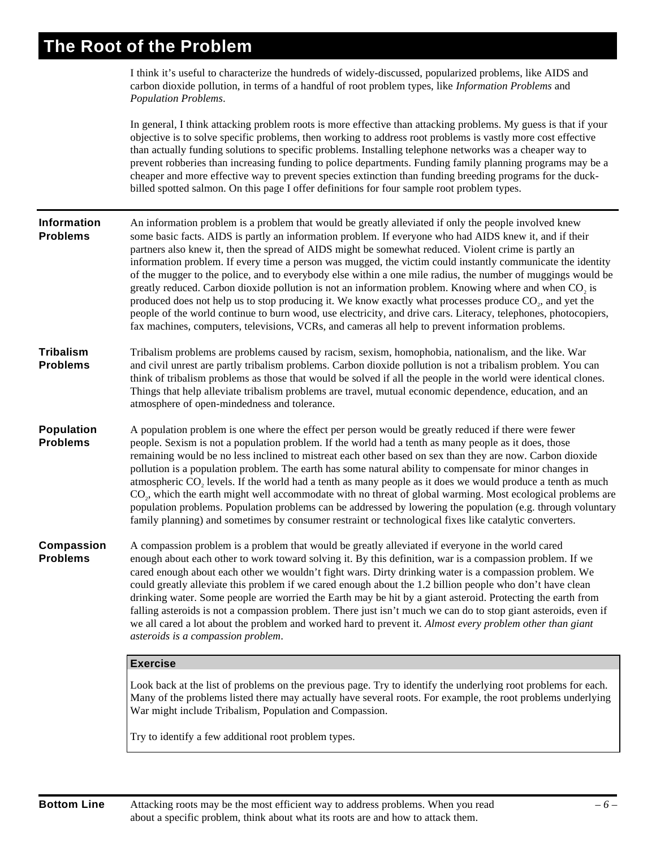#### **The Root of the Problem**

I think it's useful to characterize the hundreds of widely-discussed, popularized problems, like AIDS and carbon dioxide pollution, in terms of a handful of root problem types, like *Information Problems* and *Population Problems*.

In general, I think attacking problem roots is more effective than attacking problems. My guess is that if your objective is to solve specific problems, then working to address root problems is vastly more cost effective than actually funding solutions to specific problems. Installing telephone networks was a cheaper way to prevent robberies than increasing funding to police departments. Funding family planning programs may be a cheaper and more effective way to prevent species extinction than funding breeding programs for the duckbilled spotted salmon. On this page I offer definitions for four sample root problem types.

**Information** An information problem is a problem that would be greatly alleviated if only the people involved knew **Problems** some basic facts. AIDS is partly an information problem. If everyone who had AIDS knew it, and if their partners also knew it, then the spread of AIDS might be somewhat reduced. Violent crime is partly an information problem. If every time a person was mugged, the victim could instantly communicate the identity of the mugger to the police, and to everybody else within a one mile radius, the number of muggings would be greatly reduced. Carbon dioxide pollution is not an information problem. Knowing where and when  $CO_2$  is produced does not help us to stop producing it. We know exactly what processes produce  $CO_2$ , and yet the people of the world continue to burn wood, use electricity, and drive cars. Literacy, telephones, photocopiers, fax machines, computers, televisions, VCRs, and cameras all help to prevent information problems. **Tribalism** Tribalism problems are problems caused by racism, sexism, homophobia, nationalism, and the like. War **Problems** and civil unrest are partly tribalism problems. Carbon dioxide pollution is not a tribalism problem. You can think of tribalism problems as those that would be solved if all the people in the world were identical clones. Things that help alleviate tribalism problems are travel, mutual economic dependence, education, and an atmosphere of open-mindedness and tolerance. **Population** A population problem is one where the effect per person would be greatly reduced if there were fewer **Problems** people. Sexism is not a population problem. If the world had a tenth as many people as it does, those remaining would be no less inclined to mistreat each other based on sex than they are now. Carbon dioxide pollution is a population problem. The earth has some natural ability to compensate for minor changes in atmospheric  $CO_2$  levels. If the world had a tenth as many people as it does we would produce a tenth as much CO<sub>2</sub>, which the earth might well accommodate with no threat of global warming. Most ecological problems are population problems. Population problems can be addressed by lowering the population (e.g. through voluntary family planning) and sometimes by consumer restraint or technological fixes like catalytic converters. **Compassion** A compassion problem is a problem that would be greatly alleviated if everyone in the world cared **Problems** enough about each other to work toward solving it. By this definition, war is a compassion problem. If we cared enough about each other we wouldn't fight wars. Dirty drinking water is a compassion problem. We could greatly alleviate this problem if we cared enough about the 1.2 billion people who don't have clean drinking water. Some people are worried the Earth may be hit by a giant asteroid. Protecting the earth from falling asteroids is not a compassion problem. There just isn't much we can do to stop giant asteroids, even if we all cared a lot about the problem and worked hard to prevent it. *Almost every problem other than giant asteroids is a compassion problem*.

#### **Exercise**

Look back at the list of problems on the previous page. Try to identify the underlying root problems for each. Many of the problems listed there may actually have several roots. For example, the root problems underlying War might include Tribalism, Population and Compassion.

Try to identify a few additional root problem types.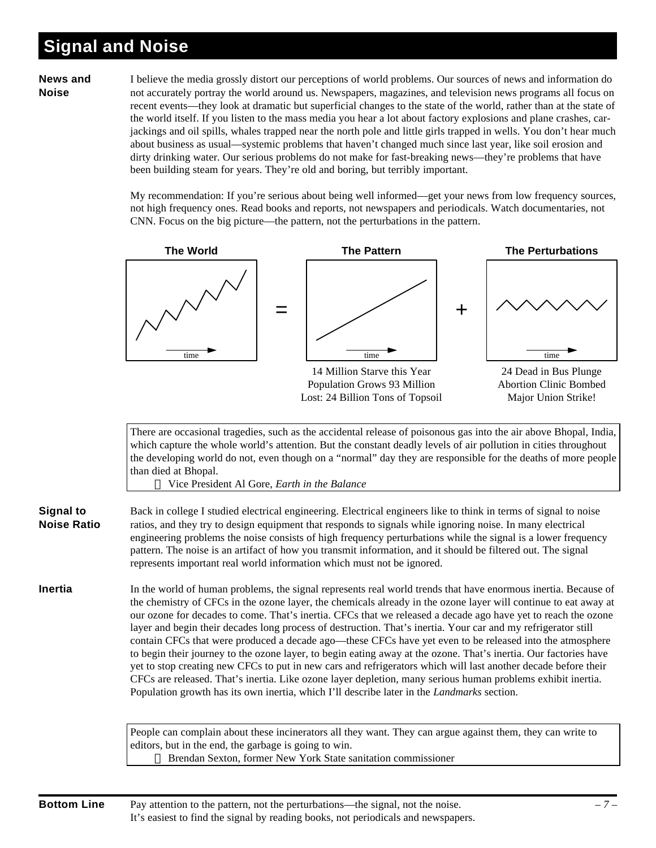#### **Signal and Noise**

**News and** I believe the media grossly distort our perceptions of world problems. Our sources of news and information do **Noise** not accurately portray the world around us. Newspapers, magazines, and television news programs all focus on recent events—they look at dramatic but superficial changes to the state of the world, rather than at the state of the world itself. If you listen to the mass media you hear a lot about factory explosions and plane crashes, carjackings and oil spills, whales trapped near the north pole and little girls trapped in wells. You don't hear much about business as usual—systemic problems that haven't changed much since last year, like soil erosion and dirty drinking water. Our serious problems do not make for fast-breaking news—they're problems that have been building steam for years. They're old and boring, but terribly important.

> My recommendation: If you're serious about being well informed—get your news from low frequency sources, not high frequency ones. Read books and reports, not newspapers and periodicals. Watch documentaries, not CNN. Focus on the big picture—the pattern, not the perturbations in the pattern.



There are occasional tragedies, such as the accidental release of poisonous gas into the air above Bhopal, India, which capture the whole world's attention. But the constant deadly levels of air pollution in cities throughout the developing world do not, even though on a "normal" day they are responsible for the deaths of more people than died at Bhopal.

Vice President Al Gore, *Earth in the Balance*

- **Signal to** Back in college I studied electrical engineering. Electrical engineers like to think in terms of signal to noise **Noise Ratio** ratios, and they try to design equipment that responds to signals while ignoring noise. In many electrical engineering problems the noise consists of high frequency perturbations while the signal is a lower frequency pattern. The noise is an artifact of how you transmit information, and it should be filtered out. The signal represents important real world information which must not be ignored.
- **In the world of human problems, the signal represents real world trends that have enormous inertia. Because of** the chemistry of CFCs in the ozone layer, the chemicals already in the ozone layer will continue to eat away at our ozone for decades to come. That's inertia. CFCs that we released a decade ago have yet to reach the ozone layer and begin their decades long process of destruction. That's inertia. Your car and my refrigerator still contain CFCs that were produced a decade ago—these CFCs have yet even to be released into the atmosphere to begin their journey to the ozone layer, to begin eating away at the ozone. That's inertia. Our factories have yet to stop creating new CFCs to put in new cars and refrigerators which will last another decade before their CFCs are released. That's inertia. Like ozone layer depletion, many serious human problems exhibit inertia. Population growth has its own inertia, which I'll describe later in the *Landmarks* section.

People can complain about these incinerators all they want. They can argue against them, they can write to editors, but in the end, the garbage is going to win.

**-- Brendan Sexton, former New York State sanitation commissioner**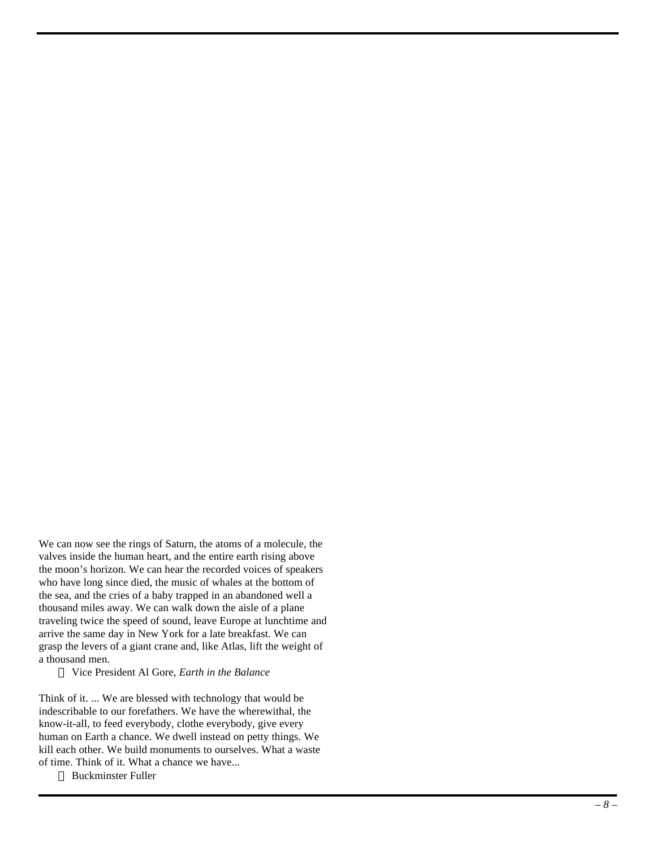We can now see the rings of Saturn, the atoms of a molecule, the valves inside the human heart, and the entire earth rising above the moon's horizon. We can hear the recorded voices of speakers who have long since died, the music of whales at the bottom of the sea, and the cries of a baby trapped in an abandoned well a thousand miles away. We can walk down the aisle of a plane traveling twice the speed of sound, leave Europe at lunchtime and arrive the same day in New York for a late breakfast. We can grasp the levers of a giant crane and, like Atlas, lift the weight of a thousand men.

Vice President Al Gore, *Earth in the Balance*

Think of it. ... We are blessed with technology that would be indescribable to our forefathers. We have the wherewithal, the know-it-all, to feed everybody, clothe everybody, give every human on Earth a chance. We dwell instead on petty things. We kill each other. We build monuments to ourselves. What a waste of time. Think of it. What a chance we have...

**-Buckminster Fuller**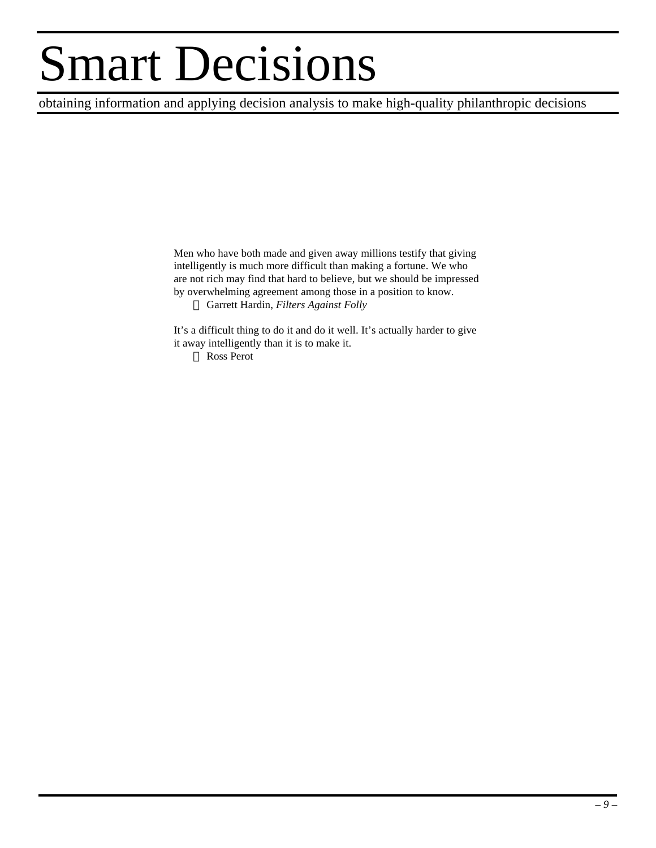## Smart Decisions

obtaining information and applying decision analysis to make high-quality philanthropic decisions

Men who have both made and given away millions testify that giving intelligently is much more difficult than making a fortune. We who are not rich may find that hard to believe, but we should be impressed by overwhelming agreement among those in a position to know.

Garrett Hardin, *Filters Against Folly*

It's a difficult thing to do it and do it well. It's actually harder to give it away intelligently than it is to make it.

Ross Perot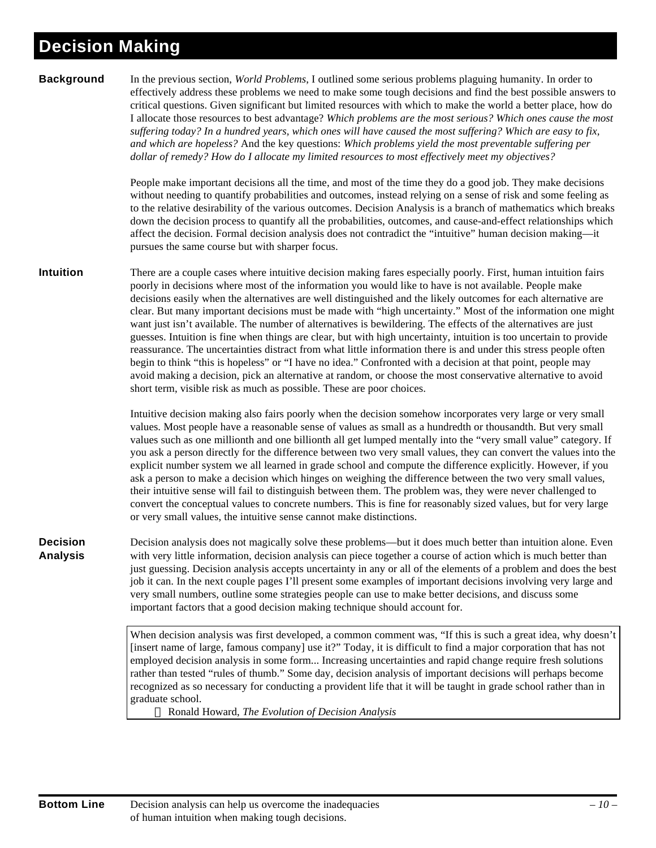#### **Decision Making**

**Background** In the previous section, *World Problems*, I outlined some serious problems plaguing humanity. In order to effectively address these problems we need to make some tough decisions and find the best possible answers to critical questions. Given significant but limited resources with which to make the world a better place, how do I allocate those resources to best advantage? *Which problems are the most serious? Which ones cause the most suffering today? In a hundred years, which ones will have caused the most suffering? Which are easy to fix, and which are hopeless?* And the key questions: *Which problems yield the most preventable suffering per dollar of remedy? How do I allocate my limited resources to most effectively meet my objectives?*

> People make important decisions all the time, and most of the time they do a good job. They make decisions without needing to quantify probabilities and outcomes, instead relying on a sense of risk and some feeling as to the relative desirability of the various outcomes. Decision Analysis is a branch of mathematics which breaks down the decision process to quantify all the probabilities, outcomes, and cause-and-effect relationships which affect the decision. Formal decision analysis does not contradict the "intuitive" human decision making—it pursues the same course but with sharper focus.

**Intuition** There are a couple cases where intuitive decision making fares especially poorly. First, human intuition fairs poorly in decisions where most of the information you would like to have is not available. People make decisions easily when the alternatives are well distinguished and the likely outcomes for each alternative are clear. But many important decisions must be made with "high uncertainty." Most of the information one might want just isn't available. The number of alternatives is bewildering. The effects of the alternatives are just guesses. Intuition is fine when things are clear, but with high uncertainty, intuition is too uncertain to provide reassurance. The uncertainties distract from what little information there is and under this stress people often begin to think "this is hopeless" or "I have no idea." Confronted with a decision at that point, people may avoid making a decision, pick an alternative at random, or choose the most conservative alternative to avoid short term, visible risk as much as possible. These are poor choices.

> Intuitive decision making also fairs poorly when the decision somehow incorporates very large or very small values. Most people have a reasonable sense of values as small as a hundredth or thousandth. But very small values such as one millionth and one billionth all get lumped mentally into the "very small value" category. If you ask a person directly for the difference between two very small values, they can convert the values into the explicit number system we all learned in grade school and compute the difference explicitly. However, if you ask a person to make a decision which hinges on weighing the difference between the two very small values, their intuitive sense will fail to distinguish between them. The problem was, they were never challenged to convert the conceptual values to concrete numbers. This is fine for reasonably sized values, but for very large or very small values, the intuitive sense cannot make distinctions.

**Decision** Decision analysis does not magically solve these problems—but it does much better than intuition alone. Even **Analysis** with very little information, decision analysis can piece together a course of action which is much better than just guessing. Decision analysis accepts uncertainty in any or all of the elements of a problem and does the best job it can. In the next couple pages I'll present some examples of important decisions involving very large and very small numbers, outline some strategies people can use to make better decisions, and discuss some important factors that a good decision making technique should account for.

> When decision analysis was first developed, a common comment was, "If this is such a great idea, why doesn't [insert name of large, famous company] use it?" Today, it is difficult to find a major corporation that has not employed decision analysis in some form... Increasing uncertainties and rapid change require fresh solutions rather than tested "rules of thumb." Some day, decision analysis of important decisions will perhaps become recognized as so necessary for conducting a provident life that it will be taught in grade school rather than in graduate school.

Ronald Howard, *The Evolution of Decision Analysis*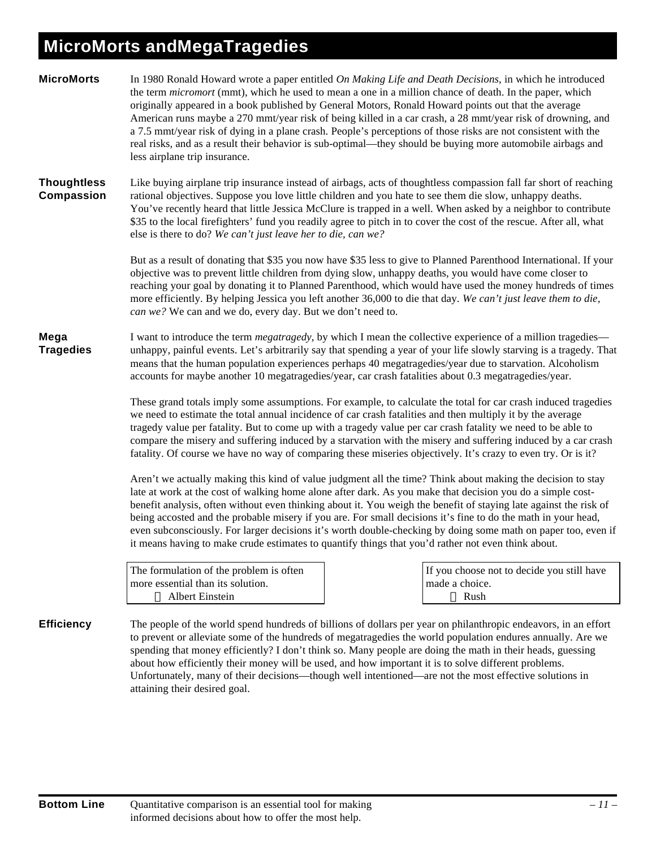## **MicroMorts and MegaTragedies**

| <b>MicroMorts</b>                | In 1980 Ronald Howard wrote a paper entitled On Making Life and Death Decisions, in which he introduced<br>the term <i>micromort</i> (mmt), which he used to mean a one in a million chance of death. In the paper, which<br>originally appeared in a book published by General Motors, Ronald Howard points out that the average<br>American runs maybe a 270 mmt/year risk of being killed in a car crash, a 28 mmt/year risk of drowning, and<br>a 7.5 mmt/year risk of dying in a plane crash. People's perceptions of those risks are not consistent with the<br>real risks, and as a result their behavior is sub-optimal—they should be buying more automobile airbags and<br>less airplane trip insurance. |  |                                                                        |  |  |
|----------------------------------|--------------------------------------------------------------------------------------------------------------------------------------------------------------------------------------------------------------------------------------------------------------------------------------------------------------------------------------------------------------------------------------------------------------------------------------------------------------------------------------------------------------------------------------------------------------------------------------------------------------------------------------------------------------------------------------------------------------------|--|------------------------------------------------------------------------|--|--|
| <b>Thoughtless</b><br>Compassion | Like buying airplane trip insurance instead of airbags, acts of thoughtless compassion fall far short of reaching<br>rational objectives. Suppose you love little children and you hate to see them die slow, unhappy deaths.<br>You've recently heard that little Jessica McClure is trapped in a well. When asked by a neighbor to contribute<br>\$35 to the local firefighters' fund you readily agree to pitch in to cover the cost of the rescue. After all, what<br>else is there to do? We can't just leave her to die, can we?                                                                                                                                                                             |  |                                                                        |  |  |
|                                  | But as a result of donating that \$35 you now have \$35 less to give to Planned Parenthood International. If your<br>objective was to prevent little children from dying slow, unhappy deaths, you would have come closer to<br>reaching your goal by donating it to Planned Parenthood, which would have used the money hundreds of times<br>more efficiently. By helping Jessica you left another 36,000 to die that day. We can't just leave them to die,<br>can we? We can and we do, every day. But we don't need to.                                                                                                                                                                                         |  |                                                                        |  |  |
| Mega<br><b>Tragedies</b>         | I want to introduce the term <i>megatragedy</i> , by which I mean the collective experience of a million tragedies—<br>unhappy, painful events. Let's arbitrarily say that spending a year of your life slowly starving is a tragedy. That<br>means that the human population experiences perhaps 40 megatragedies/year due to starvation. Alcoholism<br>accounts for maybe another 10 megatragedies/year, car crash fatalities about 0.3 megatragedies/year.                                                                                                                                                                                                                                                      |  |                                                                        |  |  |
|                                  | These grand totals imply some assumptions. For example, to calculate the total for car crash induced tragedies<br>we need to estimate the total annual incidence of car crash fatalities and then multiply it by the average<br>tragedy value per fatality. But to come up with a tragedy value per car crash fatality we need to be able to<br>compare the misery and suffering induced by a starvation with the misery and suffering induced by a car crash<br>fatality. Of course we have no way of comparing these miseries objectively. It's crazy to even try. Or is it?                                                                                                                                     |  |                                                                        |  |  |
|                                  | Aren't we actually making this kind of value judgment all the time? Think about making the decision to stay<br>late at work at the cost of walking home alone after dark. As you make that decision you do a simple cost-<br>benefit analysis, often without even thinking about it. You weigh the benefit of staying late against the risk of<br>being accosted and the probable misery if you are. For small decisions it's fine to do the math in your head,<br>even subconsciously. For larger decisions it's worth double-checking by doing some math on paper too, even if<br>it means having to make crude estimates to quantify things that you'd rather not even think about.                             |  |                                                                        |  |  |
|                                  | The formulation of the problem is often<br>more essential than its solution.<br>- Albert Einstein                                                                                                                                                                                                                                                                                                                                                                                                                                                                                                                                                                                                                  |  | If you choose not to decide you still have<br>made a choice.<br>— Rush |  |  |
| <b>Efficiency</b>                | The people of the world spend hundreds of billions of dollars per year on philanthropic endeavors, in an effort<br>to prevent or alleviate some of the hundreds of megatragedies the world population endures annually. Are we<br>spending that money efficiently? I don't think so. Many people are doing the math in their heads, guessing<br>about how efficiently their money will be used, and how important it is to solve different problems.                                                                                                                                                                                                                                                               |  |                                                                        |  |  |

Unfortunately, many of their decisions—though well intentioned—are not the most effective solutions in

attaining their desired goal.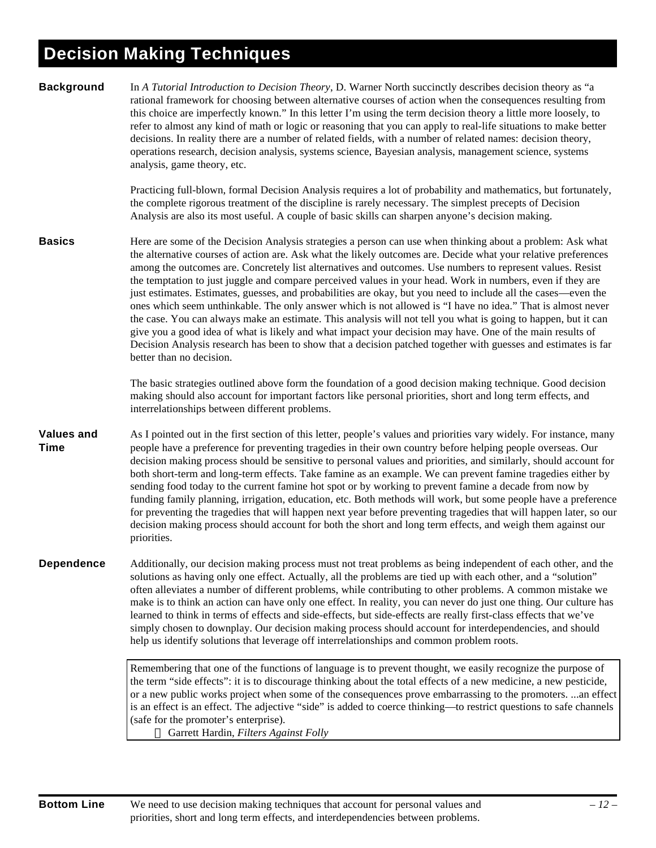## **Decision Making Techniques**

| <b>Background</b>         | In A Tutorial Introduction to Decision Theory, D. Warner North succinctly describes decision theory as "a<br>rational framework for choosing between alternative courses of action when the consequences resulting from<br>this choice are imperfectly known." In this letter I'm using the term decision theory a little more loosely, to<br>refer to almost any kind of math or logic or reasoning that you can apply to real-life situations to make better<br>decisions. In reality there are a number of related fields, with a number of related names: decision theory,<br>operations research, decision analysis, systems science, Bayesian analysis, management science, systems<br>analysis, game theory, etc.                                                                                                                                                                                                                                                                                                                                               |
|---------------------------|------------------------------------------------------------------------------------------------------------------------------------------------------------------------------------------------------------------------------------------------------------------------------------------------------------------------------------------------------------------------------------------------------------------------------------------------------------------------------------------------------------------------------------------------------------------------------------------------------------------------------------------------------------------------------------------------------------------------------------------------------------------------------------------------------------------------------------------------------------------------------------------------------------------------------------------------------------------------------------------------------------------------------------------------------------------------|
|                           | Practicing full-blown, formal Decision Analysis requires a lot of probability and mathematics, but fortunately,<br>the complete rigorous treatment of the discipline is rarely necessary. The simplest precepts of Decision<br>Analysis are also its most useful. A couple of basic skills can sharpen anyone's decision making.                                                                                                                                                                                                                                                                                                                                                                                                                                                                                                                                                                                                                                                                                                                                       |
| <b>Basics</b>             | Here are some of the Decision Analysis strategies a person can use when thinking about a problem: Ask what<br>the alternative courses of action are. Ask what the likely outcomes are. Decide what your relative preferences<br>among the outcomes are. Concretely list alternatives and outcomes. Use numbers to represent values. Resist<br>the temptation to just juggle and compare perceived values in your head. Work in numbers, even if they are<br>just estimates. Estimates, guesses, and probabilities are okay, but you need to include all the cases—even the<br>ones which seem unthinkable. The only answer which is not allowed is "I have no idea." That is almost never<br>the case. You can always make an estimate. This analysis will not tell you what is going to happen, but it can<br>give you a good idea of what is likely and what impact your decision may have. One of the main results of<br>Decision Analysis research has been to show that a decision patched together with guesses and estimates is far<br>better than no decision. |
|                           | The basic strategies outlined above form the foundation of a good decision making technique. Good decision<br>making should also account for important factors like personal priorities, short and long term effects, and<br>interrelationships between different problems.                                                                                                                                                                                                                                                                                                                                                                                                                                                                                                                                                                                                                                                                                                                                                                                            |
| <b>Values and</b><br>Time | As I pointed out in the first section of this letter, people's values and priorities vary widely. For instance, many<br>people have a preference for preventing tragedies in their own country before helping people overseas. Our<br>decision making process should be sensitive to personal values and priorities, and similarly, should account for<br>both short-term and long-term effects. Take famine as an example. We can prevent famine tragedies either by<br>sending food today to the current famine hot spot or by working to prevent famine a decade from now by<br>funding family planning, irrigation, education, etc. Both methods will work, but some people have a preference<br>for preventing the tragedies that will happen next year before preventing tragedies that will happen later, so our<br>decision making process should account for both the short and long term effects, and weigh them against our<br>priorities.                                                                                                                  |
| <b>Dependence</b>         | Additionally, our decision making process must not treat problems as being independent of each other, and the<br>solutions as having only one effect. Actually, all the problems are tied up with each other, and a "solution"<br>often alleviates a number of different problems, while contributing to other problems. A common mistake we<br>make is to think an action can have only one effect. In reality, you can never do just one thing. Our culture has<br>learned to think in terms of effects and side-effects, but side-effects are really first-class effects that we've<br>simply chosen to downplay. Our decision making process should account for interdependencies, and should<br>help us identify solutions that leverage off interrelationships and common problem roots.                                                                                                                                                                                                                                                                         |
|                           | Remembering that one of the functions of language is to prevent thought, we easily recognize the purpose of<br>the term "side effects": it is to discourage thinking about the total effects of a new medicine, a new pesticide,<br>or a new public works project when some of the consequences prove embarrassing to the promoters. an effect<br>is an effect is an effect. The adjective "side" is added to coerce thinking—to restrict questions to safe channels<br>(safe for the promoter's enterprise).<br>-Garrett Hardin, Filters Against Folly                                                                                                                                                                                                                                                                                                                                                                                                                                                                                                                |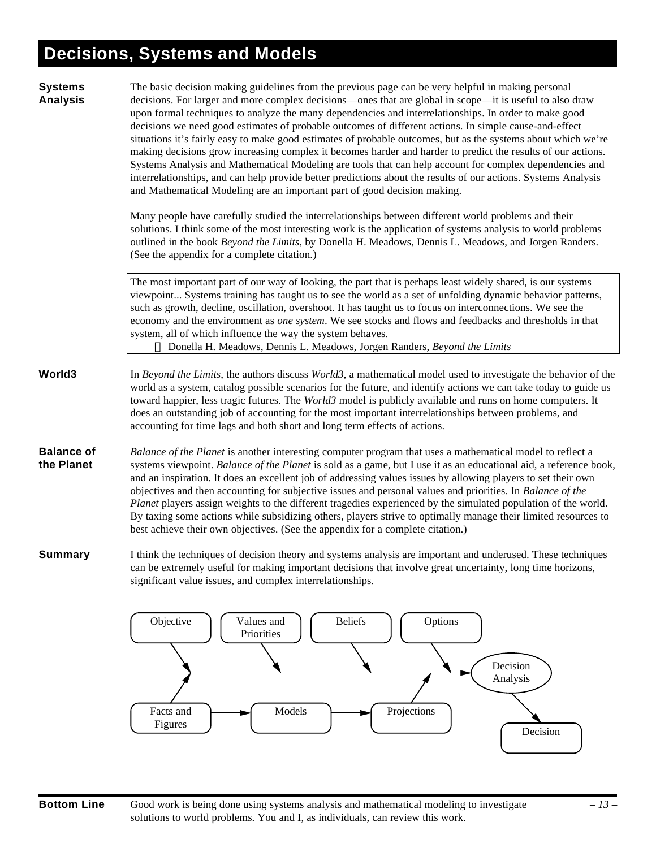## **Decisions, Systems and Models**

| <b>Systems</b><br><b>Analysis</b> | The basic decision making guidelines from the previous page can be very helpful in making personal<br>decisions. For larger and more complex decisions—ones that are global in scope—it is useful to also draw<br>upon formal techniques to analyze the many dependencies and interrelationships. In order to make good<br>decisions we need good estimates of probable outcomes of different actions. In simple cause-and-effect<br>situations it's fairly easy to make good estimates of probable outcomes, but as the systems about which we're<br>making decisions grow increasing complex it becomes harder and harder to predict the results of our actions.<br>Systems Analysis and Mathematical Modeling are tools that can help account for complex dependencies and<br>interrelationships, and can help provide better predictions about the results of our actions. Systems Analysis<br>and Mathematical Modeling are an important part of good decision making. |  |  |  |  |  |  |
|-----------------------------------|-----------------------------------------------------------------------------------------------------------------------------------------------------------------------------------------------------------------------------------------------------------------------------------------------------------------------------------------------------------------------------------------------------------------------------------------------------------------------------------------------------------------------------------------------------------------------------------------------------------------------------------------------------------------------------------------------------------------------------------------------------------------------------------------------------------------------------------------------------------------------------------------------------------------------------------------------------------------------------|--|--|--|--|--|--|
|                                   | Many people have carefully studied the interrelationships between different world problems and their<br>solutions. I think some of the most interesting work is the application of systems analysis to world problems<br>outlined in the book Beyond the Limits, by Donella H. Meadows, Dennis L. Meadows, and Jorgen Randers.<br>(See the appendix for a complete citation.)                                                                                                                                                                                                                                                                                                                                                                                                                                                                                                                                                                                               |  |  |  |  |  |  |
|                                   | The most important part of our way of looking, the part that is perhaps least widely shared, is our systems<br>viewpoint Systems training has taught us to see the world as a set of unfolding dynamic behavior patterns,<br>such as growth, decline, oscillation, overshoot. It has taught us to focus on interconnections. We see the<br>economy and the environment as one system. We see stocks and flows and feedbacks and thresholds in that<br>system, all of which influence the way the system behaves.<br>- Donella H. Meadows, Dennis L. Meadows, Jorgen Randers, Beyond the Limits                                                                                                                                                                                                                                                                                                                                                                              |  |  |  |  |  |  |
| World3                            | In Beyond the Limits, the authors discuss World3, a mathematical model used to investigate the behavior of the<br>world as a system, catalog possible scenarios for the future, and identify actions we can take today to guide us<br>toward happier, less tragic futures. The World3 model is publicly available and runs on home computers. It<br>does an outstanding job of accounting for the most important interrelationships between problems, and<br>accounting for time lags and both short and long term effects of actions.                                                                                                                                                                                                                                                                                                                                                                                                                                      |  |  |  |  |  |  |
| <b>Balance of</b><br>the Planet   | Balance of the Planet is another interesting computer program that uses a mathematical model to reflect a<br>systems viewpoint. Balance of the Planet is sold as a game, but I use it as an educational aid, a reference book,<br>and an inspiration. It does an excellent job of addressing values issues by allowing players to set their own<br>objectives and then accounting for subjective issues and personal values and priorities. In Balance of the<br>Planet players assign weights to the different tragedies experienced by the simulated population of the world.<br>By taxing some actions while subsidizing others, players strive to optimally manage their limited resources to<br>best achieve their own objectives. (See the appendix for a complete citation.)                                                                                                                                                                                         |  |  |  |  |  |  |
| <b>Summary</b>                    | I think the techniques of decision theory and systems analysis are important and underused. These techniques<br>can be extremely useful for making important decisions that involve great uncertainty, long time horizons,<br>significant value issues, and complex interrelationships.                                                                                                                                                                                                                                                                                                                                                                                                                                                                                                                                                                                                                                                                                     |  |  |  |  |  |  |

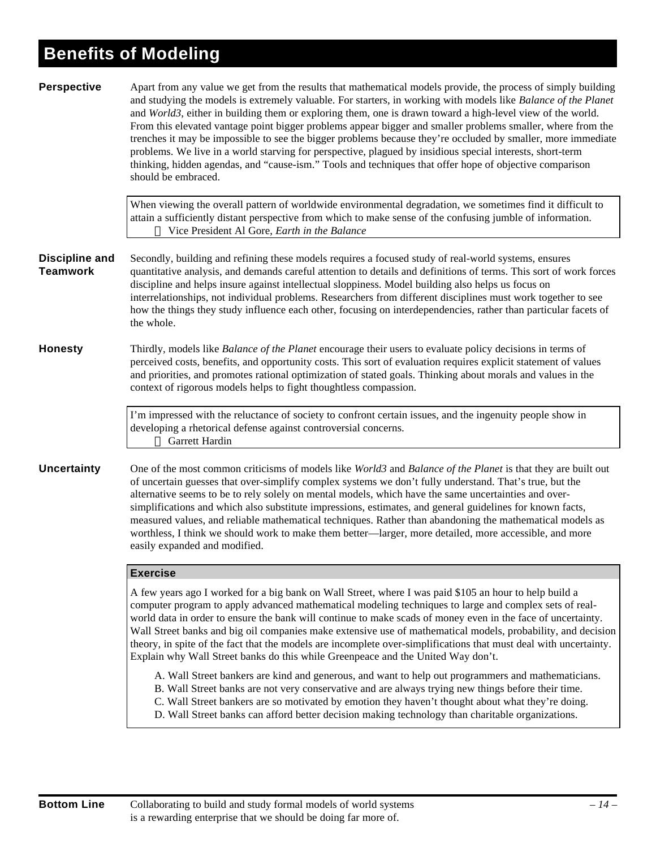#### **Benefits of Modeling**

**Perspective** Apart from any value we get from the results that mathematical models provide, the process of simply building and studying the models is extremely valuable. For starters, in working with models like *Balance of the Planet* and *World3*, either in building them or exploring them, one is drawn toward a high-level view of the world. From this elevated vantage point bigger problems appear bigger and smaller problems smaller, where from the trenches it may be impossible to see the bigger problems because they're occluded by smaller, more immediate problems. We live in a world starving for perspective, plagued by insidious special interests, short-term thinking, hidden agendas, and "cause-ism." Tools and techniques that offer hope of objective comparison should be embraced.

> When viewing the overall pattern of worldwide environmental degradation, we sometimes find it difficult to attain a sufficiently distant perspective from which to make sense of the confusing jumble of information. Vice President Al Gore, *Earth in the Balance*

#### **Discipline and** Secondly, building and refining these models requires a focused study of real-world systems, ensures **Teamwork** quantitative analysis, and demands careful attention to details and definitions of terms. This sort of work forces discipline and helps insure against intellectual sloppiness. Model building also helps us focus on interrelationships, not individual problems. Researchers from different disciplines must work together to see how the things they study influence each other, focusing on interdependencies, rather than particular facets of the whole.

#### **Honesty** Thirdly, models like *Balance of the Planet* encourage their users to evaluate policy decisions in terms of perceived costs, benefits, and opportunity costs. This sort of evaluation requires explicit statement of values and priorities, and promotes rational optimization of stated goals. Thinking about morals and values in the context of rigorous models helps to fight thoughtless compassion.

I'm impressed with the reluctance of society to confront certain issues, and the ingenuity people show in developing a rhetorical defense against controversial concerns. Garrett Hardin

**Uncertainty** One of the most common criticisms of models like *World3* and *Balance of the Planet* is that they are built out of uncertain guesses that over-simplify complex systems we don't fully understand. That's true, but the alternative seems to be to rely solely on mental models, which have the same uncertainties and oversimplifications and which also substitute impressions, estimates, and general guidelines for known facts, measured values, and reliable mathematical techniques. Rather than abandoning the mathematical models as worthless, I think we should work to make them better—larger, more detailed, more accessible, and more easily expanded and modified.

#### **Exercise**

A few years ago I worked for a big bank on Wall Street, where I was paid \$105 an hour to help build a computer program to apply advanced mathematical modeling techniques to large and complex sets of realworld data in order to ensure the bank will continue to make scads of money even in the face of uncertainty. Wall Street banks and big oil companies make extensive use of mathematical models, probability, and decision theory, in spite of the fact that the models are incomplete over-simplifications that must deal with uncertainty. Explain why Wall Street banks do this while Greenpeace and the United Way don't.

- A. Wall Street bankers are kind and generous, and want to help out programmers and mathematicians.
- B. Wall Street banks are not very conservative and are always trying new things before their time.
- C. Wall Street bankers are so motivated by emotion they haven't thought about what they're doing.
- D. Wall Street banks can afford better decision making technology than charitable organizations.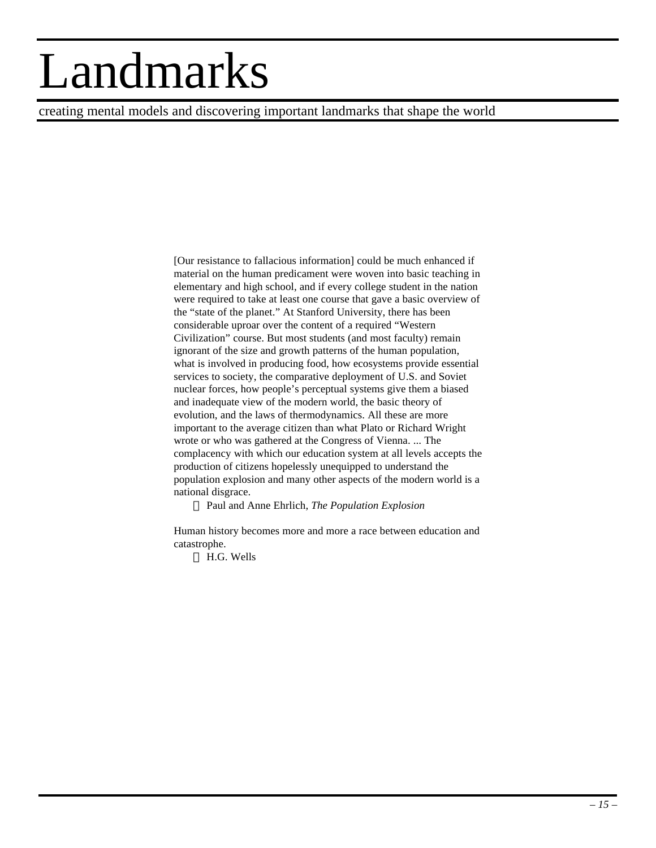## Landmarks

creating mental models and discovering important landmarks that shape the world

[Our resistance to fallacious information] could be much enhanced if material on the human predicament were woven into basic teaching in elementary and high school, and if every college student in the nation were required to take at least one course that gave a basic overview of the "state of the planet." At Stanford University, there has been considerable uproar over the content of a required "Western Civilization" course. But most students (and most faculty) remain ignorant of the size and growth patterns of the human population, what is involved in producing food, how ecosystems provide essential services to society, the comparative deployment of U.S. and Soviet nuclear forces, how people's perceptual systems give them a biased and inadequate view of the modern world, the basic theory of evolution, and the laws of thermodynamics. All these are more important to the average citizen than what Plato or Richard Wright wrote or who was gathered at the Congress of Vienna. ... The complacency with which our education system at all levels accepts the production of citizens hopelessly unequipped to understand the population explosion and many other aspects of the modern world is a national disgrace.

Paul and Anne Ehrlich, *The Population Explosion*

Human history becomes more and more a race between education and catastrophe.

H.G. Wells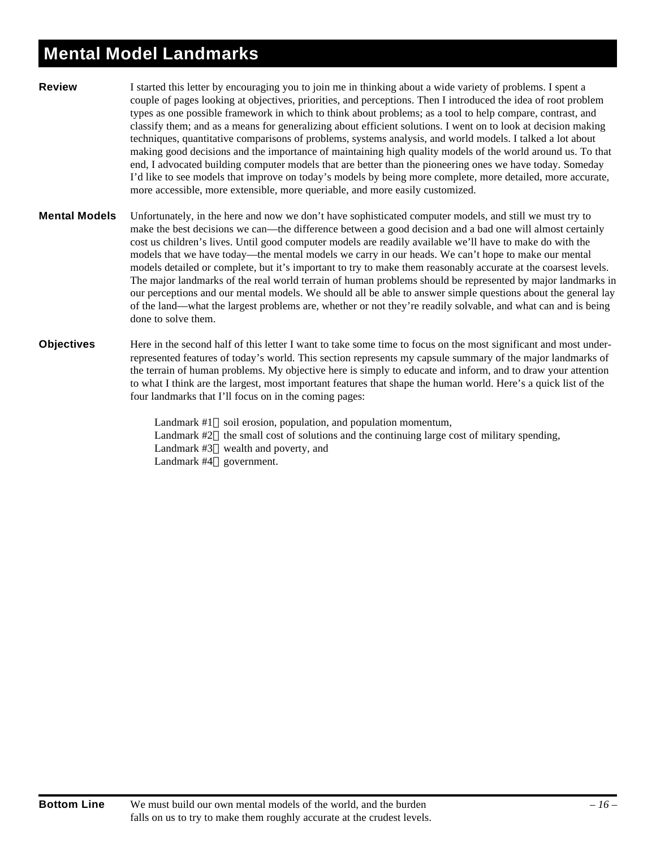### **Mental Model Landmarks**

**Review** I started this letter by encouraging you to join me in thinking about a wide variety of problems. I spent a couple of pages looking at objectives, priorities, and perceptions. Then I introduced the idea of root problem types as one possible framework in which to think about problems; as a tool to help compare, contrast, and classify them; and as a means for generalizing about efficient solutions. I went on to look at decision making techniques, quantitative comparisons of problems, systems analysis, and world models. I talked a lot about making good decisions and the importance of maintaining high quality models of the world around us. To that end, I advocated building computer models that are better than the pioneering ones we have today. Someday I'd like to see models that improve on today's models by being more complete, more detailed, more accurate, more accessible, more extensible, more queriable, and more easily customized.

- **Mental Models** Unfortunately, in the here and now we don't have sophisticated computer models, and still we must try to make the best decisions we can—the difference between a good decision and a bad one will almost certainly cost us children's lives. Until good computer models are readily available we'll have to make do with the models that we have today—the mental models we carry in our heads. We can't hope to make our mental models detailed or complete, but it's important to try to make them reasonably accurate at the coarsest levels. The major landmarks of the real world terrain of human problems should be represented by major landmarks in our perceptions and our mental models. We should all be able to answer simple questions about the general lay of the land—what the largest problems are, whether or not they're readily solvable, and what can and is being done to solve them.
- **Objectives** Here in the second half of this letter I want to take some time to focus on the most significant and most underrepresented features of today's world. This section represents my capsule summary of the major landmarks of the terrain of human problems. My objective here is simply to educate and inform, and to draw your attention to what I think are the largest, most important features that shape the human world. Here's a quick list of the four landmarks that I'll focus on in the coming pages:

Landmark #1—soil erosion, population, and population momentum, Landmark  $#2$ —the small cost of solutions and the continuing large cost of military spending, Landmark  $#3$ —wealth and poverty, and Landmark #4-government.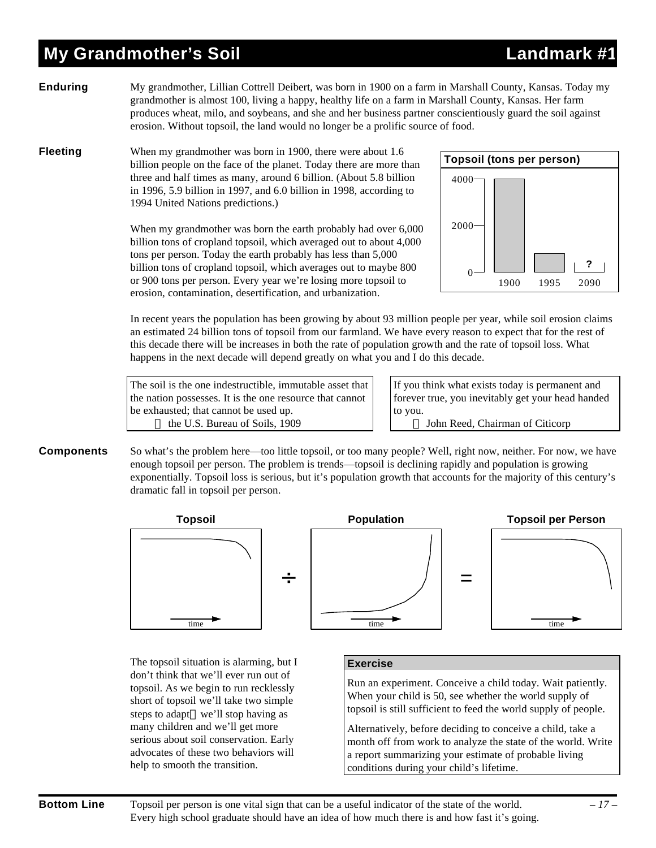### **My Grandmother's Soil Landmark #114 My Grandmark #1**

**Enduring** My grandmother, Lillian Cottrell Deibert, was born in 1900 on a farm in Marshall County, Kansas. Today my grandmother is almost 100, living a happy, healthy life on a farm in Marshall County, Kansas. Her farm produces wheat, milo, and soybeans, and she and her business partner conscientiously guard the soil against erosion. Without topsoil, the land would no longer be a prolific source of food.

**Fleeting** When my grandmother was born in 1900, there were about 1.6 billion people on the face of the planet. Today there are more than three and half times as many, around 6 billion. (About 5.8 billion in 1996, 5.9 billion in 1997, and 6.0 billion in 1998, according to 1994 United Nations predictions.)

> When my grandmother was born the earth probably had over 6,000 billion tons of cropland topsoil, which averaged out to about 4,000 tons per person. Today the earth probably has less than 5,000 billion tons of cropland topsoil, which averages out to maybe 800 or 900 tons per person. Every year we're losing more topsoil to erosion, contamination, desertification, and urbanization.



In recent years the population has been growing by about 93 million people per year, while soil erosion claims an estimated 24 billion tons of topsoil from our farmland. We have every reason to expect that for the rest of this decade there will be increases in both the rate of population growth and the rate of topsoil loss. What happens in the next decade will depend greatly on what you and I do this decade.

The soil is the one indestructible, immutable asset that the nation possesses. It is the one resource that cannot be exhausted; that cannot be used up. — the U.S. Bureau of Soils, 1909

If you think what exists today is permanent and forever true, you inevitably get your head handed to you.

John Reed, Chairman of Citicorp

**Components** So what's the problem here—too little topsoil, or too many people? Well, right now, neither. For now, we have enough topsoil per person. The problem is trends—topsoil is declining rapidly and population is growing exponentially. Topsoil loss is serious, but it's population growth that accounts for the majority of this century's dramatic fall in topsoil per person.



The topsoil situation is alarming, but I don't think that we'll ever run out of topsoil. As we begin to run recklessly short of topsoil we'll take two simple steps to adapt—we'll stop having as many children and we'll get more serious about soil conservation. Early advocates of these two behaviors will help to smooth the transition.

#### **Exercise**

Run an experiment. Conceive a child today. Wait patiently. When your child is 50, see whether the world supply of topsoil is still sufficient to feed the world supply of people.

Alternatively, before deciding to conceive a child, take a month off from work to analyze the state of the world. Write a report summarizing your estimate of probable living conditions during your child's lifetime.

**Bottom Line** Topsoil per person is one vital sign that can be a useful indicator of the state of the world. *– 17 –* Every high school graduate should have an idea of how much there is and how fast it's going.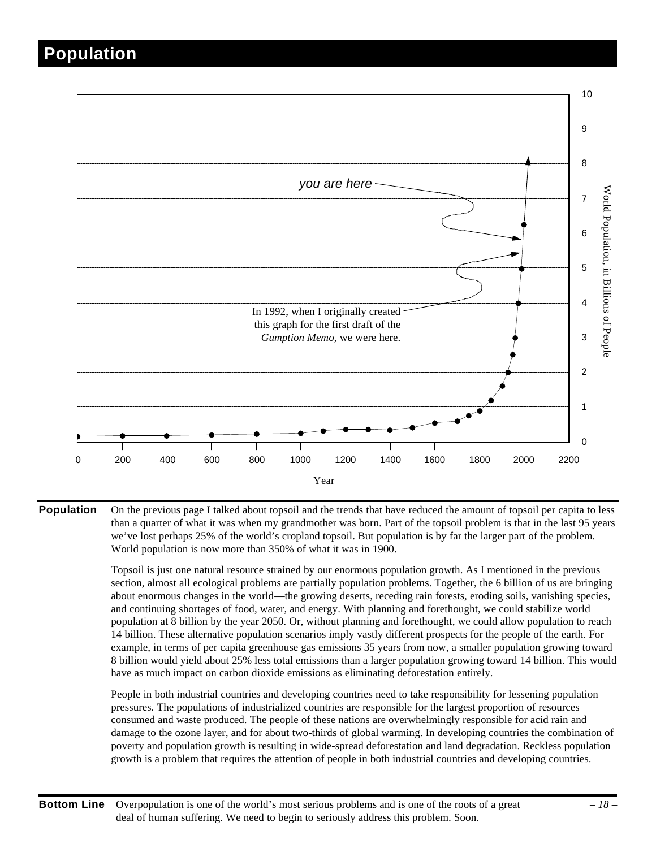

**Population** On the previous page I talked about topsoil and the trends that have reduced the amount of topsoil per capita to less than a quarter of what it was when my grandmother was born. Part of the topsoil problem is that in the last 95 years we've lost perhaps 25% of the world's cropland topsoil. But population is by far the larger part of the problem. World population is now more than 350% of what it was in 1900.

> Topsoil is just one natural resource strained by our enormous population growth. As I mentioned in the previous section, almost all ecological problems are partially population problems. Together, the 6 billion of us are bringing about enormous changes in the world—the growing deserts, receding rain forests, eroding soils, vanishing species, and continuing shortages of food, water, and energy. With planning and forethought, we could stabilize world population at 8 billion by the year 2050. Or, without planning and forethought, we could allow population to reach 14 billion. These alternative population scenarios imply vastly different prospects for the people of the earth. For example, in terms of per capita greenhouse gas emissions 35 years from now, a smaller population growing toward 8 billion would yield about 25% less total emissions than a larger population growing toward 14 billion. This would have as much impact on carbon dioxide emissions as eliminating deforestation entirely.

> People in both industrial countries and developing countries need to take responsibility for lessening population pressures. The populations of industrialized countries are responsible for the largest proportion of resources consumed and waste produced. The people of these nations are overwhelmingly responsible for acid rain and damage to the ozone layer, and for about two-thirds of global warming. In developing countries the combination of poverty and population growth is resulting in wide-spread deforestation and land degradation. Reckless population growth is a problem that requires the attention of people in both industrial countries and developing countries.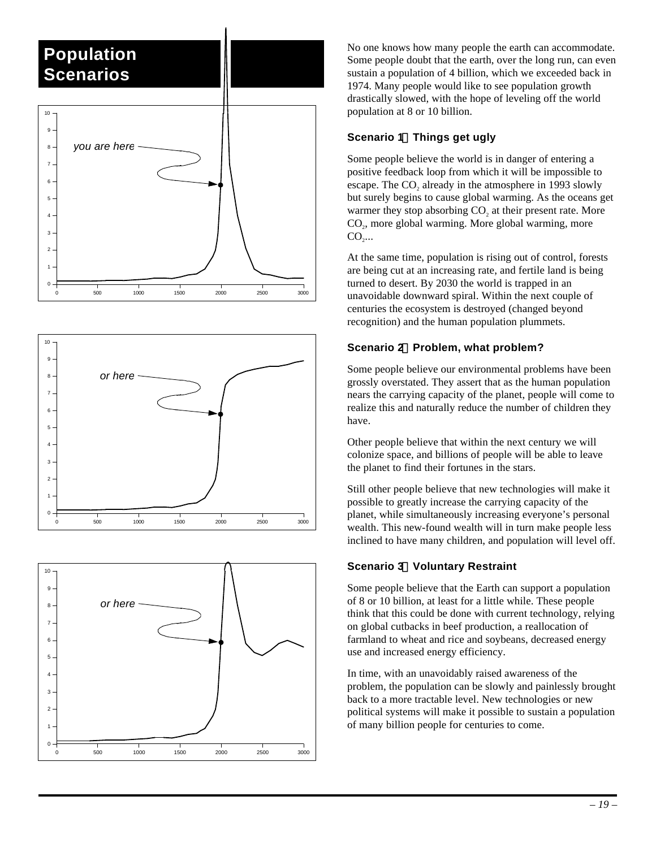### **Population Scenarios**







No one knows how many people the earth can accommodate. Some people doubt that the earth, over the long run, can even sustain a population of 4 billion, which we exceeded back in 1974. Many people would like to see population growth drastically slowed, with the hope of leveling off the world population at 8 or 10 billion.

#### **Scenario 1Things get ugly**

Some people believe the world is in danger of entering a positive feedback loop from which it will be impossible to escape. The  $CO_2$  already in the atmosphere in 1993 slowly but surely begins to cause global warming. As the oceans get warmer they stop absorbing  $CO<sub>2</sub>$  at their present rate. More CO<sub>2</sub>, more global warming. More global warming, more  $CO_{2}...$ 

At the same time, population is rising out of control, forests are being cut at an increasing rate, and fertile land is being turned to desert. By 2030 the world is trapped in an unavoidable downward spiral. Within the next couple of centuries the ecosystem is destroyed (changed beyond recognition) and the human population plummets.

#### **Scenario 2Problem, what problem?**

Some people believe our environmental problems have been grossly overstated. They assert that as the human population nears the carrying capacity of the planet, people will come to realize this and naturally reduce the number of children they have.

Other people believe that within the next century we will colonize space, and billions of people will be able to leave the planet to find their fortunes in the stars.

Still other people believe that new technologies will make it possible to greatly increase the carrying capacity of the planet, while simultaneously increasing everyone's personal wealth. This new-found wealth will in turn make people less inclined to have many children, and population will level off.

#### **Scenario 3Voluntary Restraint**

Some people believe that the Earth can support a population of 8 or 10 billion, at least for a little while. These people think that this could be done with current technology, relying on global cutbacks in beef production, a reallocation of farmland to wheat and rice and soybeans, decreased energy use and increased energy efficiency.

In time, with an unavoidably raised awareness of the problem, the population can be slowly and painlessly brought back to a more tractable level. New technologies or new political systems will make it possible to sustain a population of many billion people for centuries to come.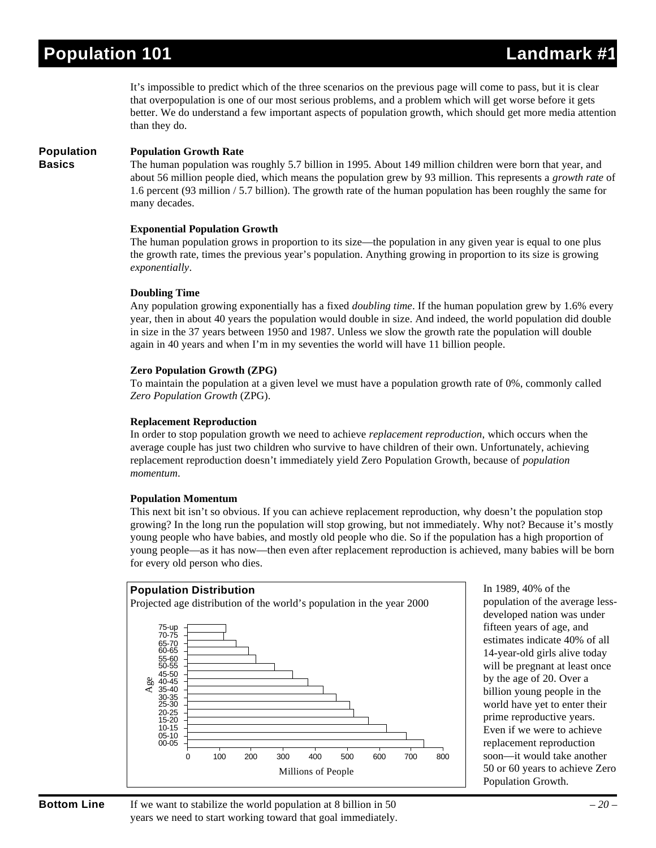It's impossible to predict which of the three scenarios on the previous page will come to pass, but it is clear that overpopulation is one of our most serious problems, and a problem which will get worse before it gets better. We do understand a few important aspects of population growth, which should get more media attention than they do.

#### **Population Population Growth Rate**

**Basics** The human population was roughly 5.7 billion in 1995. About 149 million children were born that year, and about 56 million people died, which means the population grew by 93 million. This represents a *growth rate* of 1.6 percent (93 million / 5.7 billion). The growth rate of the human population has been roughly the same for many decades.

#### **Exponential Population Growth**

The human population grows in proportion to its size—the population in any given year is equal to one plus the growth rate, times the previous year's population. Anything growing in proportion to its size is growing *exponentially*.

#### **Doubling Time**

Any population growing exponentially has a fixed *doubling time*. If the human population grew by 1.6% every year, then in about 40 years the population would double in size. And indeed, the world population did double in size in the 37 years between 1950 and 1987. Unless we slow the growth rate the population will double again in 40 years and when I'm in my seventies the world will have 11 billion people.

#### **Zero Population Growth (ZPG)**

To maintain the population at a given level we must have a population growth rate of 0%, commonly called *Zero Population Growth* (ZPG).

#### **Replacement Reproduction**

In order to stop population growth we need to achieve *replacement reproduction*, which occurs when the average couple has just two children who survive to have children of their own. Unfortunately, achieving replacement reproduction doesn't immediately yield Zero Population Growth, because of *population momentum*.

#### **Population Momentum**

This next bit isn't so obvious. If you can achieve replacement reproduction, why doesn't the population stop growing? In the long run the population will stop growing, but not immediately. Why not? Because it's mostly young people who have babies, and mostly old people who die. So if the population has a high proportion of young people—as it has now—then even after replacement reproduction is achieved, many babies will be born for every old person who dies.



In 1989, 40% of the population of the average lessdeveloped nation was under fifteen years of age, and estimates indicate 40% of all 14-year-old girls alive today will be pregnant at least once by the age of 20. Over a billion young people in the world have yet to enter their prime reproductive years. Even if we were to achieve replacement reproduction soon—it would take another 50 or 60 years to achieve Zero Population Growth.

**Bottom Line** If we want to stabilize the world population at 8 billion in 50 *– 20 – 20 –* years we need to start working toward that goal immediately.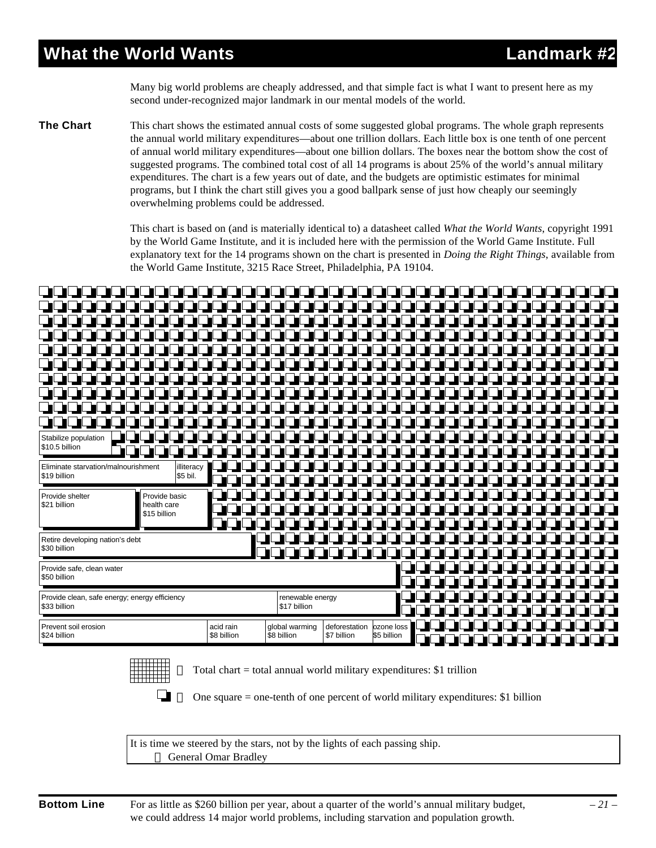### **What the World Wants Landmark #2**

Many big world problems are cheaply addressed, and that simple fact is what I want to present here as my second under-recognized major landmark in our mental models of the world.

**The Chart** This chart shows the estimated annual costs of some suggested global programs. The whole graph represents the annual world military expenditures—about one trillion dollars. Each little box is one tenth of one percent of annual world military expenditures—about one billion dollars. The boxes near the bottom show the cost of suggested programs. The combined total cost of all 14 programs is about 25% of the world's annual military expenditures. The chart is a few years out of date, and the budgets are optimistic estimates for minimal programs, but I think the chart still gives you a good ballpark sense of just how cheaply our seemingly overwhelming problems could be addressed.

> This chart is based on (and is materially identical to) a datasheet called *What the World Wants*, copyright 1991 by the World Game Institute, and it is included here with the permission of the World Game Institute. Full explanatory text for the 14 programs shown on the chart is presented in *Doing the Right Things*, available from the World Game Institute, 3215 Race Street, Philadelphia, PA 19104.

| and the                                                                       |             |                                  |               |             |  |  |
|-------------------------------------------------------------------------------|-------------|----------------------------------|---------------|-------------|--|--|
|                                                                               |             |                                  |               |             |  |  |
|                                                                               |             |                                  |               |             |  |  |
|                                                                               |             |                                  |               |             |  |  |
|                                                                               |             |                                  |               |             |  |  |
|                                                                               |             |                                  |               |             |  |  |
|                                                                               |             |                                  |               |             |  |  |
|                                                                               |             |                                  |               |             |  |  |
|                                                                               |             |                                  |               |             |  |  |
| Stabilize population                                                          |             |                                  |               |             |  |  |
| \$10.5 billion                                                                |             |                                  |               |             |  |  |
| Eliminate starvation/malnourishment<br>illiteracy<br>\$5 bil.<br>\$19 billion |             |                                  |               |             |  |  |
|                                                                               |             |                                  |               |             |  |  |
| Provide shelter<br>Provide basic<br>\$21 billion<br>health care               |             |                                  |               |             |  |  |
| \$15 billion                                                                  |             |                                  |               |             |  |  |
| Retire developing nation's debt                                               |             |                                  |               |             |  |  |
| \$30 billion                                                                  |             |                                  |               |             |  |  |
| Provide safe, clean water                                                     |             |                                  |               |             |  |  |
| \$50 billion                                                                  |             |                                  |               |             |  |  |
| Provide clean, safe energy; energy efficiency<br>\$33 billion                 |             | renewable energy<br>\$17 billion |               |             |  |  |
| Prevent soil erosion                                                          | acid rain   | global warming                   | deforestation | ozone loss  |  |  |
| \$24 billion                                                                  | \$8 billion | \$8 billion                      | \$7 billion   | \$5 billion |  |  |

Total chart = total annual world military expenditures: \$1 trillion

One square = one-tenth of one percent of world military expenditures: \$1 billion

It is time we steered by the stars, not by the lights of each passing ship. - General Omar Bradley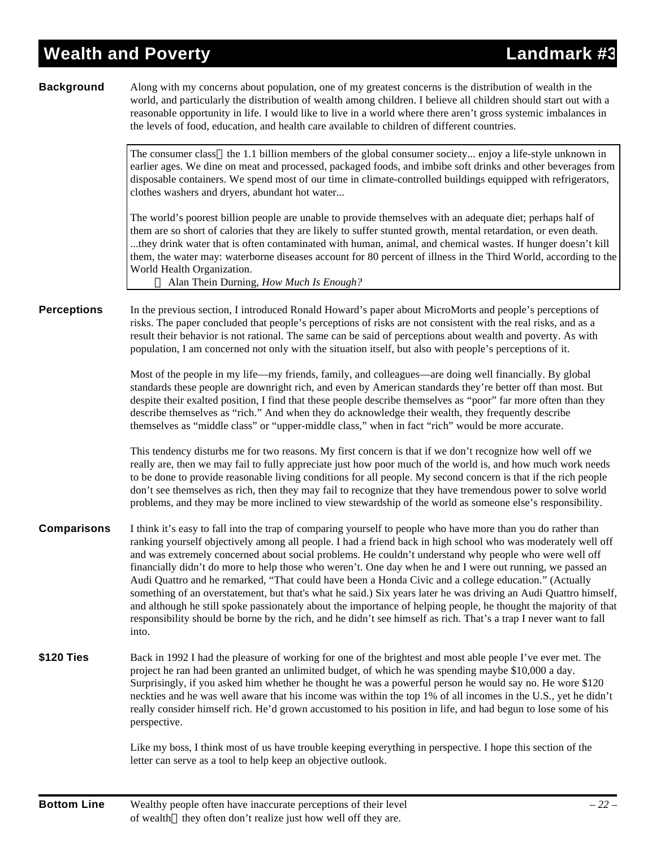#### **Wealth and Poverty Landmark #3**

**Background** Along with my concerns about population, one of my greatest concerns is the distribution of wealth in the world, and particularly the distribution of wealth among children. I believe all children should start out with a reasonable opportunity in life. I would like to live in a world where there aren't gross systemic imbalances in the levels of food, education, and health care available to children of different countries.

> The consumer class—the 1.1 billion members of the global consumer society... enjoy a life-style unknown in earlier ages. We dine on meat and processed, packaged foods, and imbibe soft drinks and other beverages from disposable containers. We spend most of our time in climate-controlled buildings equipped with refrigerators, clothes washers and dryers, abundant hot water...

> The world's poorest billion people are unable to provide themselves with an adequate diet; perhaps half of them are so short of calories that they are likely to suffer stunted growth, mental retardation, or even death. ...they drink water that is often contaminated with human, animal, and chemical wastes. If hunger doesn't kill them, the water may: waterborne diseases account for 80 percent of illness in the Third World, according to the World Health Organization.

Alan Thein Durning, *How Much Is Enough?*

**Perceptions** In the previous section, I introduced Ronald Howard's paper about MicroMorts and people's perceptions of risks. The paper concluded that people's perceptions of risks are not consistent with the real risks, and as a result their behavior is not rational. The same can be said of perceptions about wealth and poverty. As with population, I am concerned not only with the situation itself, but also with people's perceptions of it.

> Most of the people in my life—my friends, family, and colleagues—are doing well financially. By global standards these people are downright rich, and even by American standards they're better off than most. But despite their exalted position, I find that these people describe themselves as "poor" far more often than they describe themselves as "rich." And when they do acknowledge their wealth, they frequently describe themselves as "middle class" or "upper-middle class," when in fact "rich" would be more accurate.

This tendency disturbs me for two reasons. My first concern is that if we don't recognize how well off we really are, then we may fail to fully appreciate just how poor much of the world is, and how much work needs to be done to provide reasonable living conditions for all people. My second concern is that if the rich people don't see themselves as rich, then they may fail to recognize that they have tremendous power to solve world problems, and they may be more inclined to view stewardship of the world as someone else's responsibility.

**Comparisons** I think it's easy to fall into the trap of comparing yourself to people who have more than you do rather than ranking yourself objectively among all people. I had a friend back in high school who was moderately well off and was extremely concerned about social problems. He couldn't understand why people who were well off financially didn't do more to help those who weren't. One day when he and I were out running, we passed an Audi Quattro and he remarked, "That could have been a Honda Civic and a college education." (Actually something of an overstatement, but that's what he said.) Six years later he was driving an Audi Quattro himself, and although he still spoke passionately about the importance of helping people, he thought the majority of that responsibility should be borne by the rich, and he didn't see himself as rich. That's a trap I never want to fall into.

**\$120 Ties** Back in 1992 I had the pleasure of working for one of the brightest and most able people I've ever met. The project he ran had been granted an unlimited budget, of which he was spending maybe \$10,000 a day. Surprisingly, if you asked him whether he thought he was a powerful person he would say no. He wore \$120 neckties and he was well aware that his income was within the top 1% of all incomes in the U.S., yet he didn't really consider himself rich. He'd grown accustomed to his position in life, and had begun to lose some of his perspective.

> Like my boss, I think most of us have trouble keeping everything in perspective. I hope this section of the letter can serve as a tool to help keep an objective outlook.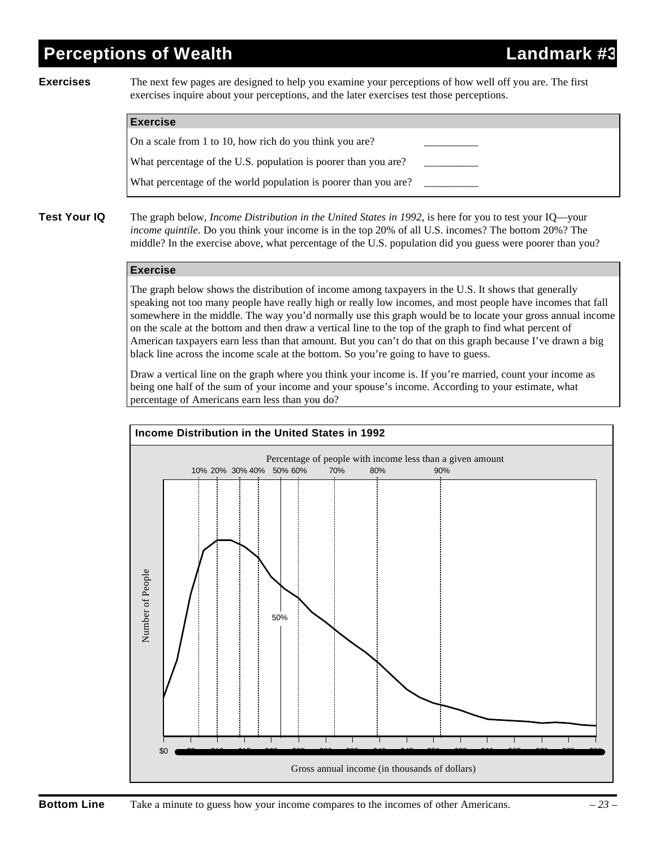#### **Perceptions of Wealth Landmark #3**

**Exercises** The next few pages are designed to help you examine your perceptions of how well off you are. The first exercises inquire about your perceptions, and the later exercises test those perceptions.

#### **Exercise**

| On a scale from 1 to 10, how rich do you think you are?         |  |
|-----------------------------------------------------------------|--|
| What percentage of the U.S. population is poorer than you are?  |  |
| What percentage of the world population is poorer than you are? |  |
|                                                                 |  |

**Test Your IQ** The graph below, *Income Distribution in the United States in 1992*, is here for you to test your IQ—your *income quintile*. Do you think your income is in the top 20% of all U.S. incomes? The bottom 20%? The middle? In the exercise above, what percentage of the U.S. population did you guess were poorer than you?

#### **Exercise**

The graph below shows the distribution of income among taxpayers in the U.S. It shows that generally speaking not too many people have really high or really low incomes, and most people have incomes that fall somewhere in the middle. The way you'd normally use this graph would be to locate your gross annual income on the scale at the bottom and then draw a vertical line to the top of the graph to find what percent of American taxpayers earn less than that amount. But you can't do that on this graph because I've drawn a big black line across the income scale at the bottom. So you're going to have to guess.

Draw a vertical line on the graph where you think your income is. If you're married, count your income as being one half of the sum of your income and your spouse's income. According to your estimate, what percentage of Americans earn less than you do?

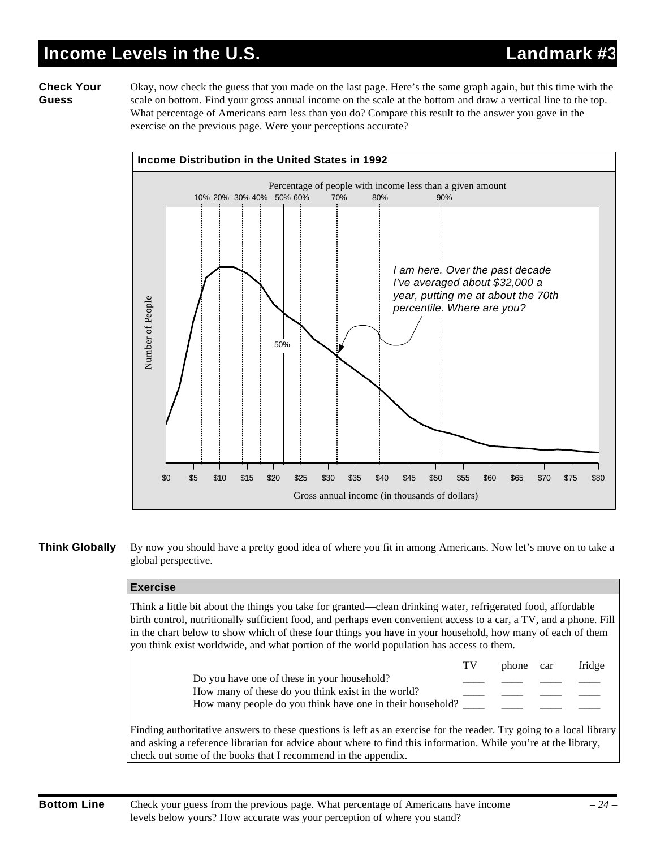## **Income Levels in the U.S. Landmark #3**

**Check Your** Okay, now check the guess that you made on the last page. Here's the same graph again, but this time with the **Guess** scale on bottom. Find your gross annual income on the scale at the bottom and draw a vertical line to the top. What percentage of Americans earn less than you do? Compare this result to the answer you gave in the exercise on the previous page. Were your perceptions accurate?



#### **Think Globally** By now you should have a pretty good idea of where you fit in among Americans. Now let's move on to take a global perspective.

#### **Exercise**

Think a little bit about the things you take for granted—clean drinking water, refrigerated food, affordable birth control, nutritionally sufficient food, and perhaps even convenient access to a car, a TV, and a phone. Fill in the chart below to show which of these four things you have in your household, how many of each of them you think exist worldwide, and what portion of the world population has access to them.

|                                                           | TV | phone car | fridge |
|-----------------------------------------------------------|----|-----------|--------|
| Do you have one of these in your household?               |    |           |        |
| How many of these do you think exist in the world?        |    |           |        |
| How many people do you think have one in their household? |    |           |        |

Finding authoritative answers to these questions is left as an exercise for the reader. Try going to a local library and asking a reference librarian for advice about where to find this information. While you're at the library, check out some of the books that I recommend in the appendix.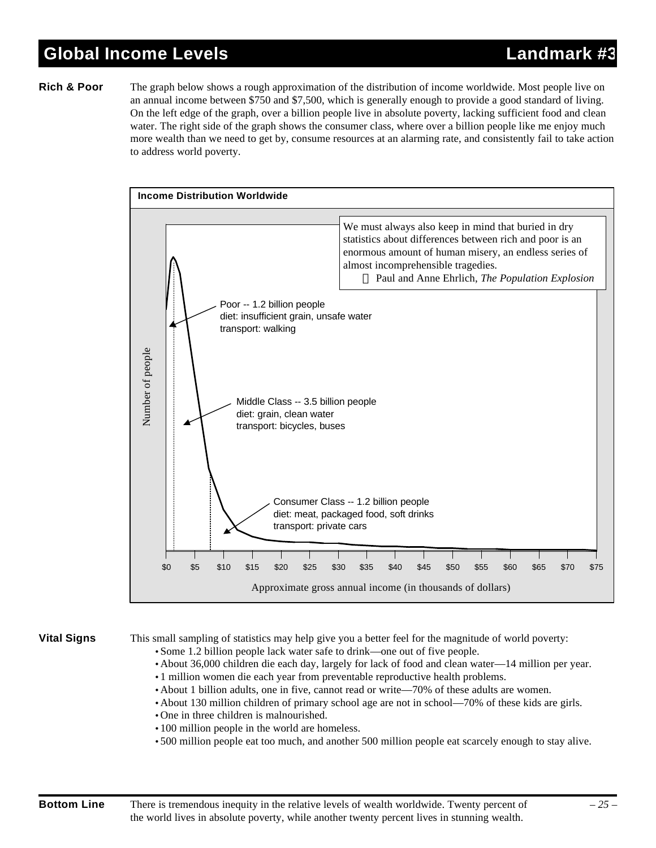### **Global Income Levels Landmark #3**

**Rich & Poor** The graph below shows a rough approximation of the distribution of income worldwide. Most people live on an annual income between \$750 and \$7,500, which is generally enough to provide a good standard of living. On the left edge of the graph, over a billion people live in absolute poverty, lacking sufficient food and clean water. The right side of the graph shows the consumer class, where over a billion people like me enjoy much more wealth than we need to get by, consume resources at an alarming rate, and consistently fail to take action to address world poverty.



**Vital Signs** This small sampling of statistics may help give you a better feel for the magnitude of world poverty:

- Some 1.2 billion people lack water safe to drink—one out of five people.
- About 36,000 children die each day, largely for lack of food and clean water—14 million per year.
- 1 million women die each year from preventable reproductive health problems.
- About 1 billion adults, one in five, cannot read or write—70% of these adults are women.
- About 130 million children of primary school age are not in school—70% of these kids are girls.
- One in three children is malnourished.
- 100 million people in the world are homeless.
- 500 million people eat too much, and another 500 million people eat scarcely enough to stay alive.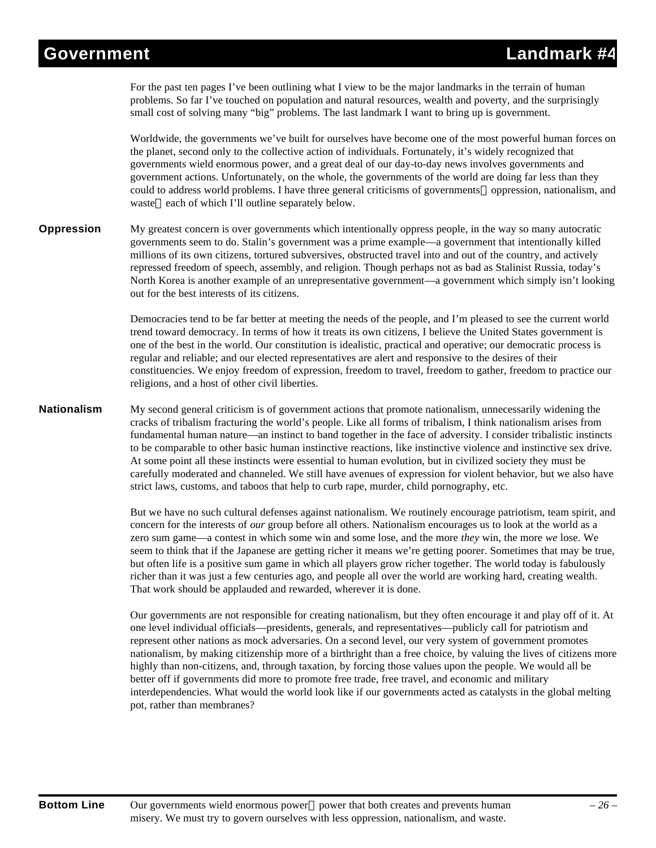For the past ten pages I've been outlining what I view to be the major landmarks in the terrain of human problems. So far I've touched on population and natural resources, wealth and poverty, and the surprisingly small cost of solving many "big" problems. The last landmark I want to bring up is government.

Worldwide, the governments we've built for ourselves have become one of the most powerful human forces on the planet, second only to the collective action of individuals. Fortunately, it's widely recognized that governments wield enormous power, and a great deal of our day-to-day news involves governments and government actions. Unfortunately, on the whole, the governments of the world are doing far less than they could to address world problems. I have three general criticisms of governments—oppression, nationalism, and waste—each of which I'll outline separately below.

**Oppression** My greatest concern is over governments which intentionally oppress people, in the way so many autocratic governments seem to do. Stalin's government was a prime example—a government that intentionally killed millions of its own citizens, tortured subversives, obstructed travel into and out of the country, and actively repressed freedom of speech, assembly, and religion. Though perhaps not as bad as Stalinist Russia, today's North Korea is another example of an unrepresentative government—a government which simply isn't looking out for the best interests of its citizens.

> Democracies tend to be far better at meeting the needs of the people, and I'm pleased to see the current world trend toward democracy. In terms of how it treats its own citizens, I believe the United States government is one of the best in the world. Our constitution is idealistic, practical and operative; our democratic process is regular and reliable; and our elected representatives are alert and responsive to the desires of their constituencies. We enjoy freedom of expression, freedom to travel, freedom to gather, freedom to practice our religions, and a host of other civil liberties.

**Nationalism** My second general criticism is of government actions that promote nationalism, unnecessarily widening the cracks of tribalism fracturing the world's people. Like all forms of tribalism, I think nationalism arises from fundamental human nature—an instinct to band together in the face of adversity. I consider tribalistic instincts to be comparable to other basic human instinctive reactions, like instinctive violence and instinctive sex drive. At some point all these instincts were essential to human evolution, but in civilized society they must be carefully moderated and channeled. We still have avenues of expression for violent behavior, but we also have strict laws, customs, and taboos that help to curb rape, murder, child pornography, etc.

> But we have no such cultural defenses against nationalism. We routinely encourage patriotism, team spirit, and concern for the interests of *our* group before all others. Nationalism encourages us to look at the world as a zero sum game—a contest in which some win and some lose, and the more *they* win, the more *we* lose. We seem to think that if the Japanese are getting richer it means we're getting poorer. Sometimes that may be true, but often life is a positive sum game in which all players grow richer together. The world today is fabulously richer than it was just a few centuries ago, and people all over the world are working hard, creating wealth. That work should be applauded and rewarded, wherever it is done.

> Our governments are not responsible for creating nationalism, but they often encourage it and play off of it. At one level individual officials—presidents, generals, and representatives—publicly call for patriotism and represent other nations as mock adversaries. On a second level, our very system of government promotes nationalism, by making citizenship more of a birthright than a free choice, by valuing the lives of citizens more highly than non-citizens, and, through taxation, by forcing those values upon the people. We would all be better off if governments did more to promote free trade, free travel, and economic and military interdependencies. What would the world look like if our governments acted as catalysts in the global melting pot, rather than membranes?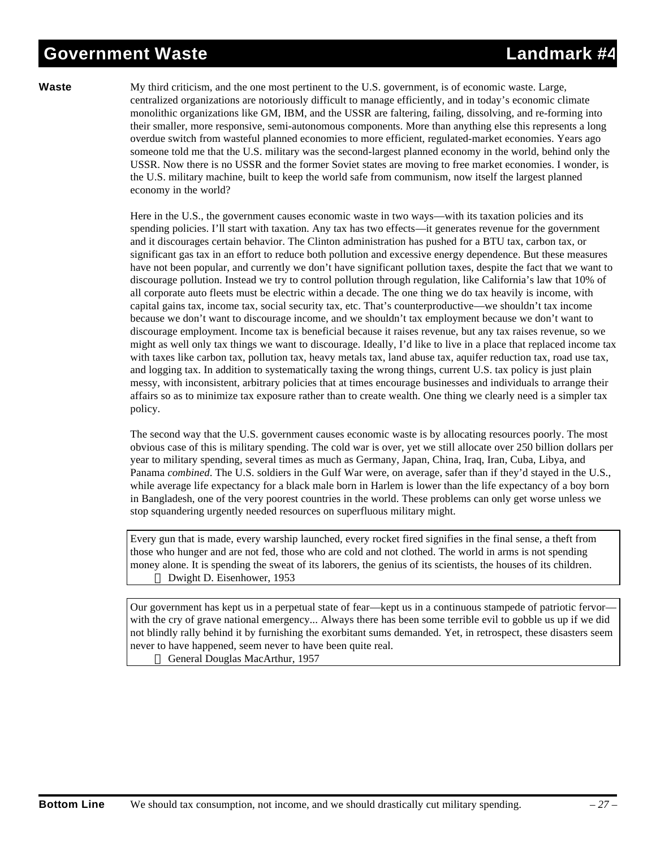#### **Government Waste Landmark #4**

**Waste** My third criticism, and the one most pertinent to the U.S. government, is of economic waste. Large, centralized organizations are notoriously difficult to manage efficiently, and in today's economic climate monolithic organizations like GM, IBM, and the USSR are faltering, failing, dissolving, and re-forming into their smaller, more responsive, semi-autonomous components. More than anything else this represents a long overdue switch from wasteful planned economies to more efficient, regulated-market economies. Years ago someone told me that the U.S. military was the second-largest planned economy in the world, behind only the USSR. Now there is no USSR and the former Soviet states are moving to free market economies. I wonder, is the U.S. military machine, built to keep the world safe from communism, now itself the largest planned economy in the world?

> Here in the U.S., the government causes economic waste in two ways—with its taxation policies and its spending policies. I'll start with taxation. Any tax has two effects—it generates revenue for the government and it discourages certain behavior. The Clinton administration has pushed for a BTU tax, carbon tax, or significant gas tax in an effort to reduce both pollution and excessive energy dependence. But these measures have not been popular, and currently we don't have significant pollution taxes, despite the fact that we want to discourage pollution. Instead we try to control pollution through regulation, like California's law that 10% of all corporate auto fleets must be electric within a decade. The one thing we do tax heavily is income, with capital gains tax, income tax, social security tax, etc. That's counterproductive—we shouldn't tax income because we don't want to discourage income, and we shouldn't tax employment because we don't want to discourage employment. Income tax is beneficial because it raises revenue, but any tax raises revenue, so we might as well only tax things we want to discourage. Ideally, I'd like to live in a place that replaced income tax with taxes like carbon tax, pollution tax, heavy metals tax, land abuse tax, aquifer reduction tax, road use tax, and logging tax. In addition to systematically taxing the wrong things, current U.S. tax policy is just plain messy, with inconsistent, arbitrary policies that at times encourage businesses and individuals to arrange their affairs so as to minimize tax exposure rather than to create wealth. One thing we clearly need is a simpler tax policy.

> The second way that the U.S. government causes economic waste is by allocating resources poorly. The most obvious case of this is military spending. The cold war is over, yet we still allocate over 250 billion dollars per year to military spending, several times as much as Germany, Japan, China, Iraq, Iran, Cuba, Libya, and Panama *combined*. The U.S. soldiers in the Gulf War were, on average, safer than if they'd stayed in the U.S., while average life expectancy for a black male born in Harlem is lower than the life expectancy of a boy born in Bangladesh, one of the very poorest countries in the world. These problems can only get worse unless we stop squandering urgently needed resources on superfluous military might.

Every gun that is made, every warship launched, every rocket fired signifies in the final sense, a theft from those who hunger and are not fed, those who are cold and not clothed. The world in arms is not spending money alone. It is spending the sweat of its laborers, the genius of its scientists, the houses of its children. Dwight D. Eisenhower, 1953

Our government has kept us in a perpetual state of fear—kept us in a continuous stampede of patriotic fervor with the cry of grave national emergency... Always there has been some terrible evil to gobble us up if we did not blindly rally behind it by furnishing the exorbitant sums demanded. Yet, in retrospect, these disasters seem never to have happened, seem never to have been quite real.

General Douglas MacArthur, 1957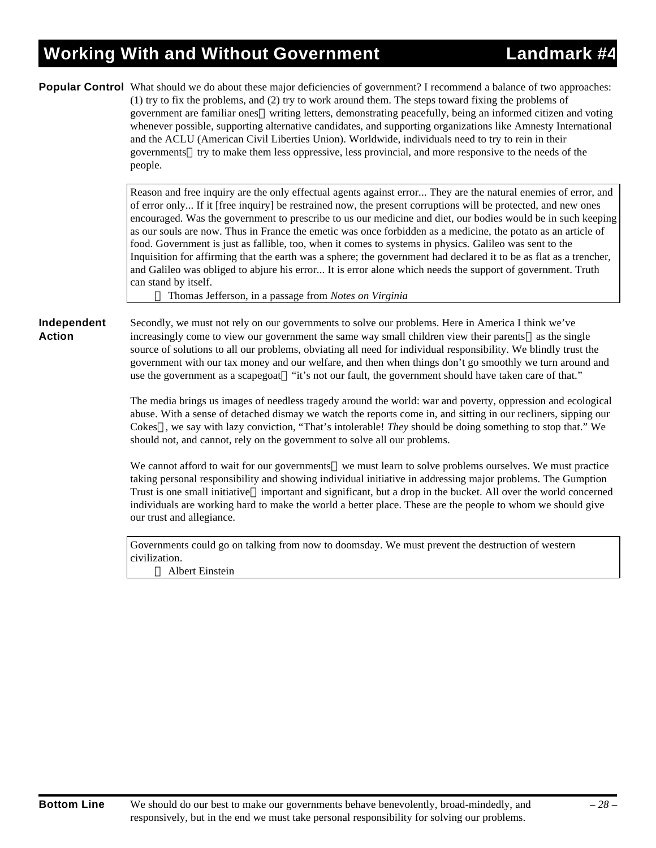## **Working With and Without Government Landmark #4**

**Popular Control** What should we do about these major deficiencies of government? I recommend a balance of two approaches: (1) try to fix the problems, and (2) try to work around them. The steps toward fixing the problems of government are familiar ones—writing letters, demonstrating peacefully, being an informed citizen and voting whenever possible, supporting alternative candidates, and supporting organizations like Amnesty International and the ACLU (American Civil Liberties Union). Worldwide, individuals need to try to rein in their governments—try to make them less oppressive, less provincial, and more responsive to the needs of the people.

> Reason and free inquiry are the only effectual agents against error... They are the natural enemies of error, and of error only... If it [free inquiry] be restrained now, the present corruptions will be protected, and new ones encouraged. Was the government to prescribe to us our medicine and diet, our bodies would be in such keeping as our souls are now. Thus in France the emetic was once forbidden as a medicine, the potato as an article of food. Government is just as fallible, too, when it comes to systems in physics. Galileo was sent to the Inquisition for affirming that the earth was a sphere; the government had declared it to be as flat as a trencher, and Galileo was obliged to abjure his error... It is error alone which needs the support of government. Truth can stand by itself.

Thomas Jefferson, in a passage from *Notes on Virginia*

**Independent** Secondly, we must not rely on our governments to solve our problems. Here in America I think we've **Action** increasingly come to view our government the same way small children view their parents—as the single source of solutions to all our problems, obviating all need for individual responsibility. We blindly trust the government with our tax money and our welfare, and then when things don't go smoothly we turn around and use the government as a scapegoat—"it's not our fault, the government should have taken care of that."

> The media brings us images of needless tragedy around the world: war and poverty, oppression and ecological abuse. With a sense of detached dismay we watch the reports come in, and sitting in our recliners, sipping our Cokes<sup>TM</sup>, we say with lazy conviction, "That's intolerable! *They* should be doing something to stop that." We should not, and cannot, rely on the government to solve all our problems.

> We cannot afford to wait for our governments—we must learn to solve problems ourselves. We must practice taking personal responsibility and showing individual initiative in addressing major problems. The Gumption Trust is one small initiative—important and significant, but a drop in the bucket. All over the world concerned individuals are working hard to make the world a better place. These are the people to whom we should give our trust and allegiance.

Governments could go on talking from now to doomsday. We must prevent the destruction of western civilization.

Albert Einstein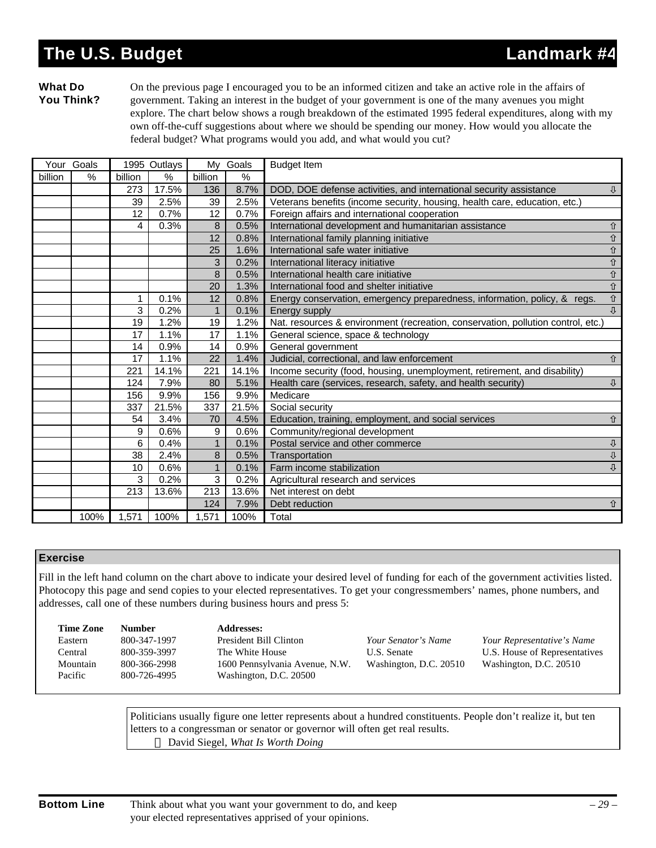## **The U.S. Budget Landmark #4**

**What Do** On the previous page I encouraged you to be an informed citizen and take an active role in the affairs of **You Think?** government. Taking an interest in the budget of your government is one of the many avenues you might explore. The chart below shows a rough breakdown of the estimated 1995 federal expenditures, along with my own off-the-cuff suggestions about where we should be spending our money. How would you allocate the federal budget? What programs would you add, and what would you cut?

|         | Your Goals |         | 1995 Outlays | Mv           | Goals | <b>Budget Item</b>                                                               |                    |
|---------|------------|---------|--------------|--------------|-------|----------------------------------------------------------------------------------|--------------------|
| billion | %          | billion | %            | billion      | %     |                                                                                  |                    |
|         |            | 273     | 17.5%        | 136          | 8.7%  | DOD, DOE defense activities, and international security assistance               | ⇩                  |
|         |            | 39      | 2.5%         | 39           | 2.5%  | Veterans benefits (income security, housing, health care, education, etc.)       |                    |
|         |            | 12      | 0.7%         | 12           | 0.7%  | Foreign affairs and international cooperation                                    |                    |
|         |            | 4       | 0.3%         | 8            | 0.5%  | International development and humanitarian assistance                            | 企                  |
|         |            |         |              | 12           | 0.8%  | International family planning initiative                                         | 仚                  |
|         |            |         |              | 25           | 1.6%  | International safe water initiative                                              | 仚                  |
|         |            |         |              | 3            | 0.2%  | International literacy initiative                                                | $\hat{\mathbb{U}}$ |
|         |            |         |              | 8            | 0.5%  | International health care initiative                                             | ⇧                  |
|         |            |         |              | 20           | 1.3%  | International food and shelter initiative                                        | ⇧                  |
|         |            | 1       | 0.1%         | 12           | 0.8%  | Energy conservation, emergency preparedness, information, policy, & regs.        | ⇧                  |
|         |            | 3       | 0.2%         |              | 0.1%  | Energy supply                                                                    | $\hat{\mathbf{u}}$ |
|         |            | 19      | 1.2%         | 19           | 1.2%  | Nat. resources & environment (recreation, conservation, pollution control, etc.) |                    |
|         |            | 17      | 1.1%         | 17           | 1.1%  | General science, space & technology                                              |                    |
|         |            | 14      | 0.9%         | 14           | 0.9%  | General government                                                               |                    |
|         |            | 17      | 1.1%         | 22           | 1.4%  | Judicial, correctional, and law enforcement                                      | ⇧                  |
|         |            | 221     | 14.1%        | 221          | 14.1% | Income security (food, housing, unemployment, retirement, and disability)        |                    |
|         |            | 124     | 7.9%         | 80           | 5.1%  | Health care (services, research, safety, and health security)                    | $\hat{\mathbf{u}}$ |
|         |            | 156     | 9.9%         | 156          | 9.9%  | Medicare                                                                         |                    |
|         |            | 337     | 21.5%        | 337          | 21.5% | Social security                                                                  |                    |
|         |            | 54      | 3.4%         | 70           | 4.5%  | Education, training, employment, and social services                             | ⇧                  |
|         |            | 9       | 0.6%         | 9            | 0.6%  | Community/regional development                                                   |                    |
|         |            | 6       | 0.4%         | $\mathbf{1}$ | 0.1%  | Postal service and other commerce                                                | ⇩                  |
|         |            | 38      | 2.4%         | 8            | 0.5%  | Transportation                                                                   | $\hat{\mathbf{U}}$ |
|         |            | 10      | 0.6%         | $\mathbf{1}$ | 0.1%  | Farm income stabilization                                                        | ⇩                  |
|         |            | 3       | 0.2%         | 3            | 0.2%  | Agricultural research and services                                               |                    |
|         |            | 213     | 13.6%        | 213          | 13.6% | Net interest on debt                                                             |                    |
|         |            |         |              | 124          | 7.9%  | Debt reduction                                                                   | ⇧                  |
|         | 100%       | 1,571   | 100%         | 1,571        | 100%  | Total                                                                            |                    |

#### **Exercise**

Fill in the left hand column on the chart above to indicate your desired level of funding for each of the government activities listed. Photocopy this page and send copies to your elected representatives. To get your congressmembers' names, phone numbers, and addresses, call one of these numbers during business hours and press 5:

| <b>Time Zone</b> | <b>Number</b> | <b>Addresses:</b>              |                        |                               |
|------------------|---------------|--------------------------------|------------------------|-------------------------------|
| Eastern          | 800-347-1997  | President Bill Clinton         | Your Senator's Name    | Your Representative's Name    |
| Central          | 800-359-3997  | The White House                | U.S. Senate            | U.S. House of Representatives |
| Mountain         | 800-366-2998  | 1600 Pennsylvania Avenue, N.W. | Washington, D.C. 20510 | Washington, D.C. 20510        |
| Pacific          | 800-726-4995  | Washington, D.C. 20500         |                        |                               |
|                  |               |                                |                        |                               |

Politicians usually figure one letter represents about a hundred constituents. People don't realize it, but ten letters to a congressman or senator or governor will often get real results. David Siegel, *What Is Worth Doing*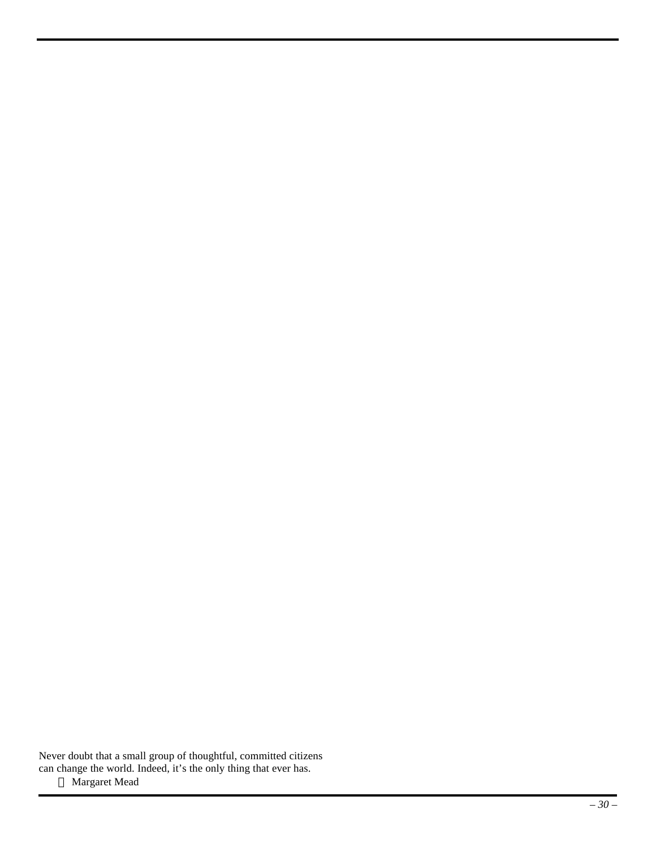Never doubt that a small group of thoughtful, committed citizens can change the world. Indeed, it's the only thing that ever has. Margaret Mead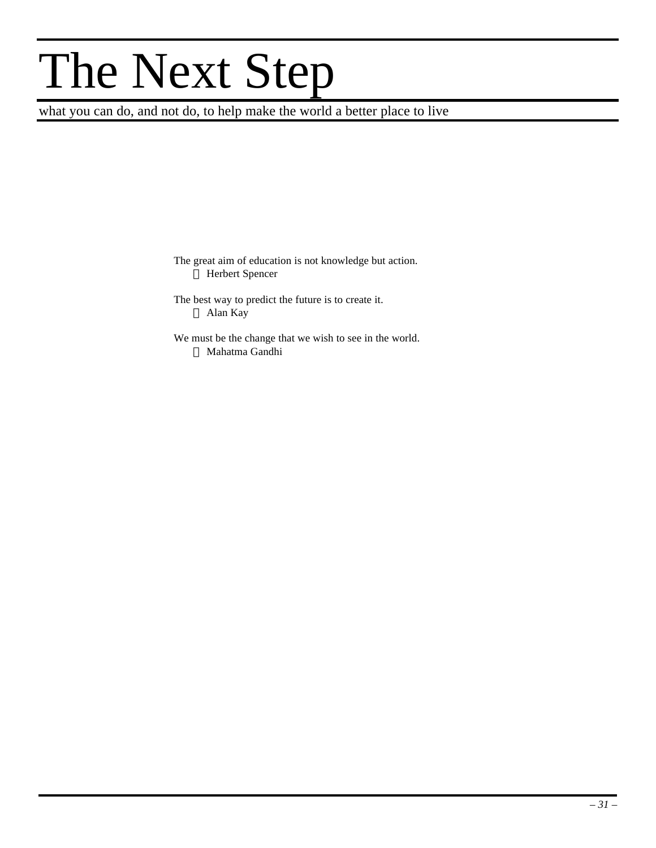## The Next Step

what you can do, and not do, to help make the world a better place to live

The great aim of education is not knowledge but action. — Herbert Spencer

The best way to predict the future is to create it. Alan Kay

We must be the change that we wish to see in the world. Mahatma Gandhi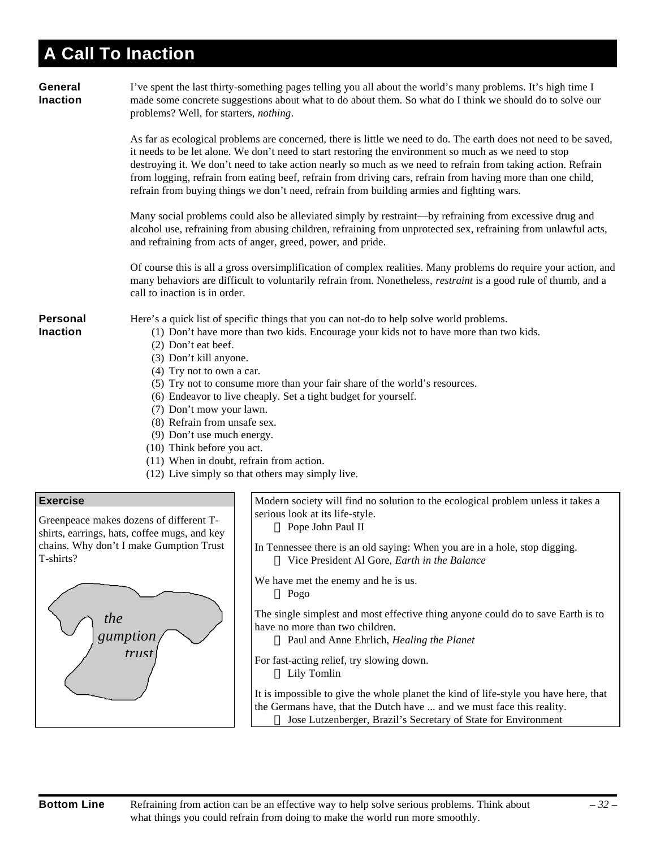## **A Call To Inaction**

| General<br><b>Inaction</b>         | I've spent the last thirty-something pages telling you all about the world's many problems. It's high time I<br>made some concrete suggestions about what to do about them. So what do I think we should do to solve our<br>problems? Well, for starters, nothing.                                                                                                                                                                                                                                                                                    |
|------------------------------------|-------------------------------------------------------------------------------------------------------------------------------------------------------------------------------------------------------------------------------------------------------------------------------------------------------------------------------------------------------------------------------------------------------------------------------------------------------------------------------------------------------------------------------------------------------|
|                                    | As far as ecological problems are concerned, there is little we need to do. The earth does not need to be saved,<br>it needs to be let alone. We don't need to start restoring the environment so much as we need to stop<br>destroying it. We don't need to take action nearly so much as we need to refrain from taking action. Refrain<br>from logging, refrain from eating beef, refrain from driving cars, refrain from having more than one child,<br>refrain from buying things we don't need, refrain from building armies and fighting wars. |
|                                    | Many social problems could also be alleviated simply by restraint—by refraining from excessive drug and<br>alcohol use, refraining from abusing children, refraining from unprotected sex, refraining from unlawful acts,<br>and refraining from acts of anger, greed, power, and pride.                                                                                                                                                                                                                                                              |
|                                    | Of course this is all a gross oversimplification of complex realities. Many problems do require your action, and<br>many behaviors are difficult to voluntarily refrain from. Nonetheless, <i>restraint</i> is a good rule of thumb, and a<br>call to inaction is in order.                                                                                                                                                                                                                                                                           |
| <b>Personal</b><br><b>Inaction</b> | Here's a quick list of specific things that you can not-do to help solve world problems.<br>(1) Don't have more than two kids. Encourage your kids not to have more than two kids.<br>(2) Don't eat beef.<br>(3) Don't kill anyone.<br>(4) Try not to own a car.<br>(5) Try not to consume more than your fair share of the world's resources.<br>(6) Endeavor to live cheaply. Set a tight budget for yourself.<br>(7) Don't mow your lawn.<br>(8) Refrain from unsafe sex.<br>(9) Don't use much energy.<br>(10) Think before you act.              |
|                                    | (11) When in doubt, refrain from action.                                                                                                                                                                                                                                                                                                                                                                                                                                                                                                              |

(12) Live simply so that others may simply live.

#### **Exercise**

Greenpeace makes dozens of different Tshirts, earrings, hats, coffee mugs, and key chains. Why don't I make Gumption Trust T-shirts?



Modern society will find no solution to the ecological problem unless it takes a serious look at its life-style. - Pope John Paul II

In Tennessee there is an old saying: When you are in a hole, stop digging. Vice President Al Gore, *Earth in the Balance*

We have met the enemy and he is us. Pogo

The single simplest and most effective thing anyone could do to save Earth is to have no more than two children.

Paul and Anne Ehrlich, *Healing the Planet*

For fast-acting relief, try slowing down.

Lily Tomlin

It is impossible to give the whole planet the kind of life-style you have here, that the Germans have, that the Dutch have ... and we must face this reality. Jose Lutzenberger, Brazil's Secretary of State for Environment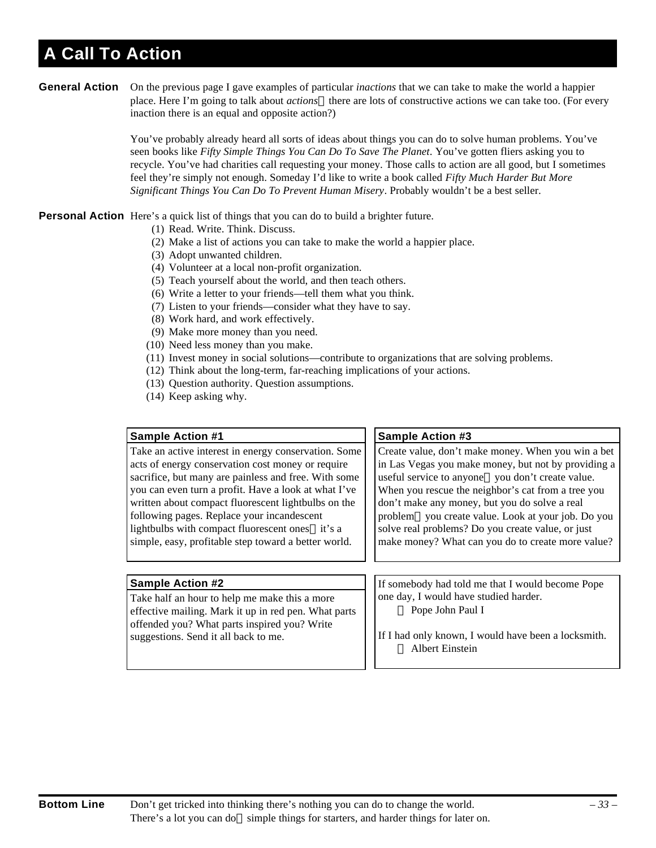## **A Call To Action**

#### **General Action** On the previous page I gave examples of particular *inactions* that we can take to make the world a happier place. Here I'm going to talk about *actions*—there are lots of constructive actions we can take too. (For every inaction there is an equal and opposite action?)

You've probably already heard all sorts of ideas about things you can do to solve human problems. You've seen books like *Fifty Simple Things You Can Do To Save The Planet*. You've gotten fliers asking you to recycle. You've had charities call requesting your money. Those calls to action are all good, but I sometimes feel they're simply not enough. Someday I'd like to write a book called *Fifty Much Harder But More Significant Things You Can Do To Prevent Human Misery*. Probably wouldn't be a best seller.

**Personal Action** Here's a quick list of things that you can do to build a brighter future.

- (1) Read. Write. Think. Discuss.
- (2) Make a list of actions you can take to make the world a happier place.
- (3) Adopt unwanted children.
- (4) Volunteer at a local non-profit organization.
- (5) Teach yourself about the world, and then teach others.
- (6) Write a letter to your friends—tell them what you think.
- (7) Listen to your friends—consider what they have to say.
- (8) Work hard, and work effectively.
- (9) Make more money than you need.
- (10) Need less money than you make.
- (11) Invest money in social solutions—contribute to organizations that are solving problems.
- (12) Think about the long-term, far-reaching implications of your actions.
- (13) Question authority. Question assumptions.
- (14) Keep asking why.

#### **Sample Action #1**

Take an active interest in energy conservation. Some acts of energy conservation cost money or require sacrifice, but many are painless and free. With some you can even turn a profit. Have a look at what I've written about compact fluorescent lightbulbs on the following pages. Replace your incandescent lightbulbs with compact fluorescent ones-it's a simple, easy, profitable step toward a better world.

#### **Sample Action #2**

Take half an hour to help me make this a more effective mailing. Mark it up in red pen. What parts offended you? What parts inspired you? Write suggestions. Send it all back to me.

#### **Sample Action #3**

Create value, don't make money. When you win a bet in Las Vegas you make money, but not by providing a useful service to anyone—you don't create value. When you rescue the neighbor's cat from a tree you don't make any money, but you do solve a real problem—you create value. Look at your job. Do you solve real problems? Do you create value, or just make money? What can you do to create more value?

If somebody had told me that I would become Pope one day, I would have studied harder. Pope John Paul I

If I had only known, I would have been a locksmith. Albert Einstein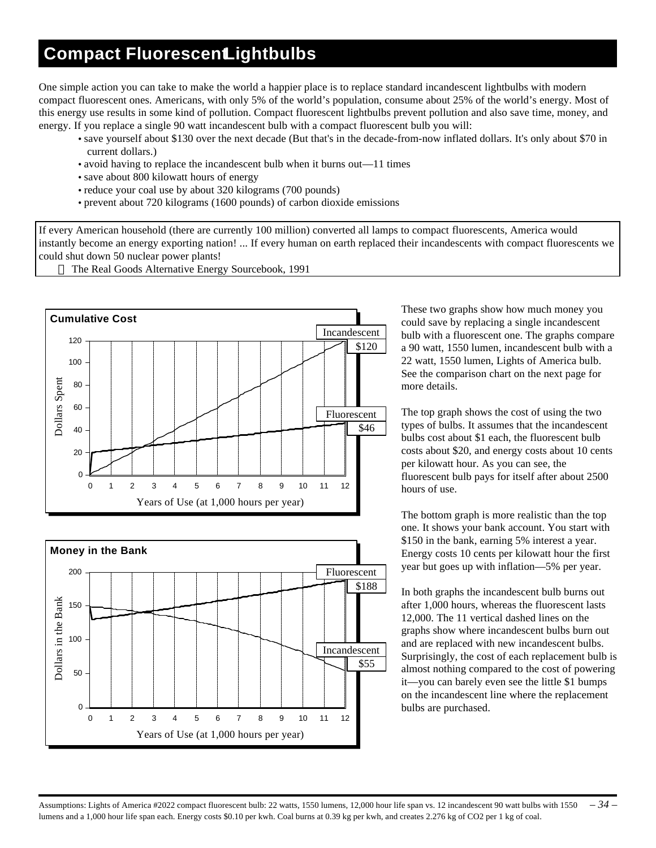## **Compact Fluorescent Lightbulbs**

One simple action you can take to make the world a happier place is to replace standard incandescent lightbulbs with modern compact fluorescent ones. Americans, with only 5% of the world's population, consume about 25% of the world's energy. Most of this energy use results in some kind of pollution. Compact fluorescent lightbulbs prevent pollution and also save time, money, and energy. If you replace a single 90 watt incandescent bulb with a compact fluorescent bulb you will:

- save yourself about \$130 over the next decade (But that's in the decade-from-now inflated dollars. It's only about \$70 in current dollars.)
- avoid having to replace the incandescent bulb when it burns out—11 times
- save about 800 kilowatt hours of energy
- reduce your coal use by about 320 kilograms (700 pounds)
- prevent about 720 kilograms (1600 pounds) of carbon dioxide emissions

If every American household (there are currently 100 million) converted all lamps to compact fluorescents, America would instantly become an energy exporting nation! ... If every human on earth replaced their incandescents with compact fluorescents we could shut down 50 nuclear power plants!

The Real Goods Alternative Energy Sourcebook, 1991





These two graphs show how much money you could save by replacing a single incandescent bulb with a fluorescent one. The graphs compare a 90 watt, 1550 lumen, incandescent bulb with a 22 watt, 1550 lumen, Lights of America bulb. See the comparison chart on the next page for more details.

The top graph shows the cost of using the two types of bulbs. It assumes that the incandescent bulbs cost about \$1 each, the fluorescent bulb costs about \$20, and energy costs about 10 cents per kilowatt hour. As you can see, the fluorescent bulb pays for itself after about 2500 hours of use.

The bottom graph is more realistic than the top one. It shows your bank account. You start with \$150 in the bank, earning 5% interest a year. Energy costs 10 cents per kilowatt hour the first year but goes up with inflation—5% per year.

In both graphs the incandescent bulb burns out after 1,000 hours, whereas the fluorescent lasts 12,000. The 11 vertical dashed lines on the graphs show where incandescent bulbs burn out and are replaced with new incandescent bulbs. Surprisingly, the cost of each replacement bulb is almost nothing compared to the cost of powering it—you can barely even see the little \$1 bumps on the incandescent line where the replacement bulbs are purchased.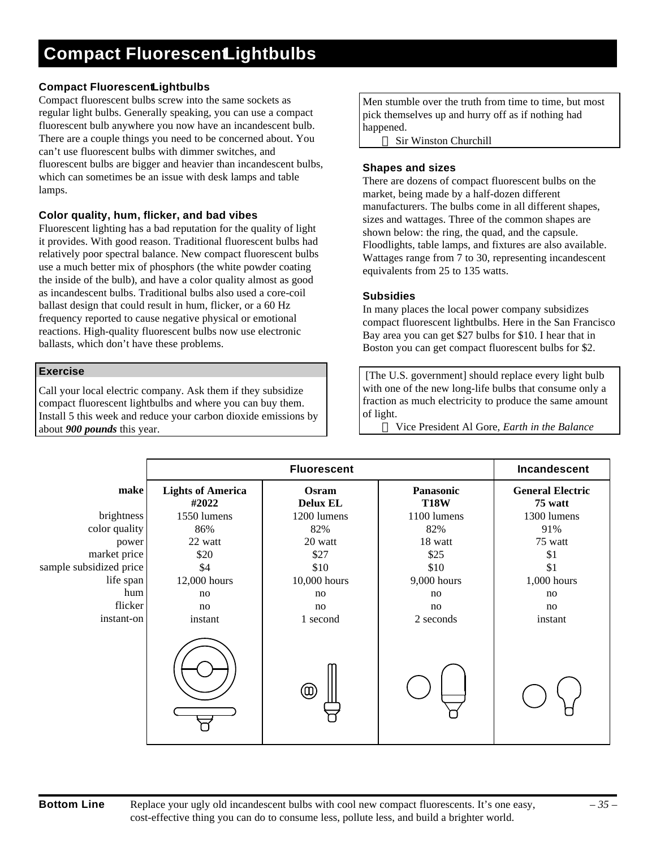## **Compact Fluorescent Lightbulbs**

#### **Compact FluorescentLightbulbs**

Compact fluorescent bulbs screw into the same sockets as regular light bulbs. Generally speaking, you can use a compact fluorescent bulb anywhere you now have an incandescent bulb. There are a couple things you need to be concerned about. You can't use fluorescent bulbs with dimmer switches, and fluorescent bulbs are bigger and heavier than incandescent bulbs, which can sometimes be an issue with desk lamps and table lamps.

#### **Color quality, hum, flicker, and bad vibes**

Fluorescent lighting has a bad reputation for the quality of light it provides. With good reason. Traditional fluorescent bulbs had relatively poor spectral balance. New compact fluorescent bulbs use a much better mix of phosphors (the white powder coating the inside of the bulb), and have a color quality almost as good as incandescent bulbs. Traditional bulbs also used a core-coil ballast design that could result in hum, flicker, or a 60 Hz frequency reported to cause negative physical or emotional reactions. High-quality fluorescent bulbs now use electronic ballasts, which don't have these problems.

**Exercise**

Call your local electric company. Ask them if they subsidize compact fluorescent lightbulbs and where you can buy them. Install 5 this week and reduce your carbon dioxide emissions by about *900 pounds* this year.

Men stumble over the truth from time to time, but most pick themselves up and hurry off as if nothing had happened.

Sir Winston Churchill

#### **Shapes and sizes**

There are dozens of compact fluorescent bulbs on the market, being made by a half-dozen different manufacturers. The bulbs come in all different shapes, sizes and wattages. Three of the common shapes are shown below: the ring, the quad, and the capsule. Floodlights, table lamps, and fixtures are also available. Wattages range from 7 to 30, representing incandescent equivalents from 25 to 135 watts.

#### **Subsidies**

In many places the local power company subsidizes compact fluorescent lightbulbs. Here in the San Francisco Bay area you can get \$27 bulbs for \$10. I hear that in Boston you can get compact fluorescent bulbs for \$2.

 [The U.S. government] should replace every light bulb with one of the new long-life bulbs that consume only a fraction as much electricity to produce the same amount of light.

Vice President Al Gore, *Earth in the Balance*

|                         | <b>Fluorescent</b>                |                          |                                 | Incandescent                       |
|-------------------------|-----------------------------------|--------------------------|---------------------------------|------------------------------------|
| make                    | <b>Lights of America</b><br>#2022 | Osram<br><b>Delux EL</b> | <b>Panasonic</b><br><b>T18W</b> | <b>General Electric</b><br>75 watt |
| brightness              | 1550 lumens                       | 1200 lumens              | 1100 lumens                     | 1300 lumens                        |
| color quality           | 86%                               | 82%                      | 82%                             | 91%                                |
| power                   | 22 watt                           | 20 watt                  | 18 watt                         | 75 watt                            |
| market price            | \$20                              | \$27                     | \$25                            | \$1                                |
| sample subsidized price | \$4                               | \$10                     | \$10                            | \$1                                |
| life span               | 12,000 hours                      | 10,000 hours             | 9,000 hours                     | 1,000 hours                        |
| hum                     | no                                | no                       | no                              | no                                 |
| flicker                 | no                                | no                       | no                              | no                                 |
| instant-on              | instant                           | 1 second                 | 2 seconds                       | instant                            |
|                         |                                   | ⑩                        |                                 |                                    |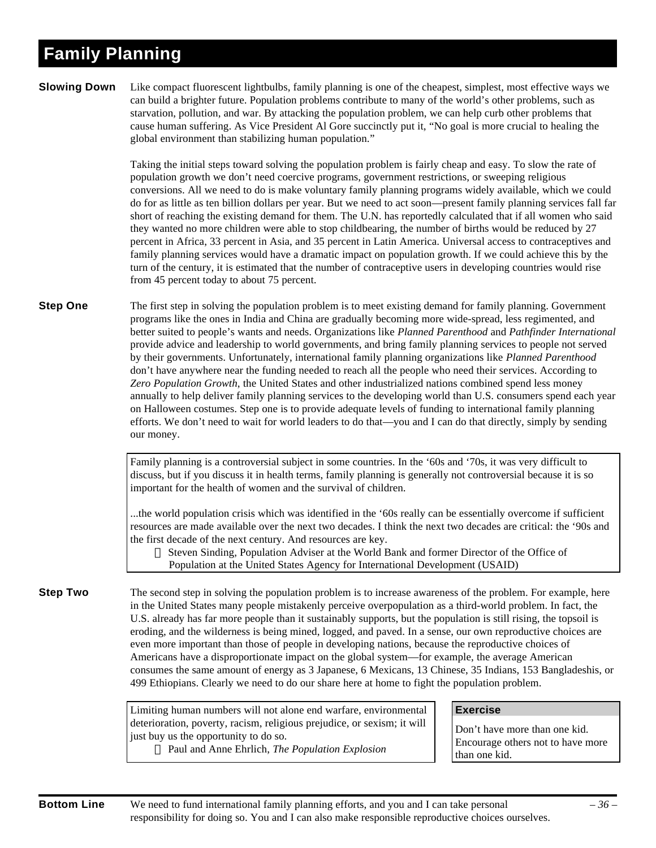## **Family Planning**

**Slowing Down** Like compact fluorescent lightbulbs, family planning is one of the cheapest, simplest, most effective ways we can build a brighter future. Population problems contribute to many of the world's other problems, such as starvation, pollution, and war. By attacking the population problem, we can help curb other problems that cause human suffering. As Vice President Al Gore succinctly put it, "No goal is more crucial to healing the global environment than stabilizing human population."

> Taking the initial steps toward solving the population problem is fairly cheap and easy. To slow the rate of population growth we don't need coercive programs, government restrictions, or sweeping religious conversions. All we need to do is make voluntary family planning programs widely available, which we could do for as little as ten billion dollars per year. But we need to act soon—present family planning services fall far short of reaching the existing demand for them. The U.N. has reportedly calculated that if all women who said they wanted no more children were able to stop childbearing, the number of births would be reduced by 27 percent in Africa, 33 percent in Asia, and 35 percent in Latin America. Universal access to contraceptives and family planning services would have a dramatic impact on population growth. If we could achieve this by the turn of the century, it is estimated that the number of contraceptive users in developing countries would rise from 45 percent today to about 75 percent.

#### **Step One** The first step in solving the population problem is to meet existing demand for family planning. Government programs like the ones in India and China are gradually becoming more wide-spread, less regimented, and better suited to people's wants and needs. Organizations like *Planned Parenthood* and *Pathfinder International* provide advice and leadership to world governments, and bring family planning services to people not served by their governments. Unfortunately, international family planning organizations like *Planned Parenthood* don't have anywhere near the funding needed to reach all the people who need their services. According to *Zero Population Growth*, the United States and other industrialized nations combined spend less money annually to help deliver family planning services to the developing world than U.S. consumers spend each year on Halloween costumes. Step one is to provide adequate levels of funding to international family planning efforts. We don't need to wait for world leaders to do that—you and I can do that directly, simply by sending our money.

Family planning is a controversial subject in some countries. In the '60s and '70s, it was very difficult to discuss, but if you discuss it in health terms, family planning is generally not controversial because it is so important for the health of women and the survival of children.

...the world population crisis which was identified in the '60s really can be essentially overcome if sufficient resources are made available over the next two decades. I think the next two decades are critical: the '90s and the first decade of the next century. And resources are key.

Steven Sinding, Population Adviser at the World Bank and former Director of the Office of Population at the United States Agency for International Development (USAID)

**Step Two** The second step in solving the population problem is to increase awareness of the problem. For example, here in the United States many people mistakenly perceive overpopulation as a third-world problem. In fact, the U.S. already has far more people than it sustainably supports, but the population is still rising, the topsoil is eroding, and the wilderness is being mined, logged, and paved. In a sense, our own reproductive choices are even more important than those of people in developing nations, because the reproductive choices of Americans have a disproportionate impact on the global system—for example, the average American consumes the same amount of energy as 3 Japanese, 6 Mexicans, 13 Chinese, 35 Indians, 153 Bangladeshis, or 499 Ethiopians. Clearly we need to do our share here at home to fight the population problem.

> Limiting human numbers will not alone end warfare, environmental deterioration, poverty, racism, religious prejudice, or sexism; it will just buy us the opportunity to do so.

Paul and Anne Ehrlich, *The Population Explosion*

#### **Exercise**

Don't have more than one kid. Encourage others not to have more than one kid.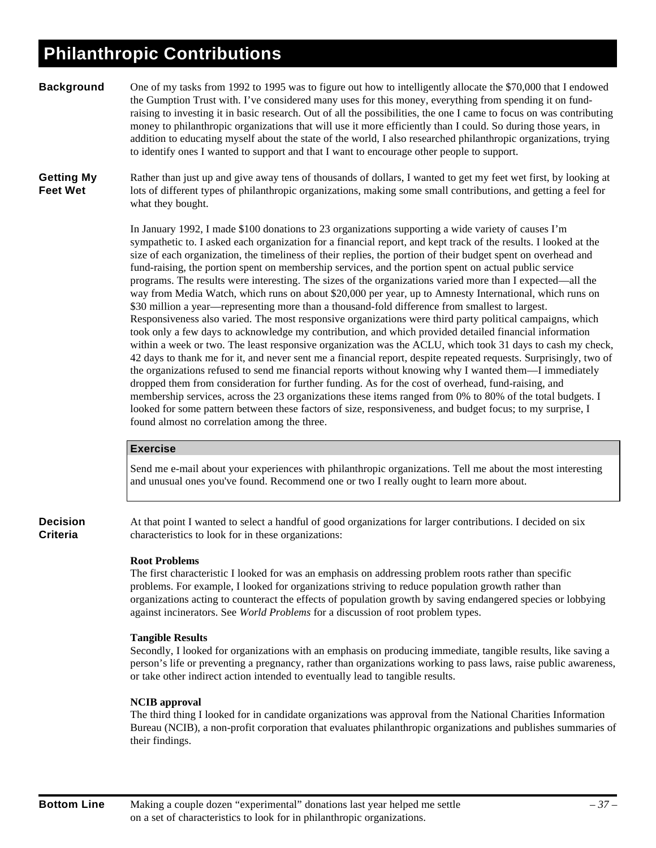### **Philanthropic Contributions**

**Background** One of my tasks from 1992 to 1995 was to figure out how to intelligently allocate the \$70,000 that I endowed the Gumption Trust with. I've considered many uses for this money, everything from spending it on fundraising to investing it in basic research. Out of all the possibilities, the one I came to focus on was contributing money to philanthropic organizations that will use it more efficiently than I could. So during those years, in addition to educating myself about the state of the world, I also researched philanthropic organizations, trying to identify ones I wanted to support and that I want to encourage other people to support.

**Getting My** Rather than just up and give away tens of thousands of dollars, I wanted to get my feet wet first, by looking at **Feet Wet** lots of different types of philanthropic organizations, making some small contributions, and getting a feel for what they bought.

> In January 1992, I made \$100 donations to 23 organizations supporting a wide variety of causes I'm sympathetic to. I asked each organization for a financial report, and kept track of the results. I looked at the size of each organization, the timeliness of their replies, the portion of their budget spent on overhead and fund-raising, the portion spent on membership services, and the portion spent on actual public service programs. The results were interesting. The sizes of the organizations varied more than I expected—all the way from Media Watch, which runs on about \$20,000 per year, up to Amnesty International, which runs on \$30 million a year—representing more than a thousand-fold difference from smallest to largest. Responsiveness also varied. The most responsive organizations were third party political campaigns, which took only a few days to acknowledge my contribution, and which provided detailed financial information within a week or two. The least responsive organization was the ACLU, which took 31 days to cash my check, 42 days to thank me for it, and never sent me a financial report, despite repeated requests. Surprisingly, two of the organizations refused to send me financial reports without knowing why I wanted them—I immediately dropped them from consideration for further funding. As for the cost of overhead, fund-raising, and membership services, across the 23 organizations these items ranged from 0% to 80% of the total budgets. I looked for some pattern between these factors of size, responsiveness, and budget focus; to my surprise, I found almost no correlation among the three.

#### **Exercise**

Send me e-mail about your experiences with philanthropic organizations. Tell me about the most interesting and unusual ones you've found. Recommend one or two I really ought to learn more about.

**Decision** At that point I wanted to select a handful of good organizations for larger contributions. I decided on six **Criteria** characteristics to look for in these organizations:

#### **Root Problems**

The first characteristic I looked for was an emphasis on addressing problem roots rather than specific problems. For example, I looked for organizations striving to reduce population growth rather than organizations acting to counteract the effects of population growth by saving endangered species or lobbying against incinerators. See *World Problems* for a discussion of root problem types.

#### **Tangible Results**

Secondly, I looked for organizations with an emphasis on producing immediate, tangible results, like saving a person's life or preventing a pregnancy, rather than organizations working to pass laws, raise public awareness, or take other indirect action intended to eventually lead to tangible results.

#### **NCIB approval**

The third thing I looked for in candidate organizations was approval from the National Charities Information Bureau (NCIB), a non-profit corporation that evaluates philanthropic organizations and publishes summaries of their findings.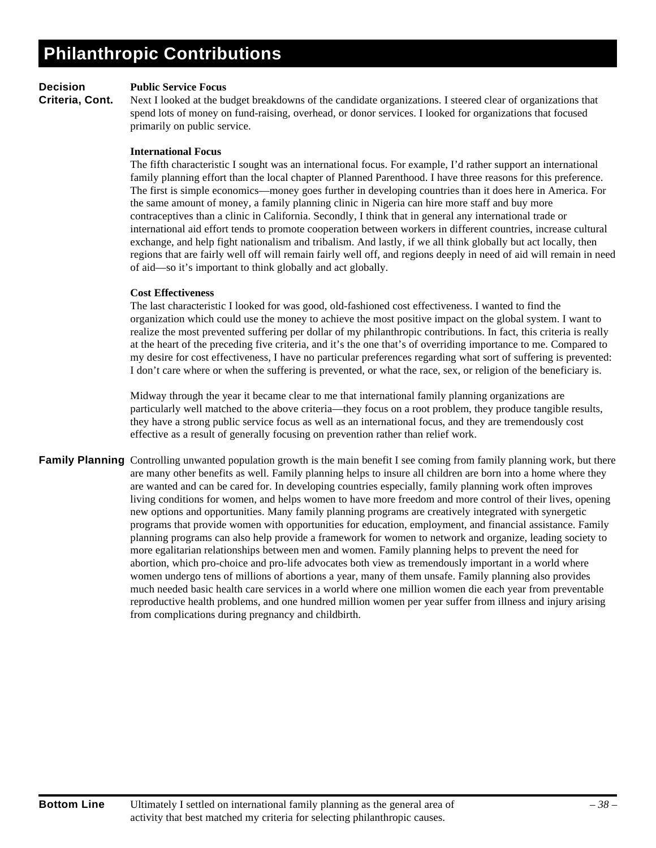#### **Philanthropic Contributions**

#### **Decision Public Service Focus**

**Criteria, Cont.** Next I looked at the budget breakdowns of the candidate organizations. I steered clear of organizations that spend lots of money on fund-raising, overhead, or donor services. I looked for organizations that focused primarily on public service.

#### **International Focus**

The fifth characteristic I sought was an international focus. For example, I'd rather support an international family planning effort than the local chapter of Planned Parenthood. I have three reasons for this preference. The first is simple economics—money goes further in developing countries than it does here in America. For the same amount of money, a family planning clinic in Nigeria can hire more staff and buy more contraceptives than a clinic in California. Secondly, I think that in general any international trade or international aid effort tends to promote cooperation between workers in different countries, increase cultural exchange, and help fight nationalism and tribalism. And lastly, if we all think globally but act locally, then regions that are fairly well off will remain fairly well off, and regions deeply in need of aid will remain in need of aid—so it's important to think globally and act globally.

#### **Cost Effectiveness**

The last characteristic I looked for was good, old-fashioned cost effectiveness. I wanted to find the organization which could use the money to achieve the most positive impact on the global system. I want to realize the most prevented suffering per dollar of my philanthropic contributions. In fact, this criteria is really at the heart of the preceding five criteria, and it's the one that's of overriding importance to me. Compared to my desire for cost effectiveness, I have no particular preferences regarding what sort of suffering is prevented: I don't care where or when the suffering is prevented, or what the race, sex, or religion of the beneficiary is.

Midway through the year it became clear to me that international family planning organizations are particularly well matched to the above criteria—they focus on a root problem, they produce tangible results, they have a strong public service focus as well as an international focus, and they are tremendously cost effective as a result of generally focusing on prevention rather than relief work.

**Family Planning** Controlling unwanted population growth is the main benefit I see coming from family planning work, but there are many other benefits as well. Family planning helps to insure all children are born into a home where they are wanted and can be cared for. In developing countries especially, family planning work often improves living conditions for women, and helps women to have more freedom and more control of their lives, opening new options and opportunities. Many family planning programs are creatively integrated with synergetic programs that provide women with opportunities for education, employment, and financial assistance. Family planning programs can also help provide a framework for women to network and organize, leading society to more egalitarian relationships between men and women. Family planning helps to prevent the need for abortion, which pro-choice and pro-life advocates both view as tremendously important in a world where women undergo tens of millions of abortions a year, many of them unsafe. Family planning also provides much needed basic health care services in a world where one million women die each year from preventable reproductive health problems, and one hundred million women per year suffer from illness and injury arising from complications during pregnancy and childbirth.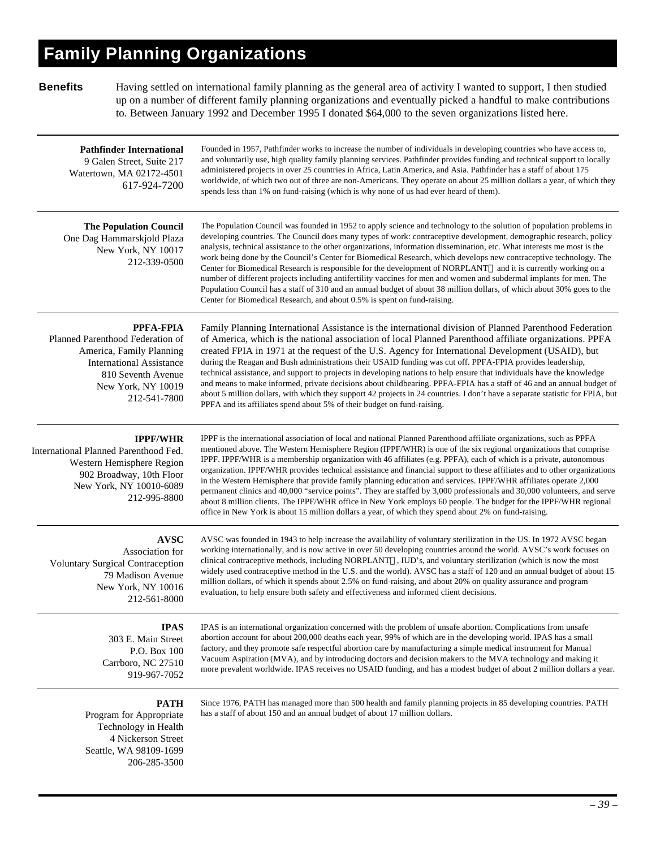## **Family Planning Organizations**

**Benefits** Having settled on international family planning as the general area of activity I wanted to support, I then studied up on a number of different family planning organizations and eventually picked a handful to make contributions to. Between January 1992 and December 1995 I donated \$64,000 to the seven organizations listed here.

| <b>Pathfinder International</b><br>9 Galen Street, Suite 217<br>Watertown, MA 02172-4501<br>617-924-7200                                                                 | Founded in 1957, Pathfinder works to increase the number of individuals in developing countries who have access to,<br>and voluntarily use, high quality family planning services. Pathfinder provides funding and technical support to locally<br>administered projects in over 25 countries in Africa, Latin America, and Asia. Pathfinder has a staff of about 175<br>worldwide, of which two out of three are non-Americans. They operate on about 25 million dollars a year, of which they<br>spends less than 1% on fund-raising (which is why none of us had ever heard of them).                                                                                                                                                                                                                                                                                                                                                                               |
|--------------------------------------------------------------------------------------------------------------------------------------------------------------------------|------------------------------------------------------------------------------------------------------------------------------------------------------------------------------------------------------------------------------------------------------------------------------------------------------------------------------------------------------------------------------------------------------------------------------------------------------------------------------------------------------------------------------------------------------------------------------------------------------------------------------------------------------------------------------------------------------------------------------------------------------------------------------------------------------------------------------------------------------------------------------------------------------------------------------------------------------------------------|
| <b>The Population Council</b><br>One Dag Hammarskjold Plaza<br>New York, NY 10017<br>212-339-0500                                                                        | The Population Council was founded in 1952 to apply science and technology to the solution of population problems in<br>developing countries. The Council does many types of work: contraceptive development, demographic research, policy<br>analysis, technical assistance to the other organizations, information dissemination, etc. What interests me most is the<br>work being done by the Council's Center for Biomedical Research, which develops new contraceptive technology. The<br>Center for Biomedical Research is responsible for the development of NORPLANT™ and it is currently working on a<br>number of different projects including antifertility vaccines for men and women and subdermal implants for men. The<br>Population Council has a staff of 310 and an annual budget of about 38 million dollars, of which about 30% goes to the<br>Center for Biomedical Research, and about 0.5% is spent on fund-raising.                            |
| PPFA-FPIA<br>Planned Parenthood Federation of<br>America, Family Planning<br><b>International Assistance</b><br>810 Seventh Avenue<br>New York, NY 10019<br>212-541-7800 | Family Planning International Assistance is the international division of Planned Parenthood Federation<br>of America, which is the national association of local Planned Parenthood affiliate organizations. PPFA<br>created FPIA in 1971 at the request of the U.S. Agency for International Development (USAID), but<br>during the Reagan and Bush administrations their USAID funding was cut off. PPFA-FPIA provides leadership,<br>technical assistance, and support to projects in developing nations to help ensure that individuals have the knowledge<br>and means to make informed, private decisions about childbearing. PPFA-FPIA has a staff of 46 and an annual budget of<br>about 5 million dollars, with which they support 42 projects in 24 countries. I don't have a separate statistic for FPIA, but<br>PPFA and its affiliates spend about 5% of their budget on fund-raising.                                                                   |
| <b>IPPF/WHR</b><br>International Planned Parenthood Fed.<br>Western Hemisphere Region<br>902 Broadway, 10th Floor<br>New York, NY 10010-6089<br>212-995-8800             | IPPF is the international association of local and national Planned Parenthood affiliate organizations, such as PPFA<br>mentioned above. The Western Hemisphere Region (IPPF/WHR) is one of the six regional organizations that comprise<br>IPPF. IPPF/WHR is a membership organization with 46 affiliates (e.g. PPFA), each of which is a private, autonomous<br>organization. IPPF/WHR provides technical assistance and financial support to these affiliates and to other organizations<br>in the Western Hemisphere that provide family planning education and services. IPPF/WHR affiliates operate 2,000<br>permanent clinics and 40,000 "service points". They are staffed by 3,000 professionals and 30,000 volunteers, and serve<br>about 8 million clients. The IPPF/WHR office in New York employs 60 people. The budget for the IPPF/WHR regional<br>office in New York is about 15 million dollars a year, of which they spend about 2% on fund-raising. |
| <b>AVSC</b><br>Association for<br><b>Voluntary Surgical Contraception</b><br>79 Madison Avenue<br>New York, NY 10016<br>212-561-8000                                     | AVSC was founded in 1943 to help increase the availability of voluntary sterilization in the US. In 1972 AVSC began<br>working internationally, and is now active in over 50 developing countries around the world. AVSC's work focuses on<br>clinical contraceptive methods, including NORPLANT™, IUD's, and voluntary sterilization (which is now the most<br>widely used contraceptive method in the U.S. and the world). AVSC has a staff of 120 and an annual budget of about 15<br>million dollars, of which it spends about 2.5% on fund-raising, and about 20% on quality assurance and program<br>evaluation, to help ensure both safety and effectiveness and informed client decisions.                                                                                                                                                                                                                                                                     |
| <b>IPAS</b><br>303 E. Main Street<br>P.O. Box 100<br>Carrboro, NC 27510<br>919-967-7052                                                                                  | IPAS is an international organization concerned with the problem of unsafe abortion. Complications from unsafe<br>abortion account for about 200,000 deaths each year, 99% of which are in the developing world. IPAS has a small<br>factory, and they promote safe respectful abortion care by manufacturing a simple medical instrument for Manual<br>Vacuum Aspiration (MVA), and by introducing doctors and decision makers to the MVA technology and making it<br>more prevalent worldwide. IPAS receives no USAID funding, and has a modest budget of about 2 million dollars a year.                                                                                                                                                                                                                                                                                                                                                                            |
| <b>PATH</b><br>Program for Appropriate<br>Technology in Health<br>4 Nickerson Street<br>Seattle, WA 98109-1699<br>206-285-3500                                           | Since 1976, PATH has managed more than 500 health and family planning projects in 85 developing countries. PATH<br>has a staff of about 150 and an annual budget of about 17 million dollars.                                                                                                                                                                                                                                                                                                                                                                                                                                                                                                                                                                                                                                                                                                                                                                          |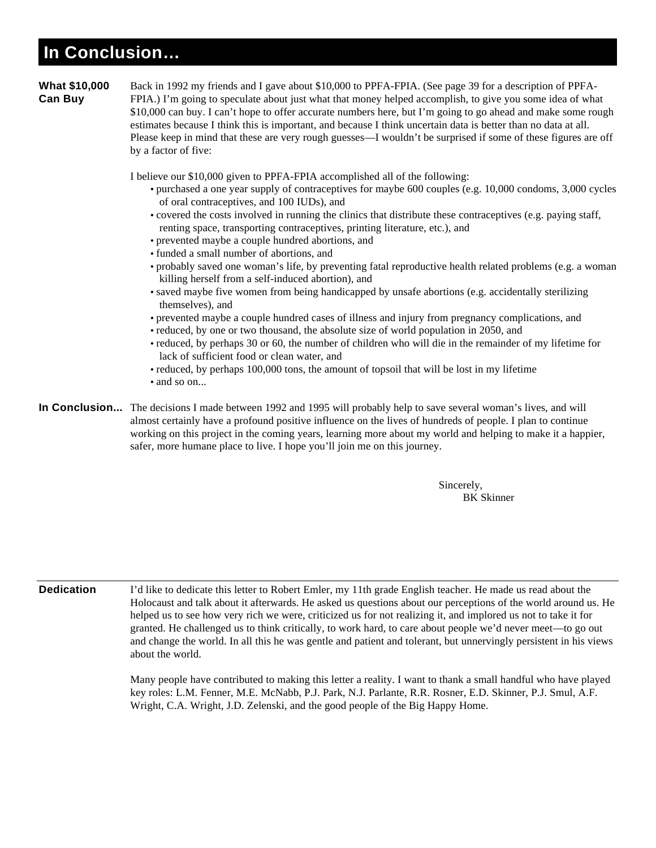#### **In Conclusion…**

**What \$10,000** Back in 1992 my friends and I gave about \$10,000 to PPFA-FPIA. (See page 39 for a description of PPFA-**Can Buy** FPIA.) I'm going to speculate about just what that money helped accomplish, to give you some idea of what \$10,000 can buy. I can't hope to offer accurate numbers here, but I'm going to go ahead and make some rough estimates because I think this is important, and because I think uncertain data is better than no data at all. Please keep in mind that these are very rough guesses—I wouldn't be surprised if some of these figures are off by a factor of five: I believe our \$10,000 given to PPFA-FPIA accomplished all of the following: • purchased a one year supply of contraceptives for maybe 600 couples (e.g. 10,000 condoms, 3,000 cycles of oral contraceptives, and 100 IUDs), and • covered the costs involved in running the clinics that distribute these contraceptives (e.g. paying staff,

- renting space, transporting contraceptives, printing literature, etc.), and
- prevented maybe a couple hundred abortions, and
- funded a small number of abortions, and
- probably saved one woman's life, by preventing fatal reproductive health related problems (e.g. a woman killing herself from a self-induced abortion), and
- saved maybe five women from being handicapped by unsafe abortions (e.g. accidentally sterilizing themselves), and
- prevented maybe a couple hundred cases of illness and injury from pregnancy complications, and
- reduced, by one or two thousand, the absolute size of world population in 2050, and
- reduced, by perhaps 30 or 60, the number of children who will die in the remainder of my lifetime for lack of sufficient food or clean water, and
- reduced, by perhaps 100,000 tons, the amount of topsoil that will be lost in my lifetime
- and so on...

**In Conclusion...** The decisions I made between 1992 and 1995 will probably help to save several woman's lives, and will almost certainly have a profound positive influence on the lives of hundreds of people. I plan to continue working on this project in the coming years, learning more about my world and helping to make it a happier, safer, more humane place to live. I hope you'll join me on this journey.

> Sincerely, BK Skinner

**Dedication** I'd like to dedicate this letter to Robert Emler, my 11th grade English teacher. He made us read about the Holocaust and talk about it afterwards. He asked us questions about our perceptions of the world around us. He helped us to see how very rich we were, criticized us for not realizing it, and implored us not to take it for granted. He challenged us to think critically, to work hard, to care about people we'd never meet—to go out and change the world. In all this he was gentle and patient and tolerant, but unnervingly persistent in his views about the world.

> Many people have contributed to making this letter a reality. I want to thank a small handful who have played key roles: L.M. Fenner, M.E. McNabb, P.J. Park, N.J. Parlante, R.R. Rosner, E.D. Skinner, P.J. Smul, A.F. Wright, C.A. Wright, J.D. Zelenski, and the good people of the Big Happy Home.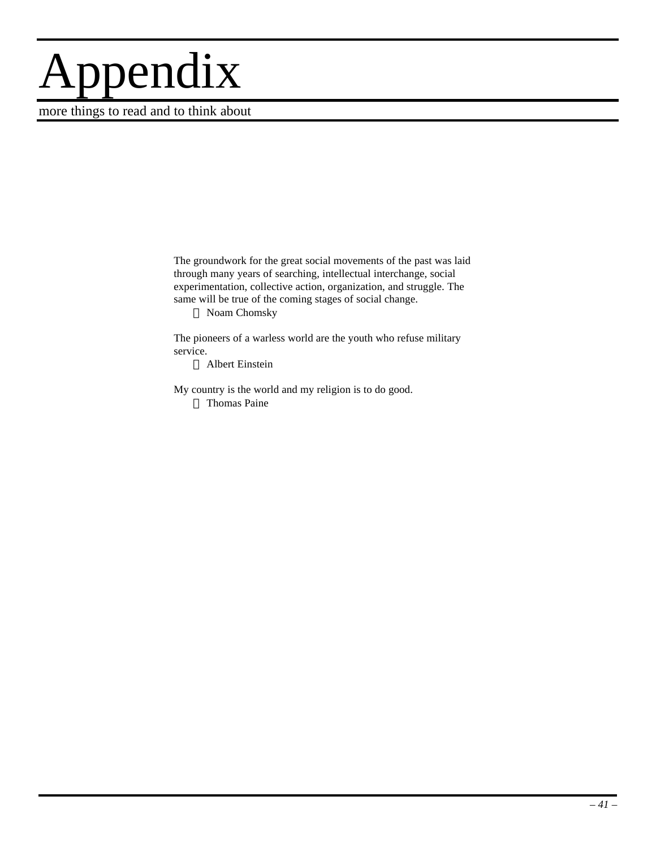## ppendix

more things to read and to think about

The groundwork for the great social movements of the past was laid through many years of searching, intellectual interchange, social experimentation, collective action, organization, and struggle. The same will be true of the coming stages of social change.

-Noam Chomsky

The pioneers of a warless world are the youth who refuse military service.

Albert Einstein

My country is the world and my religion is to do good. -Thomas Paine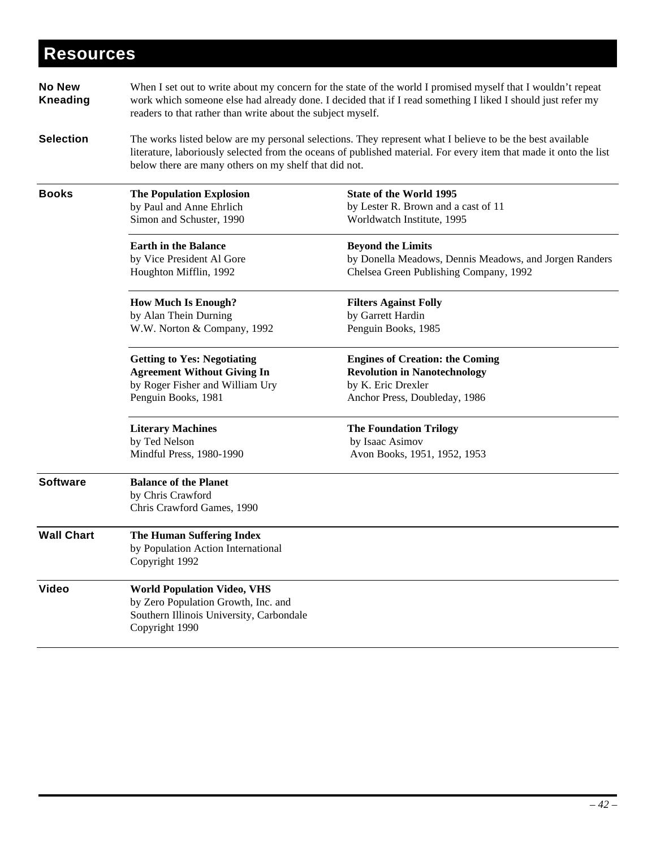## **Resources**

| <b>No New</b><br><b>Kneading</b> | When I set out to write about my concern for the state of the world I promised myself that I wouldn't repeat<br>work which someone else had already done. I decided that if I read something I liked I should just refer my<br>readers to that rather than write about the subject myself. |                                                                                                                                      |  |
|----------------------------------|--------------------------------------------------------------------------------------------------------------------------------------------------------------------------------------------------------------------------------------------------------------------------------------------|--------------------------------------------------------------------------------------------------------------------------------------|--|
| <b>Selection</b>                 | The works listed below are my personal selections. They represent what I believe to be the best available<br>literature, laboriously selected from the oceans of published material. For every item that made it onto the list<br>below there are many others on my shelf that did not.    |                                                                                                                                      |  |
| <b>Books</b>                     | <b>The Population Explosion</b><br>by Paul and Anne Ehrlich<br>Simon and Schuster, 1990                                                                                                                                                                                                    | <b>State of the World 1995</b><br>by Lester R. Brown and a cast of 11<br>Worldwatch Institute, 1995                                  |  |
|                                  | <b>Earth in the Balance</b><br>by Vice President Al Gore<br>Houghton Mifflin, 1992                                                                                                                                                                                                         | <b>Beyond the Limits</b><br>by Donella Meadows, Dennis Meadows, and Jorgen Randers<br>Chelsea Green Publishing Company, 1992         |  |
|                                  | <b>How Much Is Enough?</b><br>by Alan Thein Durning<br>W.W. Norton & Company, 1992                                                                                                                                                                                                         | <b>Filters Against Folly</b><br>by Garrett Hardin<br>Penguin Books, 1985                                                             |  |
|                                  | <b>Getting to Yes: Negotiating</b><br><b>Agreement Without Giving In</b><br>by Roger Fisher and William Ury<br>Penguin Books, 1981                                                                                                                                                         | <b>Engines of Creation: the Coming</b><br><b>Revolution in Nanotechnology</b><br>by K. Eric Drexler<br>Anchor Press, Doubleday, 1986 |  |
|                                  | <b>Literary Machines</b><br>by Ted Nelson<br>Mindful Press, 1980-1990                                                                                                                                                                                                                      | <b>The Foundation Trilogy</b><br>by Isaac Asimov<br>Avon Books, 1951, 1952, 1953                                                     |  |
| <b>Software</b>                  | <b>Balance of the Planet</b><br>by Chris Crawford<br>Chris Crawford Games, 1990                                                                                                                                                                                                            |                                                                                                                                      |  |
| <b>Wall Chart</b>                | <b>The Human Suffering Index</b><br>by Population Action International<br>Copyright 1992                                                                                                                                                                                                   |                                                                                                                                      |  |
| <b>Video</b>                     | <b>World Population Video, VHS</b><br>by Zero Population Growth, Inc. and<br>Southern Illinois University, Carbondale<br>Copyright 1990                                                                                                                                                    |                                                                                                                                      |  |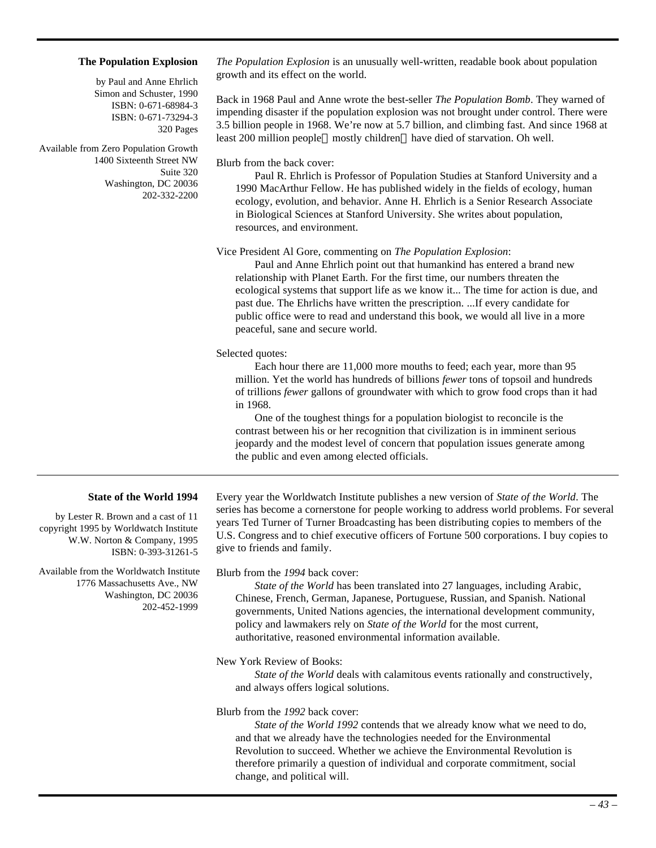#### **The Population Explosion**

by Paul and Anne Ehrlich Simon and Schuster, 1990 ISBN: 0-671-68984-3 ISBN: 0-671-73294-3 320 Pages

Available from Zero Population Growth 1400 Sixteenth Street NW Suite 320 Washington, DC 20036 202-332-2200 *The Population Explosion* is an unusually well-written, readable book about population growth and its effect on the world.

Back in 1968 Paul and Anne wrote the best-seller *The Population Bomb*. They warned of impending disaster if the population explosion was not brought under control. There were 3.5 billion people in 1968. We're now at 5.7 billion, and climbing fast. And since 1968 at least 200 million people—mostly children—have died of starvation. Oh well.

Blurb from the back cover:

Paul R. Ehrlich is Professor of Population Studies at Stanford University and a 1990 MacArthur Fellow. He has published widely in the fields of ecology, human ecology, evolution, and behavior. Anne H. Ehrlich is a Senior Research Associate in Biological Sciences at Stanford University. She writes about population, resources, and environment.

Vice President Al Gore, commenting on *The Population Explosion*:

Paul and Anne Ehrlich point out that humankind has entered a brand new relationship with Planet Earth. For the first time, our numbers threaten the ecological systems that support life as we know it... The time for action is due, and past due. The Ehrlichs have written the prescription. ...If every candidate for public office were to read and understand this book, we would all live in a more peaceful, sane and secure world.

#### Selected quotes:

Each hour there are 11,000 more mouths to feed; each year, more than 95 million. Yet the world has hundreds of billions *fewer* tons of topsoil and hundreds of trillions *fewer* gallons of groundwater with which to grow food crops than it had in 1968.

One of the toughest things for a population biologist to reconcile is the contrast between his or her recognition that civilization is in imminent serious jeopardy and the modest level of concern that population issues generate among the public and even among elected officials.

**State of the World 1994**

by Lester R. Brown and a cast of 11 copyright 1995 by Worldwatch Institute W.W. Norton & Company, 1995 ISBN: 0-393-31261-5

Available from the Worldwatch Institute 1776 Massachusetts Ave., NW Washington, DC 20036 202-452-1999

Every year the Worldwatch Institute publishes a new version of *State of the World*. The series has become a cornerstone for people working to address world problems. For several years Ted Turner of Turner Broadcasting has been distributing copies to members of the U.S. Congress and to chief executive officers of Fortune 500 corporations. I buy copies to give to friends and family.

Blurb from the *1994* back cover:

*State of the World* has been translated into 27 languages, including Arabic, Chinese, French, German, Japanese, Portuguese, Russian, and Spanish. National governments, United Nations agencies, the international development community, policy and lawmakers rely on *State of the World* for the most current, authoritative, reasoned environmental information available.

New York Review of Books:

*State of the World* deals with calamitous events rationally and constructively, and always offers logical solutions.

Blurb from the *1992* back cover:

*State of the World 1992* contends that we already know what we need to do, and that we already have the technologies needed for the Environmental Revolution to succeed. Whether we achieve the Environmental Revolution is therefore primarily a question of individual and corporate commitment, social change, and political will.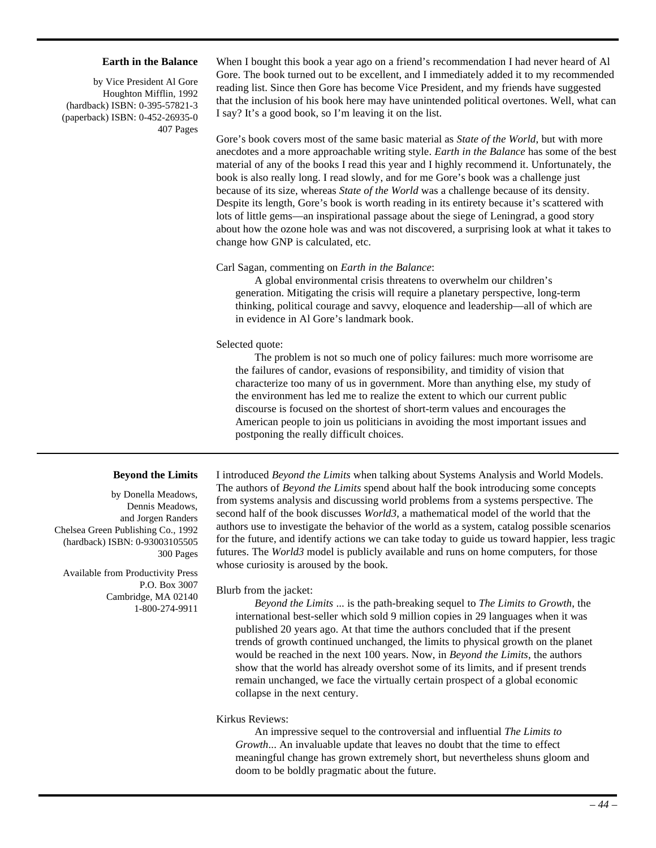#### **Earth in the Balance**

by Vice President Al Gore Houghton Mifflin, 1992 (hardback) ISBN: 0-395-57821-3 (paperback) ISBN: 0-452-26935-0 407 Pages When I bought this book a year ago on a friend's recommendation I had never heard of Al Gore. The book turned out to be excellent, and I immediately added it to my recommended reading list. Since then Gore has become Vice President, and my friends have suggested that the inclusion of his book here may have unintended political overtones. Well, what can I say? It's a good book, so I'm leaving it on the list.

Gore's book covers most of the same basic material as *State of the World*, but with more anecdotes and a more approachable writing style. *Earth in the Balance* has some of the best material of any of the books I read this year and I highly recommend it. Unfortunately, the book is also really long. I read slowly, and for me Gore's book was a challenge just because of its size, whereas *State of the World* was a challenge because of its density. Despite its length, Gore's book is worth reading in its entirety because it's scattered with lots of little gems—an inspirational passage about the siege of Leningrad, a good story about how the ozone hole was and was not discovered, a surprising look at what it takes to change how GNP is calculated, etc.

#### Carl Sagan, commenting on *Earth in the Balance*:

A global environmental crisis threatens to overwhelm our children's generation. Mitigating the crisis will require a planetary perspective, long-term thinking, political courage and savvy, eloquence and leadership—all of which are in evidence in Al Gore's landmark book.

#### Selected quote:

The problem is not so much one of policy failures: much more worrisome are the failures of candor, evasions of responsibility, and timidity of vision that characterize too many of us in government. More than anything else, my study of the environment has led me to realize the extent to which our current public discourse is focused on the shortest of short-term values and encourages the American people to join us politicians in avoiding the most important issues and postponing the really difficult choices.

#### **Beyond the Limits**

by Donella Meadows, Dennis Meadows, and Jorgen Randers Chelsea Green Publishing Co., 1992 (hardback) ISBN: 0-93003105505 300 Pages

Available from Productivity Press P.O. Box 3007 Cambridge, MA 02140 1-800-274-9911 I introduced *Beyond the Limits* when talking about Systems Analysis and World Models. The authors of *Beyond the Limits* spend about half the book introducing some concepts from systems analysis and discussing world problems from a systems perspective. The second half of the book discusses *World3*, a mathematical model of the world that the authors use to investigate the behavior of the world as a system, catalog possible scenarios for the future, and identify actions we can take today to guide us toward happier, less tragic futures. The *World3* model is publicly available and runs on home computers, for those whose curiosity is aroused by the book.

Blurb from the jacket:

*Beyond the Limits* ... is the path-breaking sequel to *The Limits to Growth*, the international best-seller which sold 9 million copies in 29 languages when it was published 20 years ago. At that time the authors concluded that if the present trends of growth continued unchanged, the limits to physical growth on the planet would be reached in the next 100 years. Now, in *Beyond the Limits*, the authors show that the world has already overshot some of its limits, and if present trends remain unchanged, we face the virtually certain prospect of a global economic collapse in the next century.

Kirkus Reviews:

An impressive sequel to the controversial and influential *The Limits to Growth*... An invaluable update that leaves no doubt that the time to effect meaningful change has grown extremely short, but nevertheless shuns gloom and doom to be boldly pragmatic about the future.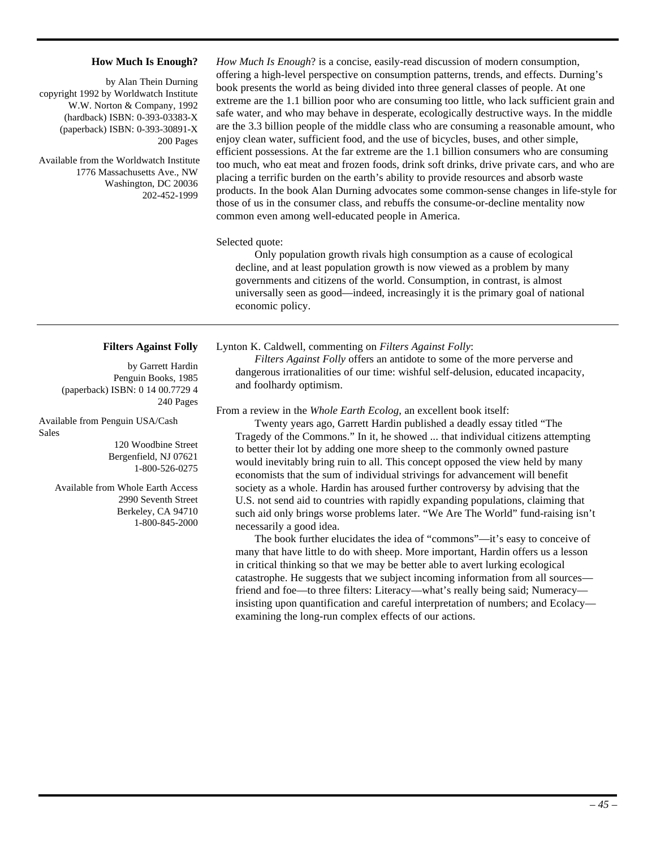#### **How Much Is Enough?**

by Alan Thein Durning copyright 1992 by Worldwatch Institute W.W. Norton & Company, 1992 (hardback) ISBN: 0-393-03383-X (paperback) ISBN: 0-393-30891-X 200 Pages

Available from the Worldwatch Institute 1776 Massachusetts Ave., NW Washington, DC 20036 202-452-1999

*How Much Is Enough*? is a concise, easily-read discussion of modern consumption, offering a high-level perspective on consumption patterns, trends, and effects. Durning's book presents the world as being divided into three general classes of people. At one extreme are the 1.1 billion poor who are consuming too little, who lack sufficient grain and safe water, and who may behave in desperate, ecologically destructive ways. In the middle are the 3.3 billion people of the middle class who are consuming a reasonable amount, who enjoy clean water, sufficient food, and the use of bicycles, buses, and other simple, efficient possessions. At the far extreme are the 1.1 billion consumers who are consuming too much, who eat meat and frozen foods, drink soft drinks, drive private cars, and who are placing a terrific burden on the earth's ability to provide resources and absorb waste products. In the book Alan Durning advocates some common-sense changes in life-style for those of us in the consumer class, and rebuffs the consume-or-decline mentality now common even among well-educated people in America.

#### Selected quote:

Only population growth rivals high consumption as a cause of ecological decline, and at least population growth is now viewed as a problem by many governments and citizens of the world. Consumption, in contrast, is almost universally seen as good—indeed, increasingly it is the primary goal of national economic policy.

**Filters Against Folly** Lynton K. Caldwell, commenting on *Filters Against Folly*:

by Garrett Hardin Penguin Books, 1985 (paperback) ISBN: 0 14 00.7729 4 240 Pages

Available from Penguin USA/Cash Sales

120 Woodbine Street Bergenfield, NJ 07621 1-800-526-0275

Available from Whole Earth Access 2990 Seventh Street Berkeley, CA 94710 1-800-845-2000

*Filters Against Folly* offers an antidote to some of the more perverse and dangerous irrationalities of our time: wishful self-delusion, educated incapacity, and foolhardy optimism.

From a review in the *Whole Earth Ecolog*, an excellent book itself:

Twenty years ago, Garrett Hardin published a deadly essay titled "The Tragedy of the Commons." In it, he showed ... that individual citizens attempting to better their lot by adding one more sheep to the commonly owned pasture would inevitably bring ruin to all. This concept opposed the view held by many economists that the sum of individual strivings for advancement will benefit society as a whole. Hardin has aroused further controversy by advising that the U.S. not send aid to countries with rapidly expanding populations, claiming that such aid only brings worse problems later. "We Are The World" fund-raising isn't necessarily a good idea.

The book further elucidates the idea of "commons"—it's easy to conceive of many that have little to do with sheep. More important, Hardin offers us a lesson in critical thinking so that we may be better able to avert lurking ecological catastrophe. He suggests that we subject incoming information from all sources friend and foe—to three filters: Literacy—what's really being said; Numeracy insisting upon quantification and careful interpretation of numbers; and Ecolacy examining the long-run complex effects of our actions.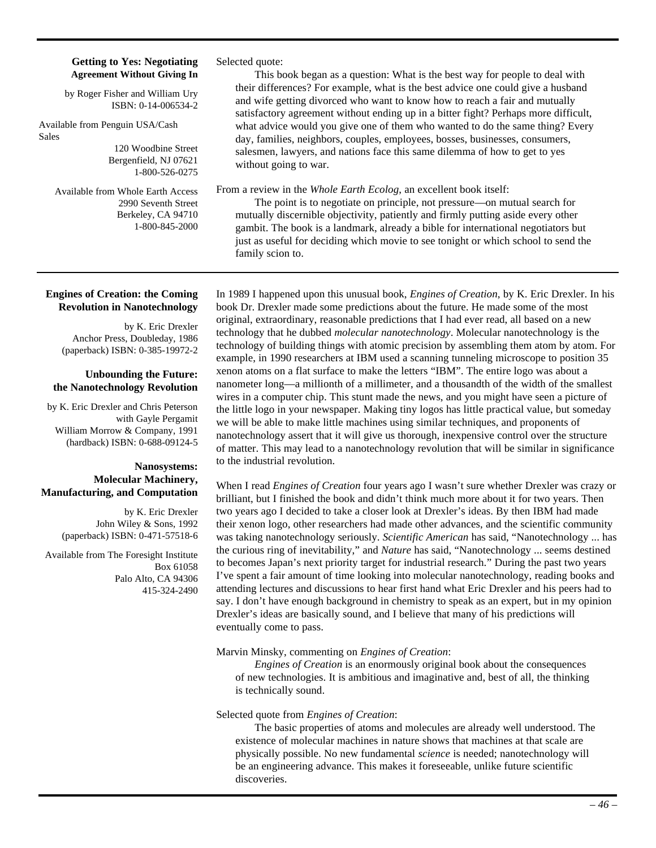#### **Getting to Yes: Negotiating Agreement Without Giving In**

by Roger Fisher and William Ury ISBN: 0-14-006534-2

Available from Penguin USA/Cash Sales

> 120 Woodbine Street Bergenfield, NJ 07621 1-800-526-0275

Available from Whole Earth Access 2990 Seventh Street Berkeley, CA 94710 1-800-845-2000

#### Selected quote:

This book began as a question: What is the best way for people to deal with their differences? For example, what is the best advice one could give a husband and wife getting divorced who want to know how to reach a fair and mutually satisfactory agreement without ending up in a bitter fight? Perhaps more difficult, what advice would you give one of them who wanted to do the same thing? Every day, families, neighbors, couples, employees, bosses, businesses, consumers, salesmen, lawyers, and nations face this same dilemma of how to get to yes without going to war.

#### From a review in the *Whole Earth Ecolog*, an excellent book itself:

The point is to negotiate on principle, not pressure—on mutual search for mutually discernible objectivity, patiently and firmly putting aside every other gambit. The book is a landmark, already a bible for international negotiators but just as useful for deciding which movie to see tonight or which school to send the family scion to.

#### **Engines of Creation: the Coming Revolution in Nanotechnology**

by K. Eric Drexler Anchor Press, Doubleday, 1986 (paperback) ISBN: 0-385-19972-2

#### **Unbounding the Future: the Nanotechnology Revolution**

by K. Eric Drexler and Chris Peterson with Gayle Pergamit William Morrow & Company, 1991 (hardback) ISBN: 0-688-09124-5

#### **Nanosystems: Molecular Machinery, Manufacturing, and Computation**

by K. Eric Drexler John Wiley & Sons, 1992 (paperback) ISBN: 0-471-57518-6

Available from The Foresight Institute Box 61058 Palo Alto, CA 94306 415-324-2490

In 1989 I happened upon this unusual book, *Engines of Creation*, by K. Eric Drexler. In his book Dr. Drexler made some predictions about the future. He made some of the most original, extraordinary, reasonable predictions that I had ever read, all based on a new technology that he dubbed *molecular nanotechnology*. Molecular nanotechnology is the technology of building things with atomic precision by assembling them atom by atom. For example, in 1990 researchers at IBM used a scanning tunneling microscope to position 35 xenon atoms on a flat surface to make the letters "IBM". The entire logo was about a nanometer long—a millionth of a millimeter, and a thousandth of the width of the smallest wires in a computer chip. This stunt made the news, and you might have seen a picture of the little logo in your newspaper. Making tiny logos has little practical value, but someday we will be able to make little machines using similar techniques, and proponents of nanotechnology assert that it will give us thorough, inexpensive control over the structure of matter. This may lead to a nanotechnology revolution that will be similar in significance to the industrial revolution.

When I read *Engines of Creation* four years ago I wasn't sure whether Drexler was crazy or brilliant, but I finished the book and didn't think much more about it for two years. Then two years ago I decided to take a closer look at Drexler's ideas. By then IBM had made their xenon logo, other researchers had made other advances, and the scientific community was taking nanotechnology seriously. *Scientific American* has said, "Nanotechnology ... has the curious ring of inevitability," and *Nature* has said, "Nanotechnology ... seems destined to becomes Japan's next priority target for industrial research." During the past two years I've spent a fair amount of time looking into molecular nanotechnology, reading books and attending lectures and discussions to hear first hand what Eric Drexler and his peers had to say. I don't have enough background in chemistry to speak as an expert, but in my opinion Drexler's ideas are basically sound, and I believe that many of his predictions will eventually come to pass.

#### Marvin Minsky, commenting on *Engines of Creation*:

*Engines of Creation* is an enormously original book about the consequences of new technologies. It is ambitious and imaginative and, best of all, the thinking is technically sound.

#### Selected quote from *Engines of Creation*:

The basic properties of atoms and molecules are already well understood. The existence of molecular machines in nature shows that machines at that scale are physically possible. No new fundamental *science* is needed; nanotechnology will be an engineering advance. This makes it foreseeable, unlike future scientific discoveries.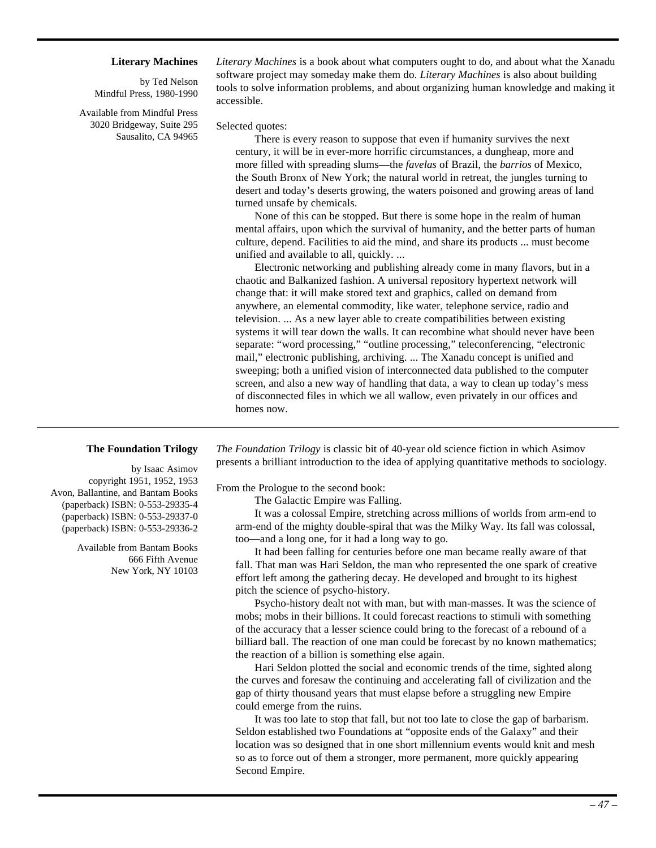#### **Literary Machines**

by Ted Nelson Mindful Press, 1980-1990

Available from Mindful Press 3020 Bridgeway, Suite 295 Sausalito, CA 94965 *Literary Machines* is a book about what computers ought to do, and about what the Xanadu software project may someday make them do. *Literary Machines* is also about building tools to solve information problems, and about organizing human knowledge and making it accessible.

Selected quotes:

There is every reason to suppose that even if humanity survives the next century, it will be in ever-more horrific circumstances, a dungheap, more and more filled with spreading slums—the *favelas* of Brazil, the *barrios* of Mexico, the South Bronx of New York; the natural world in retreat, the jungles turning to desert and today's deserts growing, the waters poisoned and growing areas of land turned unsafe by chemicals.

None of this can be stopped. But there is some hope in the realm of human mental affairs, upon which the survival of humanity, and the better parts of human culture, depend. Facilities to aid the mind, and share its products ... must become unified and available to all, quickly. ...

Electronic networking and publishing already come in many flavors, but in a chaotic and Balkanized fashion. A universal repository hypertext network will change that: it will make stored text and graphics, called on demand from anywhere, an elemental commodity, like water, telephone service, radio and television. ... As a new layer able to create compatibilities between existing systems it will tear down the walls. It can recombine what should never have been separate: "word processing," "outline processing," teleconferencing, "electronic mail," electronic publishing, archiving. ... The Xanadu concept is unified and sweeping; both a unified vision of interconnected data published to the computer screen, and also a new way of handling that data, a way to clean up today's mess of disconnected files in which we all wallow, even privately in our offices and homes now.

#### **The Foundation Trilogy**

 by Isaac Asimov copyright 1951, 1952, 1953 Avon, Ballantine, and Bantam Books (paperback) ISBN: 0-553-29335-4 (paperback) ISBN: 0-553-29337-0 (paperback) ISBN: 0-553-29336-2

> Available from Bantam Books 666 Fifth Avenue New York, NY 10103

*The Foundation Trilogy* is classic bit of 40-year old science fiction in which Asimov presents a brilliant introduction to the idea of applying quantitative methods to sociology.

From the Prologue to the second book:

The Galactic Empire was Falling.

It was a colossal Empire, stretching across millions of worlds from arm-end to arm-end of the mighty double-spiral that was the Milky Way. Its fall was colossal, too—and a long one, for it had a long way to go.

It had been falling for centuries before one man became really aware of that fall. That man was Hari Seldon, the man who represented the one spark of creative effort left among the gathering decay. He developed and brought to its highest pitch the science of psycho-history.

Psycho-history dealt not with man, but with man-masses. It was the science of mobs; mobs in their billions. It could forecast reactions to stimuli with something of the accuracy that a lesser science could bring to the forecast of a rebound of a billiard ball. The reaction of one man could be forecast by no known mathematics; the reaction of a billion is something else again.

Hari Seldon plotted the social and economic trends of the time, sighted along the curves and foresaw the continuing and accelerating fall of civilization and the gap of thirty thousand years that must elapse before a struggling new Empire could emerge from the ruins.

It was too late to stop that fall, but not too late to close the gap of barbarism. Seldon established two Foundations at "opposite ends of the Galaxy" and their location was so designed that in one short millennium events would knit and mesh so as to force out of them a stronger, more permanent, more quickly appearing Second Empire.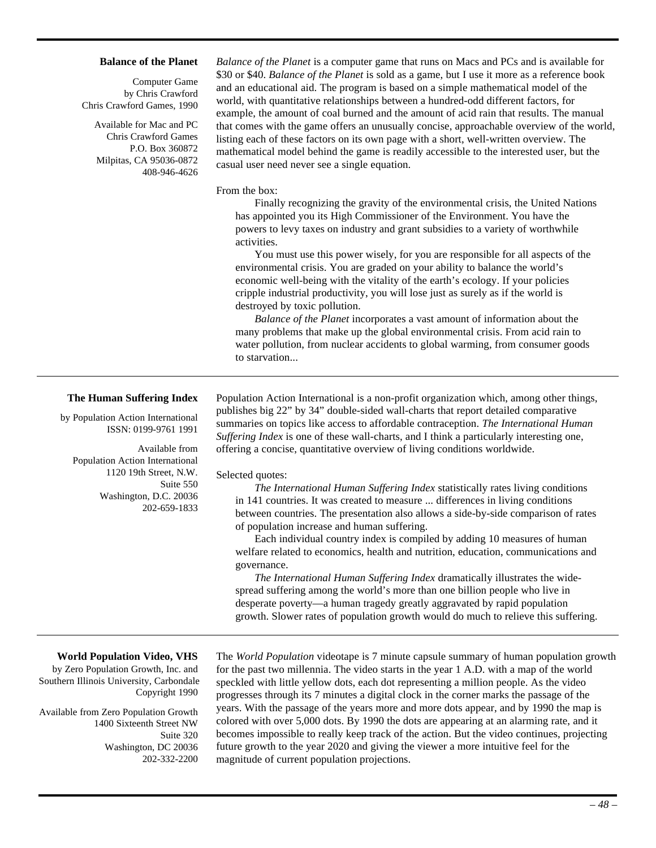#### **Balance of the Planet**

Computer Game by Chris Crawford Chris Crawford Games, 1990

Available for Mac and PC Chris Crawford Games P.O. Box 360872 Milpitas, CA 95036-0872 408-946-4626 *Balance of the Planet* is a computer game that runs on Macs and PCs and is available for \$30 or \$40. *Balance of the Planet* is sold as a game, but I use it more as a reference book and an educational aid. The program is based on a simple mathematical model of the world, with quantitative relationships between a hundred-odd different factors, for example, the amount of coal burned and the amount of acid rain that results. The manual that comes with the game offers an unusually concise, approachable overview of the world, listing each of these factors on its own page with a short, well-written overview. The mathematical model behind the game is readily accessible to the interested user, but the casual user need never see a single equation.

#### From the box:

Finally recognizing the gravity of the environmental crisis, the United Nations has appointed you its High Commissioner of the Environment. You have the powers to levy taxes on industry and grant subsidies to a variety of worthwhile activities.

You must use this power wisely, for you are responsible for all aspects of the environmental crisis. You are graded on your ability to balance the world's economic well-being with the vitality of the earth's ecology. If your policies cripple industrial productivity, you will lose just as surely as if the world is destroyed by toxic pollution.

*Balance of the Planet* incorporates a vast amount of information about the many problems that make up the global environmental crisis. From acid rain to water pollution, from nuclear accidents to global warming, from consumer goods to starvation...

#### **The Human Suffering Index**

by Population Action International ISSN: 0199-9761 1991

Available from Population Action International 1120 19th Street, N.W. Suite 550 Washington, D.C. 20036 202-659-1833 Population Action International is a non-profit organization which, among other things, publishes big 22" by 34" double-sided wall-charts that report detailed comparative summaries on topics like access to affordable contraception. *The International Human Suffering Index* is one of these wall-charts, and I think a particularly interesting one, offering a concise, quantitative overview of living conditions worldwide.

#### Selected quotes:

*The International Human Suffering Index* statistically rates living conditions in 141 countries. It was created to measure ... differences in living conditions between countries. The presentation also allows a side-by-side comparison of rates of population increase and human suffering.

Each individual country index is compiled by adding 10 measures of human welfare related to economics, health and nutrition, education, communications and governance.

*The International Human Suffering Index* dramatically illustrates the widespread suffering among the world's more than one billion people who live in desperate poverty—a human tragedy greatly aggravated by rapid population growth. Slower rates of population growth would do much to relieve this suffering.

#### **World Population Video, VHS**

by Zero Population Growth, Inc. and Southern Illinois University, Carbondale Copyright 1990

Available from Zero Population Growth 1400 Sixteenth Street NW Suite 320 Washington, DC 20036 202-332-2200

The *World Population* videotape is 7 minute capsule summary of human population growth for the past two millennia. The video starts in the year 1 A.D. with a map of the world speckled with little yellow dots, each dot representing a million people. As the video progresses through its 7 minutes a digital clock in the corner marks the passage of the years. With the passage of the years more and more dots appear, and by 1990 the map is colored with over 5,000 dots. By 1990 the dots are appearing at an alarming rate, and it becomes impossible to really keep track of the action. But the video continues, projecting future growth to the year 2020 and giving the viewer a more intuitive feel for the magnitude of current population projections.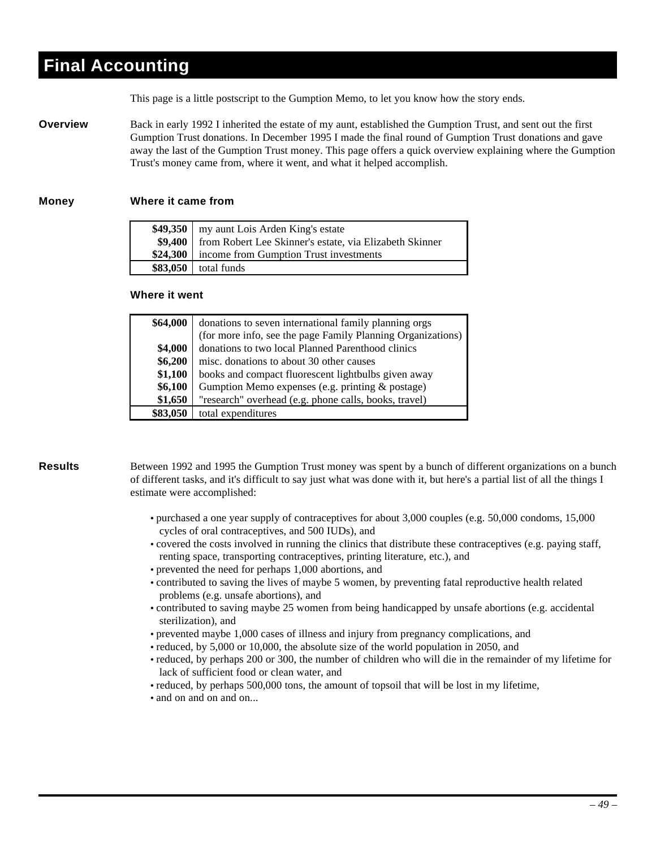#### **Final Accounting**

This page is a little postscript to the Gumption Memo, to let you know how the story ends.

**Overview** Back in early 1992 I inherited the estate of my aunt, established the Gumption Trust, and sent out the first Gumption Trust donations. In December 1995 I made the final round of Gumption Trust donations and gave away the last of the Gumption Trust money. This page offers a quick overview explaining where the Gumption Trust's money came from, where it went, and what it helped accomplish.

#### **Money Where it came from**

| \$49,350   my aunt Lois Arden King's estate                       |  |
|-------------------------------------------------------------------|--|
| \$9,400   from Robert Lee Skinner's estate, via Elizabeth Skinner |  |
| $$24,300$ income from Gumption Trust investments                  |  |
| $\$83,050$   total funds                                          |  |

#### **Where it went**

| \$64,000 | donations to seven international family planning orgs       |  |
|----------|-------------------------------------------------------------|--|
|          | (for more info, see the page Family Planning Organizations) |  |
| \$4,000  | donations to two local Planned Parenthood clinics           |  |
| \$6,200  | misc. donations to about 30 other causes                    |  |
| \$1,100  | books and compact fluorescent lightbulbs given away         |  |
| \$6,100  | Gumption Memo expenses (e.g. printing & postage)            |  |
| \$1,650  | "research" overhead (e.g. phone calls, books, travel)       |  |
| \$83,050 | total expenditures                                          |  |

**Results** Between 1992 and 1995 the Gumption Trust money was spent by a bunch of different organizations on a bunch of different tasks, and it's difficult to say just what was done with it, but here's a partial list of all the things I estimate were accomplished:

- purchased a one year supply of contraceptives for about 3,000 couples (e.g. 50,000 condoms, 15,000 cycles of oral contraceptives, and 500 IUDs), and
- covered the costs involved in running the clinics that distribute these contraceptives (e.g. paying staff, renting space, transporting contraceptives, printing literature, etc.), and
- prevented the need for perhaps 1,000 abortions, and
- contributed to saving the lives of maybe 5 women, by preventing fatal reproductive health related problems (e.g. unsafe abortions), and
- contributed to saving maybe 25 women from being handicapped by unsafe abortions (e.g. accidental sterilization), and
- prevented maybe 1,000 cases of illness and injury from pregnancy complications, and
- reduced, by 5,000 or 10,000, the absolute size of the world population in 2050, and
- reduced, by perhaps 200 or 300, the number of children who will die in the remainder of my lifetime for lack of sufficient food or clean water, and
- reduced, by perhaps 500,000 tons, the amount of topsoil that will be lost in my lifetime,
- and on and on and on...